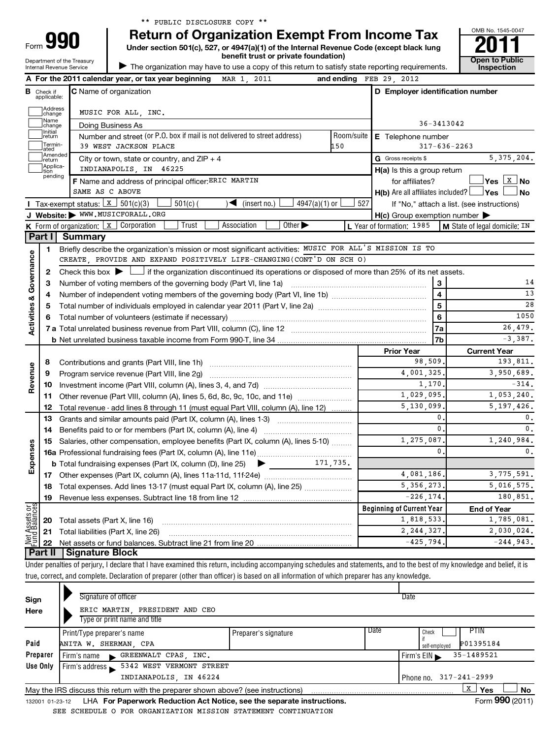**A** For the 2011 calendar year, or tax year beginning MAR 1, 2011

Department of the Treasury Internal Revenue Service

Form

|  | turn of Organization Exempt From Income Tax |  |  |
|--|---------------------------------------------|--|--|
|  |                                             |  |  |

and ending  $FEB 29 2012$ 

**990** Return of Organization Exempt From Income Tax  $\frac{6008 \text{ No. 1545-004}}{2011}$ **benefit trust or private foundation) Construction** 

| The organization may have to use a copy of this return to satisfy state reporting requirements.



14 13 28

**B** Check if **C** Name of organization **C D Employer identification number D Employer identification number C** Name of organization Check if applicable: Address<br>Ichange  $\left\vert \cdot\right\vert$ MUSIC FOR ALL, INC. Name<br>
change 36-3413042 Doing Business As Initial<br>Ireturn  $\left\vert \cdot\right\vert$ **E** Telephone number Number and street (or P.O. box if mail is not delivered to street address) | Room/suite | E Telephone number Termin-<br>ated  $\left\vert \cdot\right\vert$ 39 WEST JACKSON PLACE 150 317-636-2263 −atcu<br>]Amended<br>Jreturn Amended City or town, state or country, and ZIP + 4  $\overline{G}$  Gross receipts \$ 5,375,204. G Gross receipts \$ Applica-<br>tion<br>pending INDIANAPOLIS, IN 46225 **H(a)** Is this a group return **F** Name and address of principal officer: ERIC MARTIN **EXIC 10** tor affiliates? **EXIC Ves** X **No**  $Yes$   $X$  No SAME AS C ABOVE **Yes No** † † **H(b)** Are all affiliates included? **I** Tax-exempt status: X  $\boxed{\mathbf{x}}$  501(c)(3)  $\boxed{\phantom{0}}$  501(c)( )  $\blacktriangleleft$  (insert no.)  $\boxed{\phantom{0}}$  4947(a)(1) or  $\boxed{\phantom{0}}$  527 If "No," attach a list. (see instructions) **J Website: WWW.MUSICFORALL.ORG** H(c) Group exemption number  $\blacktriangleright$ **K** Form of organization:  $\boxed{\textbf{x}}$  Corporation  $\boxed{\phantom{a}}$  Trust  $\boxed{\phantom{a}}$  Association  $\boxed{\phantom{a}}$ Form of organization: <u>Executoration Eigen Trust Eigen Association Eigen Other Park Humation: 1985 |M State of legal domicile: IN</u> **Part I Summary** Briefly describe the organization's mission or most significant activities: MUSIC FOR ALL'S MISSION IS TO **1 Activities & Governance Activities & Governance** CREATE, PROVIDE AND EXPAND POSITIVELY LIFE-CHANGING(CONT'D ON SCH O) Check this box  $\blacktriangleright$  if the organization discontinued its operations or disposed of more than 25% of its net assets. Check this box  $\blacktriangleright$   $\perp$ **2 3 3** Number of voting members of the governing body (Part VI, line 1a) *manure controller controller* **4 4** Number of independent voting members of the governing body (Part VI, line 1b) ~~~~~~~~~~~~~~ **5 5** Total number of individuals employed in calendar year 2011 (Part V, line 2a) ~~~~~~~~~~~~~~~~ 1050 **6 6** Total number of volunteers (estimate if necessary) …………………………………………………………………………… 26,479. **7a 7 a** Total unrelated business revenue from Part VIII, column (C), line 12 ~~~~~~~~~~~~~~~~~~~~ -3,387. **7b b** Net unrelated business taxable income from Form 990-T, line 34 **Prior Year Current Year** Contributions and grants (Part VIII, line 1h) ~~~~~~~~~~~~~~~~~~~~~ 98,509. 193,811. **8 Revenue** 4,001,325. 3,950,689. Program service revenue (Part VIII, line 2g) ~~~~~~~~~~~~~~~~~~~~~ **9**  $1,170.$   $-314.$ **10** Investment income (Part VIII, column (A), lines 3, 4, and 7d) ~~~~~~~~~~~~~ Other revenue (Part VIII, column (A), lines 5, 6d, 8c, 9c, 10c, and 11e)  $\ldots$  $\ldots$  $\ldots$ 1,029,095. 1,053,240. **11** 5,130,099. 5,197,426. Total revenue - add lines 8 through 11 (must equal Part VIII, column (A), line 12) **12** 0. 0. **13** Grants and similar amounts paid (Part IX, column (A), lines 1-3) www.communition. 0. 0. **14** Benefits paid to or for members (Part IX, column (A), line 4)  $\ldots$  $\ldots$  $\ldots$  $\ldots$  $\ldots$  $\ldots$  $\ldots$ 1,275,087. 1,240,984. **15** Salaries, other compensation, employee benefits (Part IX, column (A), lines 5-10) ........ **Expenses** 0. 0. **16 a** Professional fundraising fees (Part IX, column (A), line 11e) ~~~~~~~~~~~~~~ 171,735. **b** Total fundraising expenses (Part IX, column (D), line 25)  $\blacktriangleright$ 4,081,186. 3,775,591. **17** Other expenses (Part IX, column (A), lines 11a-11d, 11f-24e) ~~~~~~~~~~~~~ 5,356,273. 5,016,575. **18** Total expenses. Add lines 13-17 (must equal Part IX, column (A), line 25) *...*.................... **19** Revenue less expenses. Subtract line 18 from line 12  $-226, 174.$  180,851. **Net Assets or Fund Balances Beginning of Current Year End of Year** 1,818,533. 1,785,081. **20** Total assets (Part X, line 16) **21** 2,244,327. 2,030,024. Total liabilities (Part X, line 26) ~~~~~~~~~~~~~~~~~~~~~~~~~~~  $-425,794.$   $-244,943.$ **22** Net assets or fund balances. Subtract line 21 from line 20 **Part II Signature Block** Under penalties of perjury, I declare that I have examined this return, including accompanying schedules and statements, and to the best of my knowledge and belief, it is true, correct, and complete. Declaration of preparer (other than officer) is based on all information of which preparer has any knowledge.  $\blacktriangleright$ Signature of officer Date

| Sign            | <b>Olynature Of Officer</b>                                                       |                      | Dalt                            |                 |
|-----------------|-----------------------------------------------------------------------------------|----------------------|---------------------------------|-----------------|
| Here            | ERIC MARTIN PRESIDENT AND CEO                                                     |                      |                                 |                 |
|                 | Type or print name and title                                                      |                      |                                 |                 |
|                 | Print/Type preparer's name                                                        | Preparer's signature | Date<br>PTIN<br>Check           |                 |
| Paid            | ANITA W. SHERMAN, CPA                                                             |                      | P01395184<br>self-employed      |                 |
| Preparer        | GREENWALT CPAS, INC.<br>Firm's name                                               |                      | 35-1489521<br>Firm's $EIN$      |                 |
| Use Only        | Firm's address 5342 WEST VERMONT STREET                                           |                      |                                 |                 |
|                 | INDIANAPOLIS, IN 46224                                                            |                      | $317 - 241 - 2999$<br>Phone no. |                 |
|                 | May the IRS discuss this return with the preparer shown above? (see instructions) |                      | x<br>Yes                        | <b>No</b>       |
| 132001 01-23-12 | LHA For Paperwork Reduction Act Notice, see the separate instructions.            |                      |                                 | Form 990 (2011) |

SEE SCHEDULE O FOR ORGANIZATION MISSION STATEMENT CONTINUATION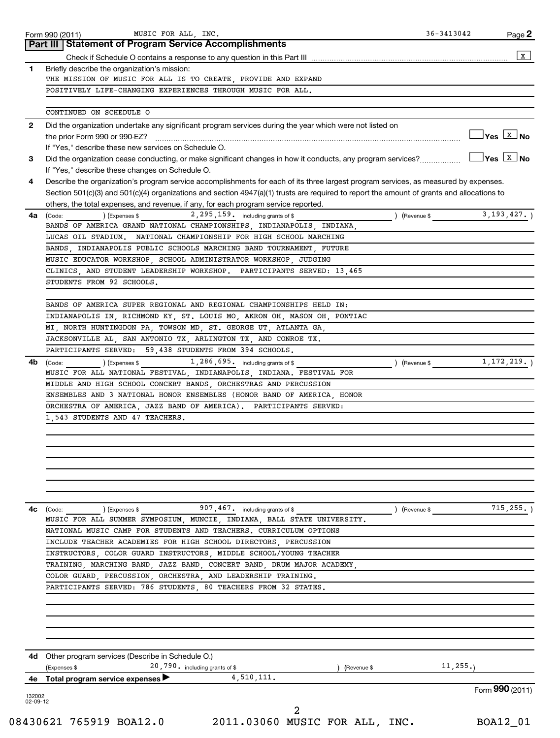|              | Part III   Statement of Program Service Accomplishments                                                                                    |                                                        |
|--------------|--------------------------------------------------------------------------------------------------------------------------------------------|--------------------------------------------------------|
| $\mathbf{1}$ | Briefly describe the organization's mission:                                                                                               |                                                        |
|              | THE MISSION OF MUSIC FOR ALL IS TO CREATE, PROVIDE AND EXPAND                                                                              |                                                        |
|              | POSITIVELY LIFE-CHANGING EXPERIENCES THROUGH MUSIC FOR ALL.                                                                                |                                                        |
|              |                                                                                                                                            |                                                        |
|              | CONTINUED ON SCHEDULE O                                                                                                                    |                                                        |
| $\mathbf{2}$ | Did the organization undertake any significant program services during the year which were not listed on                                   | $\frac{1}{2}$ Yes $\boxed{\text{x}}$ No                |
|              |                                                                                                                                            |                                                        |
| 3            | If "Yes," describe these new services on Schedule O.                                                                                       | $\sqrt{\mathsf{Yes}\ \boxed{\mathrm{X}}\ \mathsf{No}}$ |
|              | If "Yes," describe these changes on Schedule O.                                                                                            |                                                        |
| 4            | Describe the organization's program service accomplishments for each of its three largest program services, as measured by expenses.       |                                                        |
|              | Section 501(c)(3) and 501(c)(4) organizations and section 4947(a)(1) trusts are required to report the amount of grants and allocations to |                                                        |
|              | others, the total expenses, and revenue, if any, for each program service reported.                                                        |                                                        |
| 4a           | $2,295,159$ including grants of \$<br>(Code:<br>(Expenses \$<br>) (Revenue \$                                                              | 3, 193, 427.                                           |
|              | BANDS OF AMERICA GRAND NATIONAL CHAMPIONSHIPS, INDIANAPOLIS, INDIANA,                                                                      |                                                        |
|              | LUCAS OIL STADIUM. NATIONAL CHAMPIONSHIP FOR HIGH SCHOOL MARCHING                                                                          |                                                        |
|              | BANDS, INDIANAPOLIS PUBLIC SCHOOLS MARCHING BAND TOURNAMENT, FUTURE                                                                        |                                                        |
|              | MUSIC EDUCATOR WORKSHOP, SCHOOL ADMINISTRATOR WORKSHOP, JUDGING                                                                            |                                                        |
|              | CLINICS, AND STUDENT LEADERSHIP WORKSHOP. PARTICIPANTS SERVED: 13,465                                                                      |                                                        |
|              | STUDENTS FROM 92 SCHOOLS.                                                                                                                  |                                                        |
|              |                                                                                                                                            |                                                        |
|              | BANDS OF AMERICA SUPER REGIONAL AND REGIONAL CHAMPIONSHIPS HELD IN:                                                                        |                                                        |
|              | INDIANAPOLIS IN, RICHMOND KY, ST. LOUIS MO, AKRON OH, MASON OH, PONTIAC<br>MI, NORTH HUNTINGDON PA, TOWSON MD, ST. GEORGE UT, ATLANTA GA,  |                                                        |
|              | JACKSONVILLE AL, SAN ANTONIO TX, ARLINGTON TX, AND CONROE TX.                                                                              |                                                        |
|              | PARTICIPANTS SERVED: 59,438 STUDENTS FROM 394 SCHOOLS.                                                                                     |                                                        |
| 4b           | $1,286,695$ including grants of \$<br>(Code:<br>) (Expenses \$<br>) (Revenue \$                                                            | 1, 172, 219.                                           |
|              | MUSIC FOR ALL NATIONAL FESTIVAL, INDIANAPOLIS, INDIANA. FESTIVAL FOR                                                                       |                                                        |
|              | MIDDLE AND HIGH SCHOOL CONCERT BANDS, ORCHESTRAS AND PERCUSSION                                                                            |                                                        |
|              | ENSEMBLES AND 3 NATIONAL HONOR ENSEMBLES (HONOR BAND OF AMERICA, HONOR                                                                     |                                                        |
|              | ORCHESTRA OF AMERICA, JAZZ BAND OF AMERICA). PARTICIPANTS SERVED:                                                                          |                                                        |
|              | 1,543 STUDENTS AND 47 TEACHERS.                                                                                                            |                                                        |
|              |                                                                                                                                            |                                                        |
|              |                                                                                                                                            |                                                        |
|              |                                                                                                                                            |                                                        |
|              |                                                                                                                                            |                                                        |
|              |                                                                                                                                            |                                                        |
|              |                                                                                                                                            |                                                        |
| 4с           | 907, 467. including grants of \$<br>(Code: ) (Expenses \$<br>) (Revenue \$                                                                 | 715, 255.                                              |
|              | MUSIC FOR ALL SUMMER SYMPOSIUM, MUNCIE, INDIANA, BALL STATE UNIVERSITY.                                                                    |                                                        |
|              | NATIONAL MUSIC CAMP FOR STUDENTS AND TEACHERS. CURRICULUM OPTIONS                                                                          |                                                        |
|              | INCLUDE TEACHER ACADEMIES FOR HIGH SCHOOL DIRECTORS, PERCUSSION                                                                            |                                                        |
|              | INSTRUCTORS, COLOR GUARD INSTRUCTORS, MIDDLE SCHOOL/YOUNG TEACHER                                                                          |                                                        |
|              | TRAINING, MARCHING BAND, JAZZ BAND, CONCERT BAND, DRUM MAJOR ACADEMY,                                                                      |                                                        |
|              | COLOR GUARD, PERCUSSION, ORCHESTRA, AND LEADERSHIP TRAINING.                                                                               |                                                        |
|              | PARTICIPANTS SERVED: 786 STUDENTS, 80 TEACHERS FROM 32 STATES.                                                                             |                                                        |
|              |                                                                                                                                            |                                                        |
|              |                                                                                                                                            |                                                        |
|              |                                                                                                                                            |                                                        |
|              |                                                                                                                                            |                                                        |
|              |                                                                                                                                            |                                                        |
|              | 4d Other program services (Describe in Schedule O.)<br>20,790. including grants of \$<br>11, 255.<br>(Expenses \$<br>(Revenue \$           |                                                        |
| 4е           | 4,510,111.<br>Total program service expenses                                                                                               |                                                        |
|              |                                                                                                                                            |                                                        |
| 132002       |                                                                                                                                            | Form 990 (2011)                                        |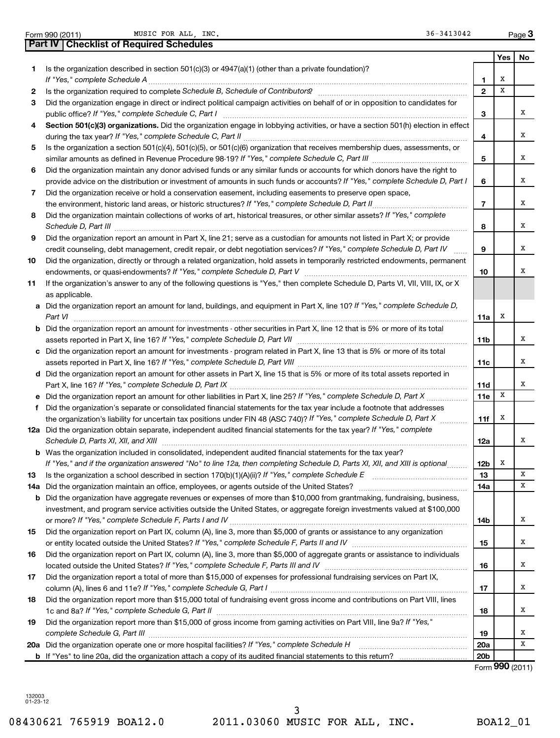|  |  |  | Form 990 (2011) |
|--|--|--|-----------------|
|--|--|--|-----------------|

Form 990 (2011) MUSIC FOR ALL, INC. The Second Second Second Second Second Page Page

|    | Part IV   Checklist of Required Schedules                                                                                            |                        |     |        |  |
|----|--------------------------------------------------------------------------------------------------------------------------------------|------------------------|-----|--------|--|
|    |                                                                                                                                      |                        | Yes | No     |  |
| 1. | Is the organization described in section 501(c)(3) or 4947(a)(1) (other than a private foundation)?                                  |                        |     |        |  |
|    | If "Yes," complete Schedule A                                                                                                        | 1                      | х   |        |  |
| 2  |                                                                                                                                      | $\mathbf{2}$           | X   |        |  |
| 3  | Did the organization engage in direct or indirect political campaign activities on behalf of or in opposition to candidates for      |                        |     |        |  |
|    | public office? If "Yes," complete Schedule C, Part I                                                                                 | 3                      |     | x      |  |
| 4  | Section 501(c)(3) organizations. Did the organization engage in lobbying activities, or have a section 501(h) election in effect     |                        |     |        |  |
|    |                                                                                                                                      | 4                      |     | х      |  |
| 5  | Is the organization a section 501(c)(4), 501(c)(5), or 501(c)(6) organization that receives membership dues, assessments, or         |                        |     |        |  |
|    |                                                                                                                                      | 5                      |     | x      |  |
| 6  | Did the organization maintain any donor advised funds or any similar funds or accounts for which donors have the right to            |                        |     |        |  |
|    | provide advice on the distribution or investment of amounts in such funds or accounts? If "Yes," complete Schedule D, Part I         | 6                      |     | х      |  |
| 7  | Did the organization receive or hold a conservation easement, including easements to preserve open space,                            |                        |     |        |  |
|    | the environment, historic land areas, or historic structures? If "Yes," complete Schedule D, Part II                                 | $\overline{7}$         |     | х      |  |
| 8  | Did the organization maintain collections of works of art, historical treasures, or other similar assets? If "Yes," complete         |                        |     |        |  |
|    |                                                                                                                                      | 8                      |     | х      |  |
| 9  | Did the organization report an amount in Part X, line 21; serve as a custodian for amounts not listed in Part X; or provide          |                        |     |        |  |
|    | credit counseling, debt management, credit repair, or debt negotiation services? If "Yes," complete Schedule D, Part IV              | 9                      |     | х      |  |
| 10 | Did the organization, directly or through a related organization, hold assets in temporarily restricted endowments, permanent        |                        |     |        |  |
|    |                                                                                                                                      | 10                     |     | х      |  |
| 11 | If the organization's answer to any of the following questions is "Yes," then complete Schedule D, Parts VI, VII, VIII, IX, or X     |                        |     |        |  |
|    | as applicable.                                                                                                                       |                        |     |        |  |
|    | a Did the organization report an amount for land, buildings, and equipment in Part X, line 10? If "Yes," complete Schedule D,        |                        |     |        |  |
|    | Part VI                                                                                                                              | 11a                    | x   |        |  |
|    | <b>b</b> Did the organization report an amount for investments - other securities in Part X, line 12 that is 5% or more of its total |                        |     |        |  |
|    |                                                                                                                                      | 11b                    |     | х      |  |
|    | c Did the organization report an amount for investments - program related in Part X, line 13 that is 5% or more of its total         |                        |     | х      |  |
|    | d Did the organization report an amount for other assets in Part X, line 15 that is 5% or more of its total assets reported in       | 11c                    |     |        |  |
|    |                                                                                                                                      | 11d                    |     | х      |  |
|    | e Did the organization report an amount for other liabilities in Part X, line 25? If "Yes," complete Schedule D, Part X              | 11e                    | х   |        |  |
| f. | Did the organization's separate or consolidated financial statements for the tax year include a footnote that addresses              |                        |     |        |  |
|    | the organization's liability for uncertain tax positions under FIN 48 (ASC 740)? If "Yes," complete Schedule D, Part X               | 11f                    | х   |        |  |
|    | 12a Did the organization obtain separate, independent audited financial statements for the tax year? If "Yes," complete              |                        |     |        |  |
|    | Schedule D, Parts XI, XII, and XIII                                                                                                  | 12a                    |     | х      |  |
|    | <b>b</b> Was the organization included in consolidated, independent audited financial statements for the tax year?                   |                        |     |        |  |
|    | If "Yes," and if the organization answered "No" to line 12a, then completing Schedule D, Parts XI, XII, and XIII is optional         | 12b                    | х   |        |  |
| 13 | Is the organization a school described in section $170(b)(1)(A)(ii)?$ If "Yes," complete Schedule E                                  | 13                     |     | х      |  |
|    | 14a Did the organization maintain an office, employees, or agents outside of the United States?                                      | 14a                    |     | х      |  |
|    | <b>b</b> Did the organization have aggregate revenues or expenses of more than \$10,000 from grantmaking, fundraising, business,     |                        |     |        |  |
|    | investment, and program service activities outside the United States, or aggregate foreign investments valued at \$100,000           |                        |     |        |  |
|    |                                                                                                                                      | 14b                    |     | х      |  |
| 15 | Did the organization report on Part IX, column (A), line 3, more than \$5,000 of grants or assistance to any organization            |                        |     |        |  |
|    |                                                                                                                                      | 15                     |     | х      |  |
| 16 | Did the organization report on Part IX, column (A), line 3, more than \$5,000 of aggregate grants or assistance to individuals       |                        |     |        |  |
|    |                                                                                                                                      | 16                     |     | х      |  |
| 17 | Did the organization report a total of more than \$15,000 of expenses for professional fundraising services on Part IX,              |                        |     |        |  |
|    |                                                                                                                                      | 17                     |     | х      |  |
| 18 | Did the organization report more than \$15,000 total of fundraising event gross income and contributions on Part VIII, lines         |                        |     |        |  |
|    |                                                                                                                                      | 18                     |     | х      |  |
| 19 | Did the organization report more than \$15,000 of gross income from gaming activities on Part VIII, line 9a? If "Yes,"               |                        |     |        |  |
|    |                                                                                                                                      | 19                     |     | х<br>х |  |
|    |                                                                                                                                      | 20a<br>20 <sub>b</sub> |     |        |  |
|    |                                                                                                                                      |                        |     |        |  |

Form (2011) **990**

132003 01-23-12

08430621 765919 BOA12.0 2011.03060 MUSIC FOR ALL, INC. BOA12\_01 3

**3**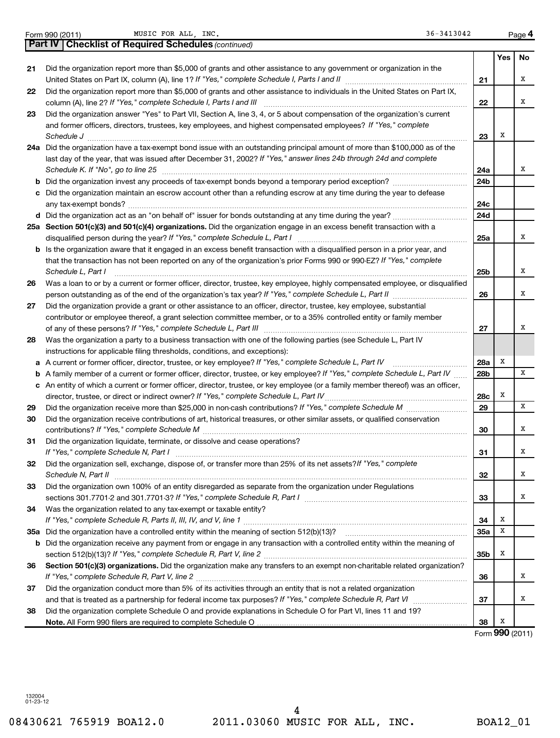|  | Form 990 (2011) |
|--|-----------------|
|  |                 |

Form 990 (2011) MUSIC FOR ALL,INC. 36-3413042 Page MUSIC FOR ALL, INC. 36-3413042

|    | <b>Part IV   Checklist of Required Schedules (continued)</b>                                                                      |     |     |     |
|----|-----------------------------------------------------------------------------------------------------------------------------------|-----|-----|-----|
|    |                                                                                                                                   |     | Yes | No. |
| 21 | Did the organization report more than \$5,000 of grants and other assistance to any government or organization in the             |     |     |     |
|    |                                                                                                                                   | 21  |     | х   |
| 22 | Did the organization report more than \$5,000 of grants and other assistance to individuals in the United States on Part IX,      |     |     |     |
|    | column (A), line 2? If "Yes," complete Schedule I, Parts I and III                                                                | 22  |     | x   |
| 23 | Did the organization answer "Yes" to Part VII, Section A, line 3, 4, or 5 about compensation of the organization's current        |     |     |     |
|    | and former officers, directors, trustees, key employees, and highest compensated employees? If "Yes," complete                    |     |     |     |
|    | Schedule J <b>Executive Construction Construction Construction Construction Construction</b>                                      | 23  | Х   |     |
|    | 24a Did the organization have a tax-exempt bond issue with an outstanding principal amount of more than \$100,000 as of the       |     |     |     |
|    | last day of the year, that was issued after December 31, 2002? If "Yes," answer lines 24b through 24d and complete                |     |     |     |
|    | Schedule K. If "No", go to line 25                                                                                                | 24a |     | х   |
| b  |                                                                                                                                   | 24b |     |     |
|    | Did the organization maintain an escrow account other than a refunding escrow at any time during the year to defease              |     |     |     |
|    |                                                                                                                                   | 24c |     |     |
|    |                                                                                                                                   | 24d |     |     |
|    | 25a Section 501(c)(3) and 501(c)(4) organizations. Did the organization engage in an excess benefit transaction with a            |     |     |     |
|    | disqualified person during the year? If "Yes," complete Schedule L, Part I                                                        | 25a |     | x   |
|    | b Is the organization aware that it engaged in an excess benefit transaction with a disqualified person in a prior year, and      |     |     |     |
|    | that the transaction has not been reported on any of the organization's prior Forms 990 or 990-EZ? If "Yes," complete             |     |     |     |
|    | Schedule L. Part I                                                                                                                | 25b |     | X   |
| 26 | Was a loan to or by a current or former officer, director, trustee, key employee, highly compensated employee, or disqualified    |     |     |     |
|    |                                                                                                                                   | 26  |     | х   |
| 27 | Did the organization provide a grant or other assistance to an officer, director, trustee, key employee, substantial              |     |     |     |
|    | contributor or employee thereof, a grant selection committee member, or to a 35% controlled entity or family member               |     |     |     |
|    |                                                                                                                                   | 27  |     | х   |
| 28 | Was the organization a party to a business transaction with one of the following parties (see Schedule L, Part IV                 |     |     |     |
|    | instructions for applicable filing thresholds, conditions, and exceptions):                                                       |     |     |     |
| а  | A current or former officer, director, trustee, or key employee? If "Yes," complete Schedule L, Part IV                           | 28a | Х   |     |
| b  | A family member of a current or former officer, director, trustee, or key employee? If "Yes," complete Schedule L, Part IV        | 28b |     | x   |
|    | c An entity of which a current or former officer, director, trustee, or key employee (or a family member thereof) was an officer, |     |     |     |
|    | director, trustee, or direct or indirect owner? If "Yes," complete Schedule L, Part IV                                            | 28c | Х   |     |
| 29 |                                                                                                                                   | 29  |     | X   |
| 30 | Did the organization receive contributions of art, historical treasures, or other similar assets, or qualified conservation       |     |     |     |
|    |                                                                                                                                   | 30  |     | х   |
| 31 | Did the organization liquidate, terminate, or dissolve and cease operations?                                                      |     |     |     |
|    |                                                                                                                                   | 31  |     | х   |
| 32 | Did the organization sell, exchange, dispose of, or transfer more than 25% of its net assets? If "Yes," complete                  |     |     |     |
|    | Schedule N, Part II                                                                                                               | 32  |     | х   |
| 33 | Did the organization own 100% of an entity disregarded as separate from the organization under Regulations                        |     |     |     |
|    |                                                                                                                                   | 33  |     | х   |
| 34 | Was the organization related to any tax-exempt or taxable entity?                                                                 |     |     |     |
|    |                                                                                                                                   | 34  | х   |     |
|    |                                                                                                                                   | 35a | х   |     |
| b  | Did the organization receive any payment from or engage in any transaction with a controlled entity within the meaning of         |     |     |     |
|    |                                                                                                                                   | 35b | Х   |     |
| 36 | Section 501(c)(3) organizations. Did the organization make any transfers to an exempt non-charitable related organization?        |     |     |     |
|    | If "Yes," complete Schedule R, Part V, line 2                                                                                     | 36  |     | х   |
| 37 | Did the organization conduct more than 5% of its activities through an entity that is not a related organization                  |     |     |     |
|    |                                                                                                                                   | 37  |     | х   |
| 38 | Did the organization complete Schedule O and provide explanations in Schedule O for Part VI, lines 11 and 19?                     |     |     |     |
|    |                                                                                                                                   | 38  | х   |     |

Form (2011) **990**

132004 01-23-12

08430621 765919 BOA12.0 2011.03060 MUSIC FOR ALL, INC. BOA12\_01 4

**4**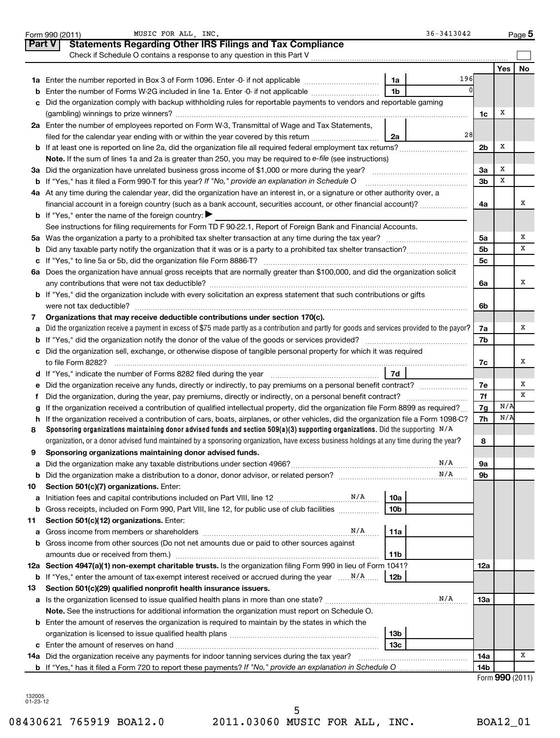| Part V<br><b>Statements Regarding Other IRS Filings and Tax Compliance</b><br>Check if Schedule O contains a response to any question in this Part V<br>Yes  <br><b>No</b><br>196<br>1a<br>1 <sub>b</sub><br>Enter the number of Forms W-2G included in line 1a. Enter -0- if not applicable<br>b<br>Did the organization comply with backup withholding rules for reportable payments to vendors and reportable gaming<br>c<br>х<br>1c<br>2a Enter the number of employees reported on Form W-3, Transmittal of Wage and Tax Statements,<br>28<br>filed for the calendar year ending with or within the year covered by this return<br>2a<br>х<br>2 <sub>b</sub><br>Note. If the sum of lines 1a and 2a is greater than 250, you may be required to e-file (see instructions)<br>х<br>За<br>х<br><b>b</b> If "Yes," has it filed a Form 990-T for this year? If "No," provide an explanation in Schedule O<br>3b<br>4a At any time during the calendar year, did the organization have an interest in, or a signature or other authority over, a<br>х<br>financial account in a foreign country (such as a bank account, securities account, or other financial account)?<br>4a<br><b>b</b> If "Yes," enter the name of the foreign country:<br>See instructions for filing requirements for Form TD F 90-22.1, Report of Foreign Bank and Financial Accounts.<br>х<br>5a<br>х<br>5b<br>5c<br>6a Does the organization have annual gross receipts that are normally greater than \$100,000, and did the organization solicit<br>х<br>6a<br>b If "Yes," did the organization include with every solicitation an express statement that such contributions or gifts<br>were not tax deductible?<br>6b<br>Organizations that may receive deductible contributions under section 170(c).<br>7<br>Did the organization receive a payment in excess of \$75 made partly as a contribution and partly for goods and services provided to the payor?<br>х<br>7a<br>a<br>7b<br>c Did the organization sell, exchange, or otherwise dispose of tangible personal property for which it was required<br>х<br>to file Form 8282?<br>7c<br>7d<br>d If "Yes," indicate the number of Forms 8282 filed during the year manufactured intervent in the set of the N<br>х<br>7е<br>х<br>7f<br>t<br>N/A<br>If the organization received a contribution of qualified intellectual property, did the organization file Form 8899 as required?<br>7g<br>g<br>N/A<br>h If the organization received a contribution of cars, boats, airplanes, or other vehicles, did the organization file a Form 1098-C?<br>7h<br>Sponsoring organizations maintaining donor advised funds and section 509(a)(3) supporting organizations. Did the supporting $N/A$<br>8<br>organization, or a donor advised fund maintained by a sponsoring organization, have excess business holdings at any time during the year?<br>8<br>9<br>Sponsoring organizations maintaining donor advised funds.<br>N/A<br>9а<br>a<br>N/A<br>9b<br>b<br>Section 501(c)(7) organizations. Enter:<br>10<br>10a<br>а<br>Gross receipts, included on Form 990, Part VIII, line 12, for public use of club facilities<br>10b<br>b<br>Section 501(c)(12) organizations. Enter:<br>11<br>N/A<br>11a<br><b>b</b> Gross income from other sources (Do not net amounts due or paid to other sources against<br>amounts due or received from them.)<br>11b<br>12a Section 4947(a)(1) non-exempt charitable trusts. Is the organization filing Form 990 in lieu of Form 1041?<br>12a<br>12b<br>Section 501(c)(29) qualified nonprofit health insurance issuers.<br>13<br>N/A<br>13a<br>Note. See the instructions for additional information the organization must report on Schedule O.<br><b>b</b> Enter the amount of reserves the organization is required to maintain by the states in which the<br>13b<br>13c<br>х<br>14a Did the organization receive any payments for indoor tanning services during the tax year?<br>14a<br><b>b</b> If "Yes," has it filed a Form 720 to report these payments? If "No," provide an explanation in Schedule O<br>14b<br>Form 990 (2011) | 36-3413042<br>MUSIC FOR ALL, INC.<br>Form 990 (2011) |  | $Page$ 5 |
|--------------------------------------------------------------------------------------------------------------------------------------------------------------------------------------------------------------------------------------------------------------------------------------------------------------------------------------------------------------------------------------------------------------------------------------------------------------------------------------------------------------------------------------------------------------------------------------------------------------------------------------------------------------------------------------------------------------------------------------------------------------------------------------------------------------------------------------------------------------------------------------------------------------------------------------------------------------------------------------------------------------------------------------------------------------------------------------------------------------------------------------------------------------------------------------------------------------------------------------------------------------------------------------------------------------------------------------------------------------------------------------------------------------------------------------------------------------------------------------------------------------------------------------------------------------------------------------------------------------------------------------------------------------------------------------------------------------------------------------------------------------------------------------------------------------------------------------------------------------------------------------------------------------------------------------------------------------------------------------------------------------------------------------------------------------------------------------------------------------------------------------------------------------------------------------------------------------------------------------------------------------------------------------------------------------------------------------------------------------------------------------------------------------------------------------------------------------------------------------------------------------------------------------------------------------------------------------------------------------------------------------------------------------------------------------------------------------------------------------------------------------------------------------------------------------------------------------------------------------------------------------------------------------------------------------------------------------------------------------------------------------------------------------------------------------------------------------------------------------------------------------------------------------------------------------------------------------------------------------------------------------------------------------------------------------------------------------------------------------------------------------------------------------------------------------------------------------------------------------------------------------------------------------------------------------------------------------------------------------------------------------------------------------------------------------------------------------------------------------------------------------------------------------------------------------------------------------------------------------------------------------------------------------------------------------------------------------------------------------------------------------------------------------------------------------------------------------------------------------|------------------------------------------------------|--|----------|
|                                                                                                                                                                                                                                                                                                                                                                                                                                                                                                                                                                                                                                                                                                                                                                                                                                                                                                                                                                                                                                                                                                                                                                                                                                                                                                                                                                                                                                                                                                                                                                                                                                                                                                                                                                                                                                                                                                                                                                                                                                                                                                                                                                                                                                                                                                                                                                                                                                                                                                                                                                                                                                                                                                                                                                                                                                                                                                                                                                                                                                                                                                                                                                                                                                                                                                                                                                                                                                                                                                                                                                                                                                                                                                                                                                                                                                                                                                                                                                                                                                                                                                              |                                                      |  |          |
|                                                                                                                                                                                                                                                                                                                                                                                                                                                                                                                                                                                                                                                                                                                                                                                                                                                                                                                                                                                                                                                                                                                                                                                                                                                                                                                                                                                                                                                                                                                                                                                                                                                                                                                                                                                                                                                                                                                                                                                                                                                                                                                                                                                                                                                                                                                                                                                                                                                                                                                                                                                                                                                                                                                                                                                                                                                                                                                                                                                                                                                                                                                                                                                                                                                                                                                                                                                                                                                                                                                                                                                                                                                                                                                                                                                                                                                                                                                                                                                                                                                                                                              |                                                      |  |          |
|                                                                                                                                                                                                                                                                                                                                                                                                                                                                                                                                                                                                                                                                                                                                                                                                                                                                                                                                                                                                                                                                                                                                                                                                                                                                                                                                                                                                                                                                                                                                                                                                                                                                                                                                                                                                                                                                                                                                                                                                                                                                                                                                                                                                                                                                                                                                                                                                                                                                                                                                                                                                                                                                                                                                                                                                                                                                                                                                                                                                                                                                                                                                                                                                                                                                                                                                                                                                                                                                                                                                                                                                                                                                                                                                                                                                                                                                                                                                                                                                                                                                                                              |                                                      |  |          |
|                                                                                                                                                                                                                                                                                                                                                                                                                                                                                                                                                                                                                                                                                                                                                                                                                                                                                                                                                                                                                                                                                                                                                                                                                                                                                                                                                                                                                                                                                                                                                                                                                                                                                                                                                                                                                                                                                                                                                                                                                                                                                                                                                                                                                                                                                                                                                                                                                                                                                                                                                                                                                                                                                                                                                                                                                                                                                                                                                                                                                                                                                                                                                                                                                                                                                                                                                                                                                                                                                                                                                                                                                                                                                                                                                                                                                                                                                                                                                                                                                                                                                                              |                                                      |  |          |
|                                                                                                                                                                                                                                                                                                                                                                                                                                                                                                                                                                                                                                                                                                                                                                                                                                                                                                                                                                                                                                                                                                                                                                                                                                                                                                                                                                                                                                                                                                                                                                                                                                                                                                                                                                                                                                                                                                                                                                                                                                                                                                                                                                                                                                                                                                                                                                                                                                                                                                                                                                                                                                                                                                                                                                                                                                                                                                                                                                                                                                                                                                                                                                                                                                                                                                                                                                                                                                                                                                                                                                                                                                                                                                                                                                                                                                                                                                                                                                                                                                                                                                              |                                                      |  |          |
|                                                                                                                                                                                                                                                                                                                                                                                                                                                                                                                                                                                                                                                                                                                                                                                                                                                                                                                                                                                                                                                                                                                                                                                                                                                                                                                                                                                                                                                                                                                                                                                                                                                                                                                                                                                                                                                                                                                                                                                                                                                                                                                                                                                                                                                                                                                                                                                                                                                                                                                                                                                                                                                                                                                                                                                                                                                                                                                                                                                                                                                                                                                                                                                                                                                                                                                                                                                                                                                                                                                                                                                                                                                                                                                                                                                                                                                                                                                                                                                                                                                                                                              |                                                      |  |          |
|                                                                                                                                                                                                                                                                                                                                                                                                                                                                                                                                                                                                                                                                                                                                                                                                                                                                                                                                                                                                                                                                                                                                                                                                                                                                                                                                                                                                                                                                                                                                                                                                                                                                                                                                                                                                                                                                                                                                                                                                                                                                                                                                                                                                                                                                                                                                                                                                                                                                                                                                                                                                                                                                                                                                                                                                                                                                                                                                                                                                                                                                                                                                                                                                                                                                                                                                                                                                                                                                                                                                                                                                                                                                                                                                                                                                                                                                                                                                                                                                                                                                                                              |                                                      |  |          |
|                                                                                                                                                                                                                                                                                                                                                                                                                                                                                                                                                                                                                                                                                                                                                                                                                                                                                                                                                                                                                                                                                                                                                                                                                                                                                                                                                                                                                                                                                                                                                                                                                                                                                                                                                                                                                                                                                                                                                                                                                                                                                                                                                                                                                                                                                                                                                                                                                                                                                                                                                                                                                                                                                                                                                                                                                                                                                                                                                                                                                                                                                                                                                                                                                                                                                                                                                                                                                                                                                                                                                                                                                                                                                                                                                                                                                                                                                                                                                                                                                                                                                                              |                                                      |  |          |
|                                                                                                                                                                                                                                                                                                                                                                                                                                                                                                                                                                                                                                                                                                                                                                                                                                                                                                                                                                                                                                                                                                                                                                                                                                                                                                                                                                                                                                                                                                                                                                                                                                                                                                                                                                                                                                                                                                                                                                                                                                                                                                                                                                                                                                                                                                                                                                                                                                                                                                                                                                                                                                                                                                                                                                                                                                                                                                                                                                                                                                                                                                                                                                                                                                                                                                                                                                                                                                                                                                                                                                                                                                                                                                                                                                                                                                                                                                                                                                                                                                                                                                              |                                                      |  |          |
|                                                                                                                                                                                                                                                                                                                                                                                                                                                                                                                                                                                                                                                                                                                                                                                                                                                                                                                                                                                                                                                                                                                                                                                                                                                                                                                                                                                                                                                                                                                                                                                                                                                                                                                                                                                                                                                                                                                                                                                                                                                                                                                                                                                                                                                                                                                                                                                                                                                                                                                                                                                                                                                                                                                                                                                                                                                                                                                                                                                                                                                                                                                                                                                                                                                                                                                                                                                                                                                                                                                                                                                                                                                                                                                                                                                                                                                                                                                                                                                                                                                                                                              |                                                      |  |          |
|                                                                                                                                                                                                                                                                                                                                                                                                                                                                                                                                                                                                                                                                                                                                                                                                                                                                                                                                                                                                                                                                                                                                                                                                                                                                                                                                                                                                                                                                                                                                                                                                                                                                                                                                                                                                                                                                                                                                                                                                                                                                                                                                                                                                                                                                                                                                                                                                                                                                                                                                                                                                                                                                                                                                                                                                                                                                                                                                                                                                                                                                                                                                                                                                                                                                                                                                                                                                                                                                                                                                                                                                                                                                                                                                                                                                                                                                                                                                                                                                                                                                                                              |                                                      |  |          |
|                                                                                                                                                                                                                                                                                                                                                                                                                                                                                                                                                                                                                                                                                                                                                                                                                                                                                                                                                                                                                                                                                                                                                                                                                                                                                                                                                                                                                                                                                                                                                                                                                                                                                                                                                                                                                                                                                                                                                                                                                                                                                                                                                                                                                                                                                                                                                                                                                                                                                                                                                                                                                                                                                                                                                                                                                                                                                                                                                                                                                                                                                                                                                                                                                                                                                                                                                                                                                                                                                                                                                                                                                                                                                                                                                                                                                                                                                                                                                                                                                                                                                                              |                                                      |  |          |
|                                                                                                                                                                                                                                                                                                                                                                                                                                                                                                                                                                                                                                                                                                                                                                                                                                                                                                                                                                                                                                                                                                                                                                                                                                                                                                                                                                                                                                                                                                                                                                                                                                                                                                                                                                                                                                                                                                                                                                                                                                                                                                                                                                                                                                                                                                                                                                                                                                                                                                                                                                                                                                                                                                                                                                                                                                                                                                                                                                                                                                                                                                                                                                                                                                                                                                                                                                                                                                                                                                                                                                                                                                                                                                                                                                                                                                                                                                                                                                                                                                                                                                              |                                                      |  |          |
|                                                                                                                                                                                                                                                                                                                                                                                                                                                                                                                                                                                                                                                                                                                                                                                                                                                                                                                                                                                                                                                                                                                                                                                                                                                                                                                                                                                                                                                                                                                                                                                                                                                                                                                                                                                                                                                                                                                                                                                                                                                                                                                                                                                                                                                                                                                                                                                                                                                                                                                                                                                                                                                                                                                                                                                                                                                                                                                                                                                                                                                                                                                                                                                                                                                                                                                                                                                                                                                                                                                                                                                                                                                                                                                                                                                                                                                                                                                                                                                                                                                                                                              |                                                      |  |          |
|                                                                                                                                                                                                                                                                                                                                                                                                                                                                                                                                                                                                                                                                                                                                                                                                                                                                                                                                                                                                                                                                                                                                                                                                                                                                                                                                                                                                                                                                                                                                                                                                                                                                                                                                                                                                                                                                                                                                                                                                                                                                                                                                                                                                                                                                                                                                                                                                                                                                                                                                                                                                                                                                                                                                                                                                                                                                                                                                                                                                                                                                                                                                                                                                                                                                                                                                                                                                                                                                                                                                                                                                                                                                                                                                                                                                                                                                                                                                                                                                                                                                                                              |                                                      |  |          |
|                                                                                                                                                                                                                                                                                                                                                                                                                                                                                                                                                                                                                                                                                                                                                                                                                                                                                                                                                                                                                                                                                                                                                                                                                                                                                                                                                                                                                                                                                                                                                                                                                                                                                                                                                                                                                                                                                                                                                                                                                                                                                                                                                                                                                                                                                                                                                                                                                                                                                                                                                                                                                                                                                                                                                                                                                                                                                                                                                                                                                                                                                                                                                                                                                                                                                                                                                                                                                                                                                                                                                                                                                                                                                                                                                                                                                                                                                                                                                                                                                                                                                                              |                                                      |  |          |
|                                                                                                                                                                                                                                                                                                                                                                                                                                                                                                                                                                                                                                                                                                                                                                                                                                                                                                                                                                                                                                                                                                                                                                                                                                                                                                                                                                                                                                                                                                                                                                                                                                                                                                                                                                                                                                                                                                                                                                                                                                                                                                                                                                                                                                                                                                                                                                                                                                                                                                                                                                                                                                                                                                                                                                                                                                                                                                                                                                                                                                                                                                                                                                                                                                                                                                                                                                                                                                                                                                                                                                                                                                                                                                                                                                                                                                                                                                                                                                                                                                                                                                              |                                                      |  |          |
|                                                                                                                                                                                                                                                                                                                                                                                                                                                                                                                                                                                                                                                                                                                                                                                                                                                                                                                                                                                                                                                                                                                                                                                                                                                                                                                                                                                                                                                                                                                                                                                                                                                                                                                                                                                                                                                                                                                                                                                                                                                                                                                                                                                                                                                                                                                                                                                                                                                                                                                                                                                                                                                                                                                                                                                                                                                                                                                                                                                                                                                                                                                                                                                                                                                                                                                                                                                                                                                                                                                                                                                                                                                                                                                                                                                                                                                                                                                                                                                                                                                                                                              |                                                      |  |          |
|                                                                                                                                                                                                                                                                                                                                                                                                                                                                                                                                                                                                                                                                                                                                                                                                                                                                                                                                                                                                                                                                                                                                                                                                                                                                                                                                                                                                                                                                                                                                                                                                                                                                                                                                                                                                                                                                                                                                                                                                                                                                                                                                                                                                                                                                                                                                                                                                                                                                                                                                                                                                                                                                                                                                                                                                                                                                                                                                                                                                                                                                                                                                                                                                                                                                                                                                                                                                                                                                                                                                                                                                                                                                                                                                                                                                                                                                                                                                                                                                                                                                                                              |                                                      |  |          |
|                                                                                                                                                                                                                                                                                                                                                                                                                                                                                                                                                                                                                                                                                                                                                                                                                                                                                                                                                                                                                                                                                                                                                                                                                                                                                                                                                                                                                                                                                                                                                                                                                                                                                                                                                                                                                                                                                                                                                                                                                                                                                                                                                                                                                                                                                                                                                                                                                                                                                                                                                                                                                                                                                                                                                                                                                                                                                                                                                                                                                                                                                                                                                                                                                                                                                                                                                                                                                                                                                                                                                                                                                                                                                                                                                                                                                                                                                                                                                                                                                                                                                                              |                                                      |  |          |
|                                                                                                                                                                                                                                                                                                                                                                                                                                                                                                                                                                                                                                                                                                                                                                                                                                                                                                                                                                                                                                                                                                                                                                                                                                                                                                                                                                                                                                                                                                                                                                                                                                                                                                                                                                                                                                                                                                                                                                                                                                                                                                                                                                                                                                                                                                                                                                                                                                                                                                                                                                                                                                                                                                                                                                                                                                                                                                                                                                                                                                                                                                                                                                                                                                                                                                                                                                                                                                                                                                                                                                                                                                                                                                                                                                                                                                                                                                                                                                                                                                                                                                              |                                                      |  |          |
|                                                                                                                                                                                                                                                                                                                                                                                                                                                                                                                                                                                                                                                                                                                                                                                                                                                                                                                                                                                                                                                                                                                                                                                                                                                                                                                                                                                                                                                                                                                                                                                                                                                                                                                                                                                                                                                                                                                                                                                                                                                                                                                                                                                                                                                                                                                                                                                                                                                                                                                                                                                                                                                                                                                                                                                                                                                                                                                                                                                                                                                                                                                                                                                                                                                                                                                                                                                                                                                                                                                                                                                                                                                                                                                                                                                                                                                                                                                                                                                                                                                                                                              |                                                      |  |          |
|                                                                                                                                                                                                                                                                                                                                                                                                                                                                                                                                                                                                                                                                                                                                                                                                                                                                                                                                                                                                                                                                                                                                                                                                                                                                                                                                                                                                                                                                                                                                                                                                                                                                                                                                                                                                                                                                                                                                                                                                                                                                                                                                                                                                                                                                                                                                                                                                                                                                                                                                                                                                                                                                                                                                                                                                                                                                                                                                                                                                                                                                                                                                                                                                                                                                                                                                                                                                                                                                                                                                                                                                                                                                                                                                                                                                                                                                                                                                                                                                                                                                                                              |                                                      |  |          |
|                                                                                                                                                                                                                                                                                                                                                                                                                                                                                                                                                                                                                                                                                                                                                                                                                                                                                                                                                                                                                                                                                                                                                                                                                                                                                                                                                                                                                                                                                                                                                                                                                                                                                                                                                                                                                                                                                                                                                                                                                                                                                                                                                                                                                                                                                                                                                                                                                                                                                                                                                                                                                                                                                                                                                                                                                                                                                                                                                                                                                                                                                                                                                                                                                                                                                                                                                                                                                                                                                                                                                                                                                                                                                                                                                                                                                                                                                                                                                                                                                                                                                                              |                                                      |  |          |
|                                                                                                                                                                                                                                                                                                                                                                                                                                                                                                                                                                                                                                                                                                                                                                                                                                                                                                                                                                                                                                                                                                                                                                                                                                                                                                                                                                                                                                                                                                                                                                                                                                                                                                                                                                                                                                                                                                                                                                                                                                                                                                                                                                                                                                                                                                                                                                                                                                                                                                                                                                                                                                                                                                                                                                                                                                                                                                                                                                                                                                                                                                                                                                                                                                                                                                                                                                                                                                                                                                                                                                                                                                                                                                                                                                                                                                                                                                                                                                                                                                                                                                              |                                                      |  |          |
|                                                                                                                                                                                                                                                                                                                                                                                                                                                                                                                                                                                                                                                                                                                                                                                                                                                                                                                                                                                                                                                                                                                                                                                                                                                                                                                                                                                                                                                                                                                                                                                                                                                                                                                                                                                                                                                                                                                                                                                                                                                                                                                                                                                                                                                                                                                                                                                                                                                                                                                                                                                                                                                                                                                                                                                                                                                                                                                                                                                                                                                                                                                                                                                                                                                                                                                                                                                                                                                                                                                                                                                                                                                                                                                                                                                                                                                                                                                                                                                                                                                                                                              |                                                      |  |          |
|                                                                                                                                                                                                                                                                                                                                                                                                                                                                                                                                                                                                                                                                                                                                                                                                                                                                                                                                                                                                                                                                                                                                                                                                                                                                                                                                                                                                                                                                                                                                                                                                                                                                                                                                                                                                                                                                                                                                                                                                                                                                                                                                                                                                                                                                                                                                                                                                                                                                                                                                                                                                                                                                                                                                                                                                                                                                                                                                                                                                                                                                                                                                                                                                                                                                                                                                                                                                                                                                                                                                                                                                                                                                                                                                                                                                                                                                                                                                                                                                                                                                                                              |                                                      |  |          |
|                                                                                                                                                                                                                                                                                                                                                                                                                                                                                                                                                                                                                                                                                                                                                                                                                                                                                                                                                                                                                                                                                                                                                                                                                                                                                                                                                                                                                                                                                                                                                                                                                                                                                                                                                                                                                                                                                                                                                                                                                                                                                                                                                                                                                                                                                                                                                                                                                                                                                                                                                                                                                                                                                                                                                                                                                                                                                                                                                                                                                                                                                                                                                                                                                                                                                                                                                                                                                                                                                                                                                                                                                                                                                                                                                                                                                                                                                                                                                                                                                                                                                                              |                                                      |  |          |
|                                                                                                                                                                                                                                                                                                                                                                                                                                                                                                                                                                                                                                                                                                                                                                                                                                                                                                                                                                                                                                                                                                                                                                                                                                                                                                                                                                                                                                                                                                                                                                                                                                                                                                                                                                                                                                                                                                                                                                                                                                                                                                                                                                                                                                                                                                                                                                                                                                                                                                                                                                                                                                                                                                                                                                                                                                                                                                                                                                                                                                                                                                                                                                                                                                                                                                                                                                                                                                                                                                                                                                                                                                                                                                                                                                                                                                                                                                                                                                                                                                                                                                              |                                                      |  |          |
|                                                                                                                                                                                                                                                                                                                                                                                                                                                                                                                                                                                                                                                                                                                                                                                                                                                                                                                                                                                                                                                                                                                                                                                                                                                                                                                                                                                                                                                                                                                                                                                                                                                                                                                                                                                                                                                                                                                                                                                                                                                                                                                                                                                                                                                                                                                                                                                                                                                                                                                                                                                                                                                                                                                                                                                                                                                                                                                                                                                                                                                                                                                                                                                                                                                                                                                                                                                                                                                                                                                                                                                                                                                                                                                                                                                                                                                                                                                                                                                                                                                                                                              |                                                      |  |          |
|                                                                                                                                                                                                                                                                                                                                                                                                                                                                                                                                                                                                                                                                                                                                                                                                                                                                                                                                                                                                                                                                                                                                                                                                                                                                                                                                                                                                                                                                                                                                                                                                                                                                                                                                                                                                                                                                                                                                                                                                                                                                                                                                                                                                                                                                                                                                                                                                                                                                                                                                                                                                                                                                                                                                                                                                                                                                                                                                                                                                                                                                                                                                                                                                                                                                                                                                                                                                                                                                                                                                                                                                                                                                                                                                                                                                                                                                                                                                                                                                                                                                                                              |                                                      |  |          |
|                                                                                                                                                                                                                                                                                                                                                                                                                                                                                                                                                                                                                                                                                                                                                                                                                                                                                                                                                                                                                                                                                                                                                                                                                                                                                                                                                                                                                                                                                                                                                                                                                                                                                                                                                                                                                                                                                                                                                                                                                                                                                                                                                                                                                                                                                                                                                                                                                                                                                                                                                                                                                                                                                                                                                                                                                                                                                                                                                                                                                                                                                                                                                                                                                                                                                                                                                                                                                                                                                                                                                                                                                                                                                                                                                                                                                                                                                                                                                                                                                                                                                                              |                                                      |  |          |
|                                                                                                                                                                                                                                                                                                                                                                                                                                                                                                                                                                                                                                                                                                                                                                                                                                                                                                                                                                                                                                                                                                                                                                                                                                                                                                                                                                                                                                                                                                                                                                                                                                                                                                                                                                                                                                                                                                                                                                                                                                                                                                                                                                                                                                                                                                                                                                                                                                                                                                                                                                                                                                                                                                                                                                                                                                                                                                                                                                                                                                                                                                                                                                                                                                                                                                                                                                                                                                                                                                                                                                                                                                                                                                                                                                                                                                                                                                                                                                                                                                                                                                              |                                                      |  |          |
|                                                                                                                                                                                                                                                                                                                                                                                                                                                                                                                                                                                                                                                                                                                                                                                                                                                                                                                                                                                                                                                                                                                                                                                                                                                                                                                                                                                                                                                                                                                                                                                                                                                                                                                                                                                                                                                                                                                                                                                                                                                                                                                                                                                                                                                                                                                                                                                                                                                                                                                                                                                                                                                                                                                                                                                                                                                                                                                                                                                                                                                                                                                                                                                                                                                                                                                                                                                                                                                                                                                                                                                                                                                                                                                                                                                                                                                                                                                                                                                                                                                                                                              |                                                      |  |          |
|                                                                                                                                                                                                                                                                                                                                                                                                                                                                                                                                                                                                                                                                                                                                                                                                                                                                                                                                                                                                                                                                                                                                                                                                                                                                                                                                                                                                                                                                                                                                                                                                                                                                                                                                                                                                                                                                                                                                                                                                                                                                                                                                                                                                                                                                                                                                                                                                                                                                                                                                                                                                                                                                                                                                                                                                                                                                                                                                                                                                                                                                                                                                                                                                                                                                                                                                                                                                                                                                                                                                                                                                                                                                                                                                                                                                                                                                                                                                                                                                                                                                                                              |                                                      |  |          |
|                                                                                                                                                                                                                                                                                                                                                                                                                                                                                                                                                                                                                                                                                                                                                                                                                                                                                                                                                                                                                                                                                                                                                                                                                                                                                                                                                                                                                                                                                                                                                                                                                                                                                                                                                                                                                                                                                                                                                                                                                                                                                                                                                                                                                                                                                                                                                                                                                                                                                                                                                                                                                                                                                                                                                                                                                                                                                                                                                                                                                                                                                                                                                                                                                                                                                                                                                                                                                                                                                                                                                                                                                                                                                                                                                                                                                                                                                                                                                                                                                                                                                                              |                                                      |  |          |
|                                                                                                                                                                                                                                                                                                                                                                                                                                                                                                                                                                                                                                                                                                                                                                                                                                                                                                                                                                                                                                                                                                                                                                                                                                                                                                                                                                                                                                                                                                                                                                                                                                                                                                                                                                                                                                                                                                                                                                                                                                                                                                                                                                                                                                                                                                                                                                                                                                                                                                                                                                                                                                                                                                                                                                                                                                                                                                                                                                                                                                                                                                                                                                                                                                                                                                                                                                                                                                                                                                                                                                                                                                                                                                                                                                                                                                                                                                                                                                                                                                                                                                              |                                                      |  |          |
|                                                                                                                                                                                                                                                                                                                                                                                                                                                                                                                                                                                                                                                                                                                                                                                                                                                                                                                                                                                                                                                                                                                                                                                                                                                                                                                                                                                                                                                                                                                                                                                                                                                                                                                                                                                                                                                                                                                                                                                                                                                                                                                                                                                                                                                                                                                                                                                                                                                                                                                                                                                                                                                                                                                                                                                                                                                                                                                                                                                                                                                                                                                                                                                                                                                                                                                                                                                                                                                                                                                                                                                                                                                                                                                                                                                                                                                                                                                                                                                                                                                                                                              |                                                      |  |          |
|                                                                                                                                                                                                                                                                                                                                                                                                                                                                                                                                                                                                                                                                                                                                                                                                                                                                                                                                                                                                                                                                                                                                                                                                                                                                                                                                                                                                                                                                                                                                                                                                                                                                                                                                                                                                                                                                                                                                                                                                                                                                                                                                                                                                                                                                                                                                                                                                                                                                                                                                                                                                                                                                                                                                                                                                                                                                                                                                                                                                                                                                                                                                                                                                                                                                                                                                                                                                                                                                                                                                                                                                                                                                                                                                                                                                                                                                                                                                                                                                                                                                                                              |                                                      |  |          |
|                                                                                                                                                                                                                                                                                                                                                                                                                                                                                                                                                                                                                                                                                                                                                                                                                                                                                                                                                                                                                                                                                                                                                                                                                                                                                                                                                                                                                                                                                                                                                                                                                                                                                                                                                                                                                                                                                                                                                                                                                                                                                                                                                                                                                                                                                                                                                                                                                                                                                                                                                                                                                                                                                                                                                                                                                                                                                                                                                                                                                                                                                                                                                                                                                                                                                                                                                                                                                                                                                                                                                                                                                                                                                                                                                                                                                                                                                                                                                                                                                                                                                                              |                                                      |  |          |
|                                                                                                                                                                                                                                                                                                                                                                                                                                                                                                                                                                                                                                                                                                                                                                                                                                                                                                                                                                                                                                                                                                                                                                                                                                                                                                                                                                                                                                                                                                                                                                                                                                                                                                                                                                                                                                                                                                                                                                                                                                                                                                                                                                                                                                                                                                                                                                                                                                                                                                                                                                                                                                                                                                                                                                                                                                                                                                                                                                                                                                                                                                                                                                                                                                                                                                                                                                                                                                                                                                                                                                                                                                                                                                                                                                                                                                                                                                                                                                                                                                                                                                              |                                                      |  |          |
|                                                                                                                                                                                                                                                                                                                                                                                                                                                                                                                                                                                                                                                                                                                                                                                                                                                                                                                                                                                                                                                                                                                                                                                                                                                                                                                                                                                                                                                                                                                                                                                                                                                                                                                                                                                                                                                                                                                                                                                                                                                                                                                                                                                                                                                                                                                                                                                                                                                                                                                                                                                                                                                                                                                                                                                                                                                                                                                                                                                                                                                                                                                                                                                                                                                                                                                                                                                                                                                                                                                                                                                                                                                                                                                                                                                                                                                                                                                                                                                                                                                                                                              |                                                      |  |          |
|                                                                                                                                                                                                                                                                                                                                                                                                                                                                                                                                                                                                                                                                                                                                                                                                                                                                                                                                                                                                                                                                                                                                                                                                                                                                                                                                                                                                                                                                                                                                                                                                                                                                                                                                                                                                                                                                                                                                                                                                                                                                                                                                                                                                                                                                                                                                                                                                                                                                                                                                                                                                                                                                                                                                                                                                                                                                                                                                                                                                                                                                                                                                                                                                                                                                                                                                                                                                                                                                                                                                                                                                                                                                                                                                                                                                                                                                                                                                                                                                                                                                                                              |                                                      |  |          |
|                                                                                                                                                                                                                                                                                                                                                                                                                                                                                                                                                                                                                                                                                                                                                                                                                                                                                                                                                                                                                                                                                                                                                                                                                                                                                                                                                                                                                                                                                                                                                                                                                                                                                                                                                                                                                                                                                                                                                                                                                                                                                                                                                                                                                                                                                                                                                                                                                                                                                                                                                                                                                                                                                                                                                                                                                                                                                                                                                                                                                                                                                                                                                                                                                                                                                                                                                                                                                                                                                                                                                                                                                                                                                                                                                                                                                                                                                                                                                                                                                                                                                                              |                                                      |  |          |
|                                                                                                                                                                                                                                                                                                                                                                                                                                                                                                                                                                                                                                                                                                                                                                                                                                                                                                                                                                                                                                                                                                                                                                                                                                                                                                                                                                                                                                                                                                                                                                                                                                                                                                                                                                                                                                                                                                                                                                                                                                                                                                                                                                                                                                                                                                                                                                                                                                                                                                                                                                                                                                                                                                                                                                                                                                                                                                                                                                                                                                                                                                                                                                                                                                                                                                                                                                                                                                                                                                                                                                                                                                                                                                                                                                                                                                                                                                                                                                                                                                                                                                              |                                                      |  |          |
|                                                                                                                                                                                                                                                                                                                                                                                                                                                                                                                                                                                                                                                                                                                                                                                                                                                                                                                                                                                                                                                                                                                                                                                                                                                                                                                                                                                                                                                                                                                                                                                                                                                                                                                                                                                                                                                                                                                                                                                                                                                                                                                                                                                                                                                                                                                                                                                                                                                                                                                                                                                                                                                                                                                                                                                                                                                                                                                                                                                                                                                                                                                                                                                                                                                                                                                                                                                                                                                                                                                                                                                                                                                                                                                                                                                                                                                                                                                                                                                                                                                                                                              |                                                      |  |          |
|                                                                                                                                                                                                                                                                                                                                                                                                                                                                                                                                                                                                                                                                                                                                                                                                                                                                                                                                                                                                                                                                                                                                                                                                                                                                                                                                                                                                                                                                                                                                                                                                                                                                                                                                                                                                                                                                                                                                                                                                                                                                                                                                                                                                                                                                                                                                                                                                                                                                                                                                                                                                                                                                                                                                                                                                                                                                                                                                                                                                                                                                                                                                                                                                                                                                                                                                                                                                                                                                                                                                                                                                                                                                                                                                                                                                                                                                                                                                                                                                                                                                                                              |                                                      |  |          |
|                                                                                                                                                                                                                                                                                                                                                                                                                                                                                                                                                                                                                                                                                                                                                                                                                                                                                                                                                                                                                                                                                                                                                                                                                                                                                                                                                                                                                                                                                                                                                                                                                                                                                                                                                                                                                                                                                                                                                                                                                                                                                                                                                                                                                                                                                                                                                                                                                                                                                                                                                                                                                                                                                                                                                                                                                                                                                                                                                                                                                                                                                                                                                                                                                                                                                                                                                                                                                                                                                                                                                                                                                                                                                                                                                                                                                                                                                                                                                                                                                                                                                                              |                                                      |  |          |
|                                                                                                                                                                                                                                                                                                                                                                                                                                                                                                                                                                                                                                                                                                                                                                                                                                                                                                                                                                                                                                                                                                                                                                                                                                                                                                                                                                                                                                                                                                                                                                                                                                                                                                                                                                                                                                                                                                                                                                                                                                                                                                                                                                                                                                                                                                                                                                                                                                                                                                                                                                                                                                                                                                                                                                                                                                                                                                                                                                                                                                                                                                                                                                                                                                                                                                                                                                                                                                                                                                                                                                                                                                                                                                                                                                                                                                                                                                                                                                                                                                                                                                              |                                                      |  |          |
|                                                                                                                                                                                                                                                                                                                                                                                                                                                                                                                                                                                                                                                                                                                                                                                                                                                                                                                                                                                                                                                                                                                                                                                                                                                                                                                                                                                                                                                                                                                                                                                                                                                                                                                                                                                                                                                                                                                                                                                                                                                                                                                                                                                                                                                                                                                                                                                                                                                                                                                                                                                                                                                                                                                                                                                                                                                                                                                                                                                                                                                                                                                                                                                                                                                                                                                                                                                                                                                                                                                                                                                                                                                                                                                                                                                                                                                                                                                                                                                                                                                                                                              |                                                      |  |          |
|                                                                                                                                                                                                                                                                                                                                                                                                                                                                                                                                                                                                                                                                                                                                                                                                                                                                                                                                                                                                                                                                                                                                                                                                                                                                                                                                                                                                                                                                                                                                                                                                                                                                                                                                                                                                                                                                                                                                                                                                                                                                                                                                                                                                                                                                                                                                                                                                                                                                                                                                                                                                                                                                                                                                                                                                                                                                                                                                                                                                                                                                                                                                                                                                                                                                                                                                                                                                                                                                                                                                                                                                                                                                                                                                                                                                                                                                                                                                                                                                                                                                                                              |                                                      |  |          |
|                                                                                                                                                                                                                                                                                                                                                                                                                                                                                                                                                                                                                                                                                                                                                                                                                                                                                                                                                                                                                                                                                                                                                                                                                                                                                                                                                                                                                                                                                                                                                                                                                                                                                                                                                                                                                                                                                                                                                                                                                                                                                                                                                                                                                                                                                                                                                                                                                                                                                                                                                                                                                                                                                                                                                                                                                                                                                                                                                                                                                                                                                                                                                                                                                                                                                                                                                                                                                                                                                                                                                                                                                                                                                                                                                                                                                                                                                                                                                                                                                                                                                                              |                                                      |  |          |
|                                                                                                                                                                                                                                                                                                                                                                                                                                                                                                                                                                                                                                                                                                                                                                                                                                                                                                                                                                                                                                                                                                                                                                                                                                                                                                                                                                                                                                                                                                                                                                                                                                                                                                                                                                                                                                                                                                                                                                                                                                                                                                                                                                                                                                                                                                                                                                                                                                                                                                                                                                                                                                                                                                                                                                                                                                                                                                                                                                                                                                                                                                                                                                                                                                                                                                                                                                                                                                                                                                                                                                                                                                                                                                                                                                                                                                                                                                                                                                                                                                                                                                              |                                                      |  |          |
|                                                                                                                                                                                                                                                                                                                                                                                                                                                                                                                                                                                                                                                                                                                                                                                                                                                                                                                                                                                                                                                                                                                                                                                                                                                                                                                                                                                                                                                                                                                                                                                                                                                                                                                                                                                                                                                                                                                                                                                                                                                                                                                                                                                                                                                                                                                                                                                                                                                                                                                                                                                                                                                                                                                                                                                                                                                                                                                                                                                                                                                                                                                                                                                                                                                                                                                                                                                                                                                                                                                                                                                                                                                                                                                                                                                                                                                                                                                                                                                                                                                                                                              |                                                      |  |          |
|                                                                                                                                                                                                                                                                                                                                                                                                                                                                                                                                                                                                                                                                                                                                                                                                                                                                                                                                                                                                                                                                                                                                                                                                                                                                                                                                                                                                                                                                                                                                                                                                                                                                                                                                                                                                                                                                                                                                                                                                                                                                                                                                                                                                                                                                                                                                                                                                                                                                                                                                                                                                                                                                                                                                                                                                                                                                                                                                                                                                                                                                                                                                                                                                                                                                                                                                                                                                                                                                                                                                                                                                                                                                                                                                                                                                                                                                                                                                                                                                                                                                                                              |                                                      |  |          |
|                                                                                                                                                                                                                                                                                                                                                                                                                                                                                                                                                                                                                                                                                                                                                                                                                                                                                                                                                                                                                                                                                                                                                                                                                                                                                                                                                                                                                                                                                                                                                                                                                                                                                                                                                                                                                                                                                                                                                                                                                                                                                                                                                                                                                                                                                                                                                                                                                                                                                                                                                                                                                                                                                                                                                                                                                                                                                                                                                                                                                                                                                                                                                                                                                                                                                                                                                                                                                                                                                                                                                                                                                                                                                                                                                                                                                                                                                                                                                                                                                                                                                                              |                                                      |  |          |

132005 01-23-12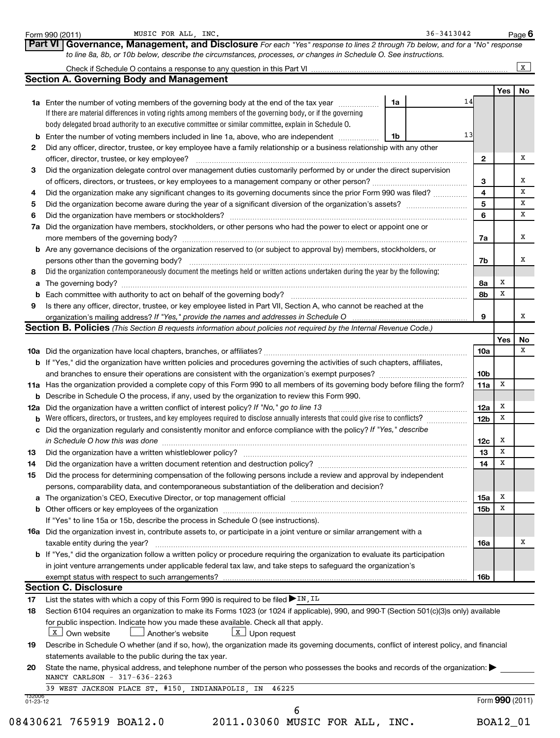|    |                                                                                                                                                                                                                                |                 |             | $\mathbf x$ |
|----|--------------------------------------------------------------------------------------------------------------------------------------------------------------------------------------------------------------------------------|-----------------|-------------|-------------|
|    | <b>Section A. Governing Body and Management</b>                                                                                                                                                                                |                 |             |             |
|    |                                                                                                                                                                                                                                |                 | Yes         | No          |
|    | 14<br>1a Enter the number of voting members of the governing body at the end of the tax year<br>1a                                                                                                                             |                 |             |             |
|    | If there are material differences in voting rights among members of the governing body, or if the governing                                                                                                                    |                 |             |             |
|    | body delegated broad authority to an executive committee or similar committee, explain in Schedule O.                                                                                                                          |                 |             |             |
| b  | 13<br>Enter the number of voting members included in line 1a, above, who are independent<br>1b                                                                                                                                 |                 |             |             |
| 2  | Did any officer, director, trustee, or key employee have a family relationship or a business relationship with any other                                                                                                       |                 |             |             |
|    | officer, director, trustee, or key employee?                                                                                                                                                                                   | $\mathbf{2}$    |             |             |
| 3  | Did the organization delegate control over management duties customarily performed by or under the direct supervision                                                                                                          |                 |             |             |
|    |                                                                                                                                                                                                                                | 3               |             |             |
|    | Did the organization make any significant changes to its governing documents since the prior Form 990 was filed?                                                                                                               | 4               |             |             |
| 5  |                                                                                                                                                                                                                                | 5               |             |             |
|    |                                                                                                                                                                                                                                | 6               |             |             |
|    | 7a Did the organization have members, stockholders, or other persons who had the power to elect or appoint one or                                                                                                              |                 |             |             |
|    |                                                                                                                                                                                                                                | 7a              |             |             |
|    | <b>b</b> Are any governance decisions of the organization reserved to (or subject to approval by) members, stockholders, or                                                                                                    |                 |             |             |
|    | persons other than the governing body?                                                                                                                                                                                         | 7b              |             |             |
| 8  | Did the organization contemporaneously document the meetings held or written actions undertaken during the year by the following:                                                                                              |                 |             |             |
| а  |                                                                                                                                                                                                                                | 8а              | Х           |             |
| b  |                                                                                                                                                                                                                                | 8b              | х           |             |
|    | Is there any officer, director, trustee, or key employee listed in Part VII, Section A, who cannot be reached at the                                                                                                           |                 |             |             |
|    | organization's mailing address? If "Yes," provide the names and addresses in Schedule O                                                                                                                                        | 9               |             |             |
|    | Section B. Policies (This Section B requests information about policies not required by the Internal Revenue Code.)                                                                                                            |                 |             |             |
|    |                                                                                                                                                                                                                                |                 | Yes         |             |
|    |                                                                                                                                                                                                                                | 10a             |             |             |
|    | <b>b</b> If "Yes," did the organization have written policies and procedures governing the activities of such chapters, affiliates,                                                                                            |                 |             |             |
|    |                                                                                                                                                                                                                                | 10 <sub>b</sub> |             |             |
|    | 11a Has the organization provided a complete copy of this Form 990 to all members of its governing body before filing the form?                                                                                                | 11a             | Х           |             |
|    | <b>b</b> Describe in Schedule O the process, if any, used by the organization to review this Form 990.                                                                                                                         |                 |             |             |
|    | 12a Did the organization have a written conflict of interest policy? If "No," go to line 13                                                                                                                                    | 12a             | х           |             |
|    | <b>b</b> Were officers, directors, or trustees, and key employees required to disclose annually interests that could give rise to conflicts?                                                                                   | 12b             | Х           |             |
|    | c Did the organization regularly and consistently monitor and enforce compliance with the policy? If "Yes," describe                                                                                                           |                 |             |             |
|    | in Schedule O how this was done communication and continuum and contact the was done                                                                                                                                           | 12c             | х           |             |
|    |                                                                                                                                                                                                                                | 13              | Х           |             |
| 13 |                                                                                                                                                                                                                                | 14              | $\mathbf X$ |             |
|    | Did the process for determining compensation of the following persons include a review and approval by independent                                                                                                             |                 |             |             |
|    | persons, comparability data, and contemporaneous substantiation of the deliberation and decision?                                                                                                                              |                 |             |             |
| а  | The organization's CEO, Executive Director, or top management official manufactured content content of the organization's CEO, Executive Director, or top management official manufactured content of the original content of  | 15a             | Х           |             |
|    | b Other officers or key employees of the organization manufactured content to content of the organization manufactured content of the organization manufactured content of the organization manufactured content of the organi | 15b             | х           |             |
|    | If "Yes" to line 15a or 15b, describe the process in Schedule O (see instructions).                                                                                                                                            |                 |             |             |
|    |                                                                                                                                                                                                                                |                 |             |             |
|    | <b>16a</b> Did the organization invest in, contribute assets to, or participate in a joint venture or similar arrangement with a                                                                                               |                 |             |             |
|    | taxable entity during the year?<br><b>b</b> If "Yes," did the organization follow a written policy or procedure requiring the organization to evaluate its participation                                                       | 16a             |             |             |
|    |                                                                                                                                                                                                                                |                 |             |             |
|    | in joint venture arrangements under applicable federal tax law, and take steps to safeguard the organization's                                                                                                                 |                 |             |             |
|    | exempt status with respect to such arrangements?<br><b>Section C. Disclosure</b>                                                                                                                                               | 16b             |             |             |
|    |                                                                                                                                                                                                                                |                 |             |             |
|    | List the states with which a copy of this Form 990 is required to be filed $\blacktriangleright$ IN, IL                                                                                                                        |                 |             |             |
|    |                                                                                                                                                                                                                                |                 |             |             |
|    | Section 6104 requires an organization to make its Forms 1023 (or 1024 if applicable), 990, and 990-T (Section 501(c)(3)s only) available                                                                                       |                 |             |             |
|    | for public inspection. Indicate how you made these available. Check all that apply.                                                                                                                                            |                 |             |             |
|    | X Own website<br>$\lfloor x \rfloor$ Upon request<br>$\!\!\!\Box$ Another's website                                                                                                                                            |                 |             |             |
|    | Describe in Schedule O whether (and if so, how), the organization made its governing documents, conflict of interest policy, and financial                                                                                     |                 |             |             |
|    | statements available to the public during the tax year.                                                                                                                                                                        |                 |             |             |
|    | State the name, physical address, and telephone number of the person who possesses the books and records of the organization:                                                                                                  |                 |             |             |
|    | NANCY CARLSON - 317-636-2263<br>39 WEST JACKSON PLACE ST. #150,<br>INDIANAPOLIS, IN<br>46225                                                                                                                                   |                 |             |             |

Form 990 (2011) MUSIC FOR ALL, INC. The Second Second Second Second Second Page Page

08430621 765919 BOA12.0 2011.03060 MUSIC FOR ALL, INC. BOA12\_01

**6**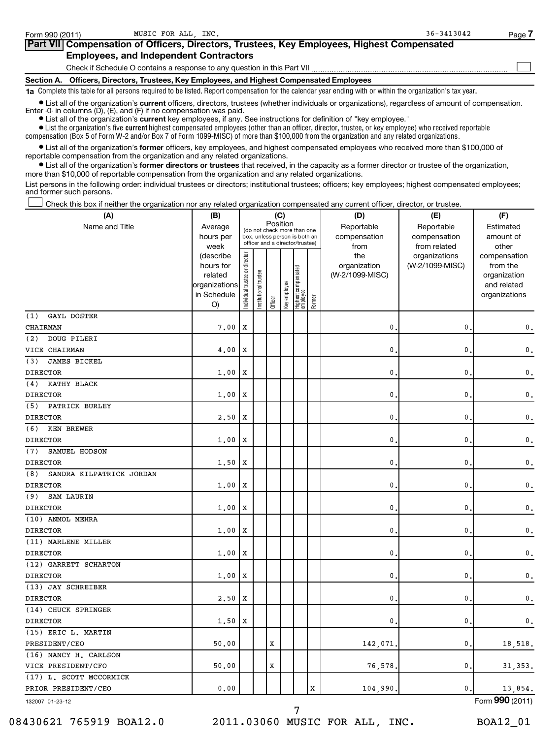| Form 990 (2011) | MUSIC FOR ALL INC.                                                                                                                                                                                                                   | $36 - 3413042$ | Page |
|-----------------|--------------------------------------------------------------------------------------------------------------------------------------------------------------------------------------------------------------------------------------|----------------|------|
|                 | Part VII Compensation of Officers, Directors, Trustees, Key Employees, Highest Compensated                                                                                                                                           |                |      |
|                 | <b>Employees, and Independent Contractors</b>                                                                                                                                                                                        |                |      |
|                 | Check if Schedule O contains a response to any question in this Part VII                                                                                                                                                             |                |      |
| Section A.      | Officers, Directors, Trustees, Key Employees, and Highest Compensated Employees                                                                                                                                                      |                |      |
|                 | 1a Complete this table for all persons required to be listed. Report compensation for the calendar year ending with or within the organization's tax year.                                                                           |                |      |
|                 | • List all of the organization's current officers, directors, trustees (whether individuals or organizations), regardless of amount of compensation.<br>Enter $-0$ in columns $(D)$ , $(E)$ , and $(F)$ if no compensation was paid. |                |      |

**•** List all of the organization's **current** key employees, if any. See instructions for definition of "key employee."

 $\bullet$  List the organization's five  $\tt current$  highest compensated employees (other than an officer, director, trustee, or key employee) who received reportable compensation (Box 5 of Form W-2 and/or Box 7 of Form 1099-MISC) of more than \$100,000 from the organization and any related organizations .

 $\bullet$  List all of the organization's former officers, key employees, and highest compensated employees who received more than \$100,000 of reportable compensation from the organization and any related organizations.

**•** List all of the organization's former directors or trustees that received, in the capacity as a former director or trustee of the organization, more than \$10,000 of reportable compensation from the organization and any related organizations.

List persons in the following order: individual trustees or directors; institutional trustees; officers; key employees; highest compensated employees; and former such persons.

Check this box if neither the organization nor any related organization compensated any current officer, director, or trustee.  $\left\vert \cdot\right\vert$ 

| (A)                             | (B)                                                                             | (C)                            |                                                                                                             |         |              |                                 |        | (D)                                            | (E)                                              | (F)                                                                               |
|---------------------------------|---------------------------------------------------------------------------------|--------------------------------|-------------------------------------------------------------------------------------------------------------|---------|--------------|---------------------------------|--------|------------------------------------------------|--------------------------------------------------|-----------------------------------------------------------------------------------|
| Name and Title                  | Average<br>hours per                                                            |                                | Position<br>(do not check more than one<br>box, unless person is both an<br>officer and a director/trustee) |         |              |                                 |        | Reportable<br>compensation                     | Reportable<br>compensation                       | Estimated<br>amount of                                                            |
|                                 | week<br>(describe<br>hours for<br>related<br>organizations<br>in Schedule<br>O) | Individual trustee or director | Institutional trustee                                                                                       | Officer | Key employee | Highest compensated<br>employee | Former | from<br>the<br>organization<br>(W-2/1099-MISC) | from related<br>organizations<br>(W-2/1099-MISC) | other<br>compensation<br>from the<br>organization<br>and related<br>organizations |
| (1)<br>GAYL DOSTER              |                                                                                 |                                |                                                                                                             |         |              |                                 |        |                                                |                                                  |                                                                                   |
| CHAIRMAN                        | 7,00                                                                            | $\mathbf x$                    |                                                                                                             |         |              |                                 |        | $\mathbf{0}$                                   | $\mathbf{0}$ .                                   | 0.                                                                                |
| (2)<br>DOUG PILERI              |                                                                                 |                                |                                                                                                             |         |              |                                 |        |                                                |                                                  |                                                                                   |
| VICE CHAIRMAN                   | 4,00                                                                            | Х                              |                                                                                                             |         |              |                                 |        | 0                                              | $\mathbf{0}$                                     | 0.                                                                                |
| JAMES BICKEL<br>(3)             |                                                                                 |                                |                                                                                                             |         |              |                                 |        |                                                |                                                  |                                                                                   |
| <b>DIRECTOR</b>                 | 1,00                                                                            | X                              |                                                                                                             |         |              |                                 |        | $\mathbf{0}$                                   | $\mathbf{0}$                                     | 0.                                                                                |
| KATHY BLACK<br>(4)              |                                                                                 |                                |                                                                                                             |         |              |                                 |        |                                                |                                                  |                                                                                   |
| <b>DIRECTOR</b>                 | 1,00                                                                            | X                              |                                                                                                             |         |              |                                 |        | $\mathbf{0}$                                   | 0                                                | 0.                                                                                |
| PATRICK BURLEY<br>(5)           |                                                                                 |                                |                                                                                                             |         |              |                                 |        |                                                |                                                  |                                                                                   |
| <b>DIRECTOR</b>                 | 2.50                                                                            | X                              |                                                                                                             |         |              |                                 |        | $\mathbf{0}$                                   | $\mathbf{0}$                                     | $\mathbf 0$ .                                                                     |
| (6)<br>KEN BREWER               |                                                                                 |                                |                                                                                                             |         |              |                                 |        |                                                |                                                  |                                                                                   |
| <b>DIRECTOR</b>                 | 1,00                                                                            | Х                              |                                                                                                             |         |              |                                 |        | 0                                              | 0                                                | $\mathbf 0$ .                                                                     |
| (7)<br>SAMUEL HODSON            |                                                                                 |                                |                                                                                                             |         |              |                                 |        |                                                |                                                  |                                                                                   |
| <b>DIRECTOR</b>                 | 1,50                                                                            | X                              |                                                                                                             |         |              |                                 |        | 0                                              | 0                                                | $\mathbf 0$ .                                                                     |
| (8)<br>SANDRA KILPATRICK JORDAN |                                                                                 |                                |                                                                                                             |         |              |                                 |        |                                                |                                                  |                                                                                   |
| <b>DIRECTOR</b>                 | 1,00                                                                            | Х                              |                                                                                                             |         |              |                                 |        | 0                                              | 0                                                | $\mathbf 0$ .                                                                     |
| SAM LAURIN<br>(9)               |                                                                                 |                                |                                                                                                             |         |              |                                 |        |                                                |                                                  |                                                                                   |
| <b>DIRECTOR</b>                 | 1.00                                                                            | х                              |                                                                                                             |         |              |                                 |        | 0                                              | $\mathbf 0$                                      | $\mathbf 0$ .                                                                     |
| (10) ANMOL MEHRA                |                                                                                 |                                |                                                                                                             |         |              |                                 |        |                                                |                                                  |                                                                                   |
| <b>DIRECTOR</b>                 | 1.00                                                                            | Х                              |                                                                                                             |         |              |                                 |        | $\mathbf 0$                                    | $\mathbf 0$                                      | $\mathbf 0$ .                                                                     |
| (11) MARLENE MILLER             |                                                                                 |                                |                                                                                                             |         |              |                                 |        |                                                |                                                  |                                                                                   |
| <b>DIRECTOR</b>                 | 1,00                                                                            | X                              |                                                                                                             |         |              |                                 |        | 0                                              | 0                                                | 0.                                                                                |
| (12) GARRETT SCHARTON           |                                                                                 |                                |                                                                                                             |         |              |                                 |        |                                                |                                                  |                                                                                   |
| <b>DIRECTOR</b>                 | 1,00                                                                            | X                              |                                                                                                             |         |              |                                 |        | 0                                              | 0                                                | $\mathbf 0$ .                                                                     |
| (13) JAY SCHREIBER              |                                                                                 |                                |                                                                                                             |         |              |                                 |        |                                                |                                                  |                                                                                   |
| <b>DIRECTOR</b>                 | 2.50                                                                            | X                              |                                                                                                             |         |              |                                 |        | 0                                              | 0                                                | $\mathbf 0$ .                                                                     |
| (14) CHUCK SPRINGER             |                                                                                 |                                |                                                                                                             |         |              |                                 |        |                                                |                                                  |                                                                                   |
| <b>DIRECTOR</b>                 | 1,50                                                                            | X                              |                                                                                                             |         |              |                                 |        | $\mathbf 0$                                    | 0                                                | $\mathbf 0$ .                                                                     |
| (15) ERIC L. MARTIN             |                                                                                 |                                |                                                                                                             |         |              |                                 |        |                                                |                                                  |                                                                                   |
| PRESIDENT/CEO                   | 50.00                                                                           |                                |                                                                                                             | X       |              |                                 |        | 142,071                                        | 0                                                | 18,518.                                                                           |
| (16) NANCY H. CARLSON           |                                                                                 |                                |                                                                                                             |         |              |                                 |        |                                                |                                                  |                                                                                   |
| VICE PRESIDENT/CFO              | 50.00                                                                           |                                |                                                                                                             | X       |              |                                 |        | 76,578                                         | 0.                                               | 31, 353.                                                                          |
| (17) L. SCOTT MCCORMICK         |                                                                                 |                                |                                                                                                             |         |              |                                 |        |                                                |                                                  |                                                                                   |
| PRIOR PRESIDENT/CEO             | 0.00                                                                            |                                |                                                                                                             |         |              |                                 | X      | 104,990                                        | 0.                                               | 13,854.                                                                           |
|                                 |                                                                                 |                                |                                                                                                             |         |              |                                 |        |                                                |                                                  |                                                                                   |

132007 01-23-12

08430621 765919 BOA12.0 2011.03060 MUSIC FOR ALL, INC. BOA12\_01

7

Form (2011) **990**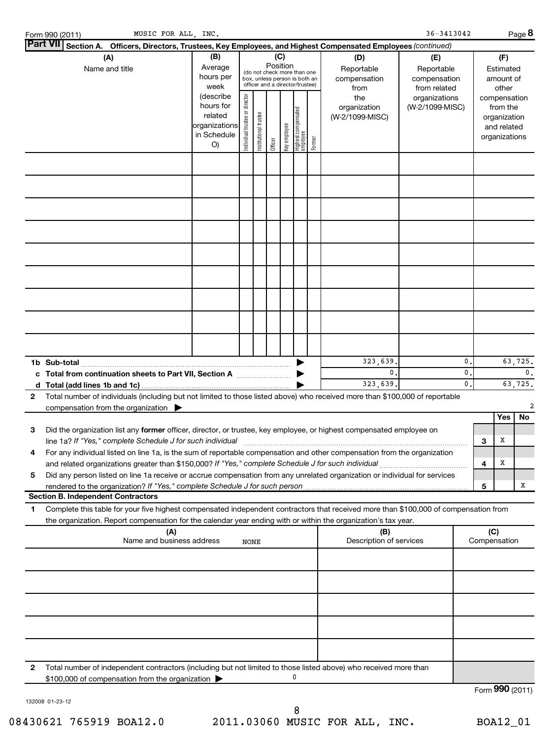|              | MUSIC FOR ALL, INC.<br>Form 990 (2011)                                                                                                                                                   |                                                                         |                                |                       |                 |              |                                                                                                 |        |                                           | $36 - 3413042$                                    |          |                     |                                                                          | Page 8        |
|--------------|------------------------------------------------------------------------------------------------------------------------------------------------------------------------------------------|-------------------------------------------------------------------------|--------------------------------|-----------------------|-----------------|--------------|-------------------------------------------------------------------------------------------------|--------|-------------------------------------------|---------------------------------------------------|----------|---------------------|--------------------------------------------------------------------------|---------------|
|              | Part VII Section A. Officers, Directors, Trustees, Key Employees, and Highest Compensated Employees (continued)                                                                          |                                                                         |                                |                       |                 |              |                                                                                                 |        |                                           |                                                   |          |                     |                                                                          |               |
|              | (A)<br>Name and title                                                                                                                                                                    | (B)<br>Average<br>hours per<br>week                                     |                                |                       | (C)<br>Position |              | (do not check more than one<br>box, unless person is both an<br>officer and a director/trustee) |        | (D)<br>Reportable<br>compensation<br>from | (E)<br>Reportable<br>compensation<br>from related |          |                     | (F)<br>Estimated<br>amount of<br>other                                   |               |
|              |                                                                                                                                                                                          | (describe<br>hours for<br>related<br>organizations<br>in Schedule<br>O) | Individual trustee or director | Institutional trustee | Officer         | Key employee | Highest compensated<br>  employee                                                               | Former | the<br>organization<br>(W-2/1099-MISC)    | organizations<br>(W-2/1099-MISC)                  |          |                     | compensation<br>from the<br>organization<br>and related<br>organizations |               |
|              |                                                                                                                                                                                          |                                                                         |                                |                       |                 |              |                                                                                                 |        |                                           |                                                   |          |                     |                                                                          |               |
|              |                                                                                                                                                                                          |                                                                         |                                |                       |                 |              |                                                                                                 |        |                                           |                                                   |          |                     |                                                                          |               |
|              |                                                                                                                                                                                          |                                                                         |                                |                       |                 |              |                                                                                                 |        |                                           |                                                   |          |                     |                                                                          |               |
|              |                                                                                                                                                                                          |                                                                         |                                |                       |                 |              |                                                                                                 |        |                                           |                                                   |          |                     |                                                                          |               |
|              |                                                                                                                                                                                          |                                                                         |                                |                       |                 |              |                                                                                                 |        |                                           |                                                   |          |                     |                                                                          |               |
|              |                                                                                                                                                                                          |                                                                         |                                |                       |                 |              |                                                                                                 |        |                                           |                                                   |          |                     |                                                                          |               |
|              |                                                                                                                                                                                          |                                                                         |                                |                       |                 |              |                                                                                                 |        |                                           |                                                   |          |                     |                                                                          |               |
|              |                                                                                                                                                                                          |                                                                         |                                |                       |                 |              |                                                                                                 |        | 323,639.                                  |                                                   | 0.       |                     |                                                                          | 63,725.       |
|              | c Total from continuation sheets to Part VII, Section A                                                                                                                                  |                                                                         |                                |                       |                 |              |                                                                                                 |        | 0.<br>323,639.                            |                                                   | 0.<br>0. |                     |                                                                          | 0.<br>63,725. |
| $\mathbf{2}$ | Total number of individuals (including but not limited to those listed above) who received more than \$100,000 of reportable<br>compensation from the organization $\blacktriangleright$ |                                                                         |                                |                       |                 |              |                                                                                                 |        |                                           |                                                   |          |                     | Yes                                                                      | No            |
| з            | Did the organization list any former officer, director, or trustee, key employee, or highest compensated employee on<br>line 1a? If "Yes," complete Schedule J for such individual       |                                                                         |                                |                       |                 |              |                                                                                                 |        |                                           |                                                   |          | 3                   | х                                                                        |               |
| 4            | For any individual listed on line 1a, is the sum of reportable compensation and other compensation from the organization                                                                 |                                                                         |                                |                       |                 |              |                                                                                                 |        |                                           |                                                   |          | 4                   | Х                                                                        |               |
| 5            | Did any person listed on line 1a receive or accrue compensation from any unrelated organization or individual for services                                                               |                                                                         |                                |                       |                 |              |                                                                                                 |        |                                           |                                                   |          | 5                   |                                                                          | х             |
| 1            | <b>Section B. Independent Contractors</b><br>Complete this table for your five highest compensated independent contractors that received more than \$100,000 of compensation from        |                                                                         |                                |                       |                 |              |                                                                                                 |        |                                           |                                                   |          |                     |                                                                          |               |
|              | the organization. Report compensation for the calendar year ending with or within the organization's tax year.<br>(A)<br>Name and business address                                       |                                                                         | <b>NONE</b>                    |                       |                 |              |                                                                                                 |        | (B)<br>Description of services            |                                                   |          | (C)<br>Compensation |                                                                          |               |
|              |                                                                                                                                                                                          |                                                                         |                                |                       |                 |              |                                                                                                 |        |                                           |                                                   |          |                     |                                                                          |               |
|              |                                                                                                                                                                                          |                                                                         |                                |                       |                 |              |                                                                                                 |        |                                           |                                                   |          |                     |                                                                          |               |
|              |                                                                                                                                                                                          |                                                                         |                                |                       |                 |              |                                                                                                 |        |                                           |                                                   |          |                     |                                                                          |               |
|              |                                                                                                                                                                                          |                                                                         |                                |                       |                 |              |                                                                                                 |        |                                           |                                                   |          |                     |                                                                          |               |
| $\mathbf{2}$ | Total number of independent contractors (including but not limited to those listed above) who received more than                                                                         |                                                                         |                                |                       |                 |              |                                                                                                 |        |                                           |                                                   |          |                     |                                                                          |               |
|              | \$100,000 of compensation from the organization >                                                                                                                                        |                                                                         |                                |                       |                 |              | 0                                                                                               |        |                                           |                                                   |          | Form 990 (2011)     |                                                                          |               |

132008 01-23-12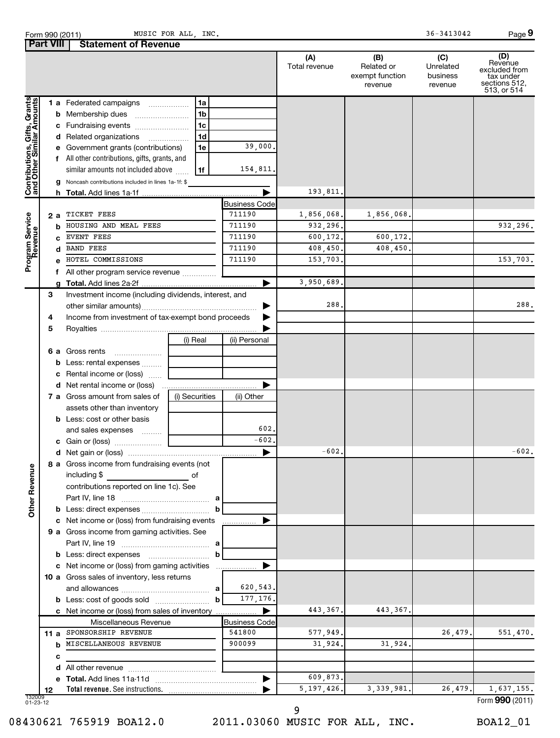Form 990 (2011) MUSIC FOR ALL, INC. The Second Second Second Second Second Second Page

**9**

|                                                           | <b>Part VIII</b> | <b>Statement of Revenue</b>                                                                                              |                                |                      |                                                 |                                         |                                                                              |
|-----------------------------------------------------------|------------------|--------------------------------------------------------------------------------------------------------------------------|--------------------------------|----------------------|-------------------------------------------------|-----------------------------------------|------------------------------------------------------------------------------|
|                                                           |                  |                                                                                                                          |                                | (A)<br>Total revenue | (B)<br>Related or<br>exempt function<br>revenue | (C)<br>Unrelated<br>business<br>revenue | (D)<br>Revenue<br>excluded from<br>tax under<br>sections 512,<br>513, or 514 |
| Contributions, Gifts, Grants<br>and Other Similar Amounts |                  | 1 a Federated campaigns<br>1a                                                                                            |                                |                      |                                                 |                                         |                                                                              |
|                                                           |                  | <b>b</b> Membership dues<br>1b                                                                                           |                                |                      |                                                 |                                         |                                                                              |
|                                                           |                  | 1 <sub>c</sub><br>c Fundraising events                                                                                   |                                |                      |                                                 |                                         |                                                                              |
|                                                           |                  | 1d<br>d Related organizations                                                                                            |                                |                      |                                                 |                                         |                                                                              |
|                                                           |                  | e Government grants (contributions)<br>1e                                                                                | 39,000.                        |                      |                                                 |                                         |                                                                              |
|                                                           |                  | f All other contributions, gifts, grants, and                                                                            |                                |                      |                                                 |                                         |                                                                              |
|                                                           |                  | similar amounts not included above<br>1f                                                                                 | 154,811.                       |                      |                                                 |                                         |                                                                              |
|                                                           |                  | g Noncash contributions included in lines 1a-1f: \$                                                                      |                                |                      |                                                 |                                         |                                                                              |
|                                                           |                  |                                                                                                                          |                                | 193,811.             |                                                 |                                         |                                                                              |
|                                                           |                  | TICKET FEES                                                                                                              | <b>Business Code</b><br>711190 | 1,856,068.           | 1,856,068.                                      |                                         |                                                                              |
|                                                           | 2а               | HOUSING AND MEAL FEES                                                                                                    | 711190                         | 932,296.             |                                                 |                                         | 932,296.                                                                     |
|                                                           | b                | EVENT FEES                                                                                                               | 711190                         | 600,172.             | 600,172.                                        |                                         |                                                                              |
|                                                           | d                | <b>BAND FEES</b>                                                                                                         | 711190                         | 408,450.             | 408,450.                                        |                                         |                                                                              |
| Program Service<br>Revenue                                |                  | HOTEL COMMISSIONS                                                                                                        | 711190                         | 153,703.             |                                                 |                                         | 153,703.                                                                     |
|                                                           | f                | All other program service revenue                                                                                        |                                |                      |                                                 |                                         |                                                                              |
|                                                           |                  |                                                                                                                          | ▶                              | 3,950,689.           |                                                 |                                         |                                                                              |
|                                                           | 3                | Investment income (including dividends, interest, and                                                                    |                                |                      |                                                 |                                         |                                                                              |
|                                                           |                  |                                                                                                                          | ▶                              | 288.                 |                                                 |                                         | 288.                                                                         |
|                                                           | 4                | Income from investment of tax-exempt bond proceeds                                                                       | ▶                              |                      |                                                 |                                         |                                                                              |
|                                                           | 5                |                                                                                                                          |                                |                      |                                                 |                                         |                                                                              |
|                                                           |                  | (i) Real                                                                                                                 | (ii) Personal                  |                      |                                                 |                                         |                                                                              |
|                                                           |                  | 6 a Gross rents                                                                                                          |                                |                      |                                                 |                                         |                                                                              |
|                                                           |                  | <b>b</b> Less: rental expenses                                                                                           |                                |                      |                                                 |                                         |                                                                              |
|                                                           |                  | c Rental income or (loss)                                                                                                |                                |                      |                                                 |                                         |                                                                              |
|                                                           |                  | <b>d</b> Net rental income or (loss)                                                                                     |                                |                      |                                                 |                                         |                                                                              |
|                                                           |                  | 7 a Gross amount from sales of<br>(i) Securities                                                                         | (ii) Other                     |                      |                                                 |                                         |                                                                              |
|                                                           |                  | assets other than inventory                                                                                              |                                |                      |                                                 |                                         |                                                                              |
|                                                           |                  | <b>b</b> Less: cost or other basis                                                                                       |                                |                      |                                                 |                                         |                                                                              |
|                                                           |                  | and sales expenses                                                                                                       | 602.                           |                      |                                                 |                                         |                                                                              |
|                                                           |                  |                                                                                                                          | $-602$                         |                      |                                                 |                                         |                                                                              |
|                                                           |                  |                                                                                                                          | ▶                              | $-602.$              |                                                 |                                         | $-602.$                                                                      |
| <b>Other Revenue</b>                                      |                  | 8 a Gross income from fundraising events (not<br>including \$<br><u>of</u> of<br>contributions reported on line 1c). See | а                              |                      |                                                 |                                         |                                                                              |
|                                                           |                  |                                                                                                                          | b                              |                      |                                                 |                                         |                                                                              |
|                                                           |                  | c Net income or (loss) from fundraising events                                                                           |                                |                      |                                                 |                                         |                                                                              |
|                                                           |                  | 9 a Gross income from gaming activities. See                                                                             |                                |                      |                                                 |                                         |                                                                              |
|                                                           |                  |                                                                                                                          | а                              |                      |                                                 |                                         |                                                                              |
|                                                           |                  |                                                                                                                          | b                              |                      |                                                 |                                         |                                                                              |
|                                                           |                  | c Net income or (loss) from gaming activities                                                                            |                                |                      |                                                 |                                         |                                                                              |
|                                                           |                  | 10 a Gross sales of inventory, less returns                                                                              |                                |                      |                                                 |                                         |                                                                              |
|                                                           |                  |                                                                                                                          | 620,543.<br>а                  |                      |                                                 |                                         |                                                                              |
|                                                           |                  | <b>b</b> Less: cost of goods sold                                                                                        | 177, 176.<br>b                 |                      |                                                 |                                         |                                                                              |
|                                                           |                  | c Net income or (loss) from sales of inventory                                                                           | ▶                              | 443,367.             | 443, 367.                                       |                                         |                                                                              |
|                                                           |                  | Miscellaneous Revenue                                                                                                    | <b>Business Code</b>           |                      |                                                 |                                         |                                                                              |
|                                                           | 11 a             | SPONSORSHIP REVENUE                                                                                                      | 541800                         | 577,949.             |                                                 | 26,479.                                 | 551,470.                                                                     |
|                                                           | b                | MISCELLANEOUS REVENUE                                                                                                    | 900099                         | 31,924.              | 31,924.                                         |                                         |                                                                              |
|                                                           | c                |                                                                                                                          |                                |                      |                                                 |                                         |                                                                              |
|                                                           | d                |                                                                                                                          |                                |                      |                                                 |                                         |                                                                              |
|                                                           |                  |                                                                                                                          | ▶                              | 609,873.             |                                                 |                                         |                                                                              |
|                                                           | 12               |                                                                                                                          |                                | 5, 197, 426.         | 3, 339, 981.                                    | 26,479.                                 | 1,637,155.                                                                   |
| 132009<br>01-23-12                                        |                  |                                                                                                                          |                                |                      |                                                 |                                         | Form 990 (2011)                                                              |

9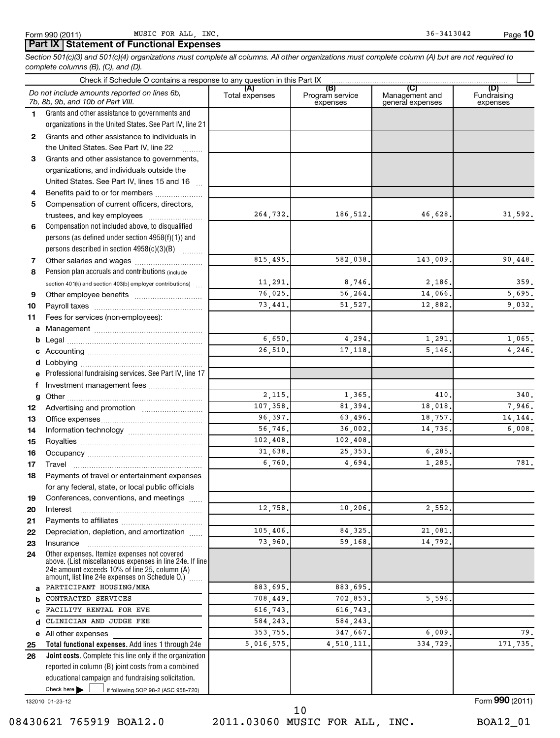### **Part IX Statement of Functional Expenses**

*Section 501(c)(3) and 501(c)(4) organizations must complete all columns. All other organizations must complete column (A) but are not required to complete columns (B), (C), and (D).*

|          | Check if Schedule O contains a response to any question in this Part IX [11] manufactured in the Schedule O contains a response to any question in this Part IX [11] manufactured in the Schedule O contains and the Schedule |                    |                                    |                                           |                                |
|----------|-------------------------------------------------------------------------------------------------------------------------------------------------------------------------------------------------------------------------------|--------------------|------------------------------------|-------------------------------------------|--------------------------------|
|          | Do not include amounts reported on lines 6b,<br>7b, 8b, 9b, and 10b of Part VIII.                                                                                                                                             | Total expenses     | (B)<br>Program service<br>expenses | (C)<br>Management and<br>general expenses | (D)<br>Fundraising<br>expenses |
| 1.       | Grants and other assistance to governments and                                                                                                                                                                                |                    |                                    |                                           |                                |
|          | organizations in the United States. See Part IV, line 21                                                                                                                                                                      |                    |                                    |                                           |                                |
| 2        | Grants and other assistance to individuals in                                                                                                                                                                                 |                    |                                    |                                           |                                |
|          | the United States. See Part IV, line 22                                                                                                                                                                                       |                    |                                    |                                           |                                |
| 3        | Grants and other assistance to governments,                                                                                                                                                                                   |                    |                                    |                                           |                                |
|          | organizations, and individuals outside the                                                                                                                                                                                    |                    |                                    |                                           |                                |
|          | United States. See Part IV, lines 15 and 16                                                                                                                                                                                   |                    |                                    |                                           |                                |
| 4        | Benefits paid to or for members                                                                                                                                                                                               |                    |                                    |                                           |                                |
| 5        | Compensation of current officers, directors,                                                                                                                                                                                  |                    |                                    |                                           |                                |
|          | trustees, and key employees                                                                                                                                                                                                   | 264,732.           | 186,512.                           | 46,628.                                   | 31,592.                        |
| 6        | Compensation not included above, to disqualified                                                                                                                                                                              |                    |                                    |                                           |                                |
|          | persons (as defined under section 4958(f)(1)) and                                                                                                                                                                             |                    |                                    |                                           |                                |
|          | persons described in section 4958(c)(3)(B)<br>1.1.1.1.1.1.1                                                                                                                                                                   |                    |                                    |                                           |                                |
| 7        | Other salaries and wages                                                                                                                                                                                                      | 815,495.           | 582,038.                           | 143,009.                                  | 90,448.                        |
| 8        | Pension plan accruals and contributions (include                                                                                                                                                                              |                    |                                    |                                           |                                |
|          | section 401(k) and section 403(b) employer contributions)                                                                                                                                                                     | 11,291.            | 8,746.                             | 2,186.                                    | 359.                           |
| 9        |                                                                                                                                                                                                                               | 76,025.            | 56,264.                            | 14,066.                                   | 5.695.                         |
| 10       |                                                                                                                                                                                                                               | 73,441             | 51,527.                            | 12,882.                                   | 9,032.                         |
| 11       | Fees for services (non-employees):                                                                                                                                                                                            |                    |                                    |                                           |                                |
| a        |                                                                                                                                                                                                                               |                    |                                    |                                           |                                |
| b        |                                                                                                                                                                                                                               | 6,650              | $4, 29\overline{4}$ .              | 1,291                                     | 1,065.                         |
| c        |                                                                                                                                                                                                                               | 26,510             | 17,118.                            | 5,146                                     | 4,246.                         |
| d        |                                                                                                                                                                                                                               |                    |                                    |                                           |                                |
| e        | Professional fundraising services. See Part IV, line 17                                                                                                                                                                       |                    |                                    |                                           |                                |
| f        | Investment management fees                                                                                                                                                                                                    |                    |                                    |                                           |                                |
| g        |                                                                                                                                                                                                                               | 2,115.<br>107,358. | 1,365.                             | 410                                       | 340.                           |
| 12       |                                                                                                                                                                                                                               | 96, 397.           | 81,394.<br>63,496.                 | 18,018<br>18,757.                         | 7,946.<br>14, 144.             |
| 13       |                                                                                                                                                                                                                               | 56,746.            | 36,002.                            | 14,736.                                   | 6,008.                         |
| 14       |                                                                                                                                                                                                                               | 102,408.           | 102,408.                           |                                           |                                |
| 15       |                                                                                                                                                                                                                               | 31,638             | 25, 353.                           | 6, 285,                                   |                                |
| 16       |                                                                                                                                                                                                                               | 6,760              | 4,694.                             | 1,285,                                    | 781.                           |
| 17<br>18 | Travel<br>Payments of travel or entertainment expenses                                                                                                                                                                        |                    |                                    |                                           |                                |
|          | for any federal, state, or local public officials                                                                                                                                                                             |                    |                                    |                                           |                                |
| 19       | Conferences, conventions, and meetings                                                                                                                                                                                        |                    |                                    |                                           |                                |
| 20       | Interest                                                                                                                                                                                                                      | 12,758             | 10, 206.                           | 2,552.                                    |                                |
| 21       |                                                                                                                                                                                                                               |                    |                                    |                                           |                                |
| 22       | Depreciation, depletion, and amortization                                                                                                                                                                                     | 105,406.           | 84, 325.                           | 21,081                                    |                                |
| 23       | Insurance                                                                                                                                                                                                                     | 73,960             | 59,168.                            | 14,792.                                   |                                |
| 24       | Other expenses. Itemize expenses not covered<br>above. (List miscellaneous expenses in line 24e. If line                                                                                                                      |                    |                                    |                                           |                                |
|          | 24e amount exceeds 10% of line 25, column (A)<br>amount, list line 24e expenses on Schedule O.)                                                                                                                               |                    |                                    |                                           |                                |
| a        | PARTICIPANT HOUSING/MEA                                                                                                                                                                                                       | 883,695.           | 883,695.                           |                                           |                                |
| b        | CONTRACTED SERVICES                                                                                                                                                                                                           | 708,449.           | 702,853.                           | 5,596.                                    |                                |
| C        | FACILITY RENTAL FOR EVE                                                                                                                                                                                                       | 616,743.           | 616,743.                           |                                           |                                |
| d        | CLINICIAN AND JUDGE FEE                                                                                                                                                                                                       | 584,243.           | 584,243.                           |                                           |                                |
| е        | All other expenses                                                                                                                                                                                                            | 353,755.           | 347,667.                           | 6,009.                                    | 79.                            |
| 25       | Total functional expenses. Add lines 1 through 24e                                                                                                                                                                            | 5,016,575.         | 4,510,111                          | 334,729.                                  | 171,735.                       |
| 26       | <b>Joint costs.</b> Complete this line only if the organization                                                                                                                                                               |                    |                                    |                                           |                                |
|          | reported in column (B) joint costs from a combined                                                                                                                                                                            |                    |                                    |                                           |                                |
|          | educational campaign and fundraising solicitation.                                                                                                                                                                            |                    |                                    |                                           |                                |
|          | Check here<br>if following SOP 98-2 (ASC 958-720)                                                                                                                                                                             |                    |                                    |                                           |                                |

132010 01-23-12

08430621 765919 BOA12.0 2011.03060 MUSIC FOR ALL, INC. BOA12\_01 10

Form (2011) **990**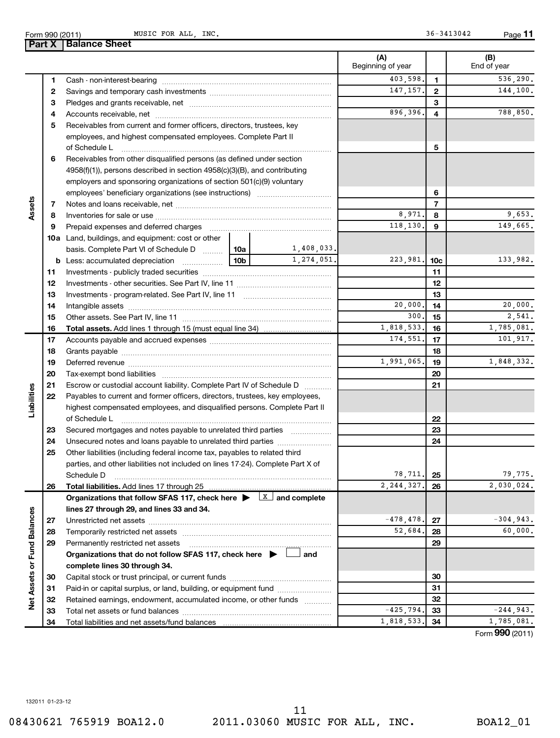Form 990 (2011) MUSIC\_FOR\_ALL,INC. 36-3413042 Page MUSIC FOR ALL, INC. 36-3413042

**11**

|                             |    | <b>Part X   Balance Sheet</b>                                                                                                                                                                                                  |                 |                |                          |                 |                    |
|-----------------------------|----|--------------------------------------------------------------------------------------------------------------------------------------------------------------------------------------------------------------------------------|-----------------|----------------|--------------------------|-----------------|--------------------|
|                             |    |                                                                                                                                                                                                                                |                 |                | (A)<br>Beginning of year |                 | (B)<br>End of year |
|                             | 1  |                                                                                                                                                                                                                                |                 |                | 403,598.                 | $\mathbf{1}$    | 536,290.           |
|                             | 2  |                                                                                                                                                                                                                                | 147, 157.       | $\overline{2}$ | 144,100.                 |                 |                    |
|                             | З  |                                                                                                                                                                                                                                |                 |                | 3                        |                 |                    |
|                             | 4  |                                                                                                                                                                                                                                |                 | 896,396.       | 4                        | 788,850.        |                    |
|                             | 5  | Receivables from current and former officers, directors, trustees, key                                                                                                                                                         |                 |                |                          |                 |                    |
|                             |    | employees, and highest compensated employees. Complete Part II                                                                                                                                                                 |                 |                |                          |                 |                    |
|                             |    | of Schedule L                                                                                                                                                                                                                  |                 |                |                          | 5               |                    |
|                             | 6  | Receivables from other disqualified persons (as defined under section                                                                                                                                                          |                 |                |                          |                 |                    |
|                             |    | 4958(f)(1)), persons described in section 4958(c)(3)(B), and contributing                                                                                                                                                      |                 |                |                          |                 |                    |
|                             |    | employers and sponsoring organizations of section 501(c)(9) voluntary                                                                                                                                                          |                 |                |                          |                 |                    |
|                             |    |                                                                                                                                                                                                                                |                 |                |                          | 6               |                    |
| Assets                      | 7  |                                                                                                                                                                                                                                |                 |                |                          | $\overline{7}$  |                    |
|                             | 8  |                                                                                                                                                                                                                                |                 |                | 8,971.                   | 8               | 9,653.             |
|                             | 9  | Prepaid expenses and deferred charges [11] [11] prepaid expenses and deferred charges [11] [11] minimum and the Prepaid expenses and deferred charges [11] minimum and the Prepaid experiment of Prepaid experiment and the Pr |                 |                | 118,130.                 | 9               | 149,665.           |
|                             |    | <b>10a</b> Land, buildings, and equipment: cost or other                                                                                                                                                                       |                 |                |                          |                 |                    |
|                             |    | basis. Complete Part VI of Schedule D  10a                                                                                                                                                                                     |                 | 1,408,033.     |                          |                 |                    |
|                             |    | <b>b</b> Less: accumulated depreciation                                                                                                                                                                                        | 10 <sub>b</sub> | 1,274,051.     | 223,981.                 | 10 <sub>c</sub> | 133,982.           |
|                             | 11 |                                                                                                                                                                                                                                |                 |                |                          | 11              |                    |
|                             | 12 |                                                                                                                                                                                                                                |                 |                |                          | 12              |                    |
|                             | 13 |                                                                                                                                                                                                                                |                 |                |                          | 13              |                    |
|                             | 14 |                                                                                                                                                                                                                                |                 |                | 20,000.                  | 14              | 20,000.            |
|                             | 15 |                                                                                                                                                                                                                                |                 | 300.           | 15                       | 2,541.          |                    |
|                             | 16 | <b>Total assets.</b> Add lines 1 through 15 (must equal line 34) <i></i>                                                                                                                                                       |                 |                | 1,818,533.               | 16              | 1,785,081.         |
|                             | 17 |                                                                                                                                                                                                                                |                 | 174,551.       | 17                       | 101,917.        |                    |
|                             | 18 |                                                                                                                                                                                                                                |                 |                | 18                       |                 |                    |
|                             | 19 |                                                                                                                                                                                                                                |                 |                | 1,991,065.               | 19              | 1,848,332.         |
|                             | 20 |                                                                                                                                                                                                                                |                 |                |                          | 20              |                    |
|                             | 21 | Escrow or custodial account liability. Complete Part IV of Schedule D                                                                                                                                                          |                 |                |                          | 21              |                    |
| Liabilities                 | 22 | Payables to current and former officers, directors, trustees, key employees,                                                                                                                                                   |                 |                |                          |                 |                    |
|                             |    | highest compensated employees, and disqualified persons. Complete Part II                                                                                                                                                      |                 |                |                          |                 |                    |
|                             |    | of Schedule L                                                                                                                                                                                                                  |                 |                |                          | 22              |                    |
|                             | 23 | Secured mortgages and notes payable to unrelated third parties                                                                                                                                                                 |                 |                |                          | 23              |                    |
|                             | 24 | Unsecured notes and loans payable to unrelated third parties                                                                                                                                                                   |                 |                |                          | 24              |                    |
|                             | 25 | Other liabilities (including federal income tax, payables to related third                                                                                                                                                     |                 |                |                          |                 |                    |
|                             |    | parties, and other liabilities not included on lines 17-24). Complete Part X of                                                                                                                                                |                 |                |                          |                 |                    |
|                             |    | Schedule D                                                                                                                                                                                                                     |                 |                | 78,711.                  | 25              | 79,775.            |
|                             | 26 | Total liabilities. Add lines 17 through 25                                                                                                                                                                                     |                 |                | 2, 244, 327.             | 26              | 2,030,024.         |
|                             |    | Organizations that follow SFAS 117, check here $\blacktriangleright \begin{array}{c} \boxed{X} \\ \end{array}$ and complete                                                                                                    |                 |                |                          |                 |                    |
|                             |    | lines 27 through 29, and lines 33 and 34.                                                                                                                                                                                      |                 |                |                          |                 |                    |
|                             | 27 |                                                                                                                                                                                                                                |                 |                | $-478, 478.$             | 27              | $-304,943.$        |
|                             | 28 |                                                                                                                                                                                                                                |                 |                | 52,684.                  | 28              | 60,000.            |
|                             | 29 | Permanently restricted net assets                                                                                                                                                                                              |                 |                |                          | 29              |                    |
|                             |    | Organizations that do not follow SFAS 117, check here $\blacktriangleright$                                                                                                                                                    |                 | and            |                          |                 |                    |
|                             |    | complete lines 30 through 34.                                                                                                                                                                                                  |                 |                |                          |                 |                    |
|                             | 30 |                                                                                                                                                                                                                                |                 |                |                          | 30              |                    |
|                             | 31 | Paid-in or capital surplus, or land, building, or equipment fund                                                                                                                                                               |                 |                |                          | 31              |                    |
| Net Assets or Fund Balances | 32 | Retained earnings, endowment, accumulated income, or other funds                                                                                                                                                               |                 |                |                          | 32              |                    |
|                             | 33 |                                                                                                                                                                                                                                |                 |                | $-425,794.$              | 33              | $-244,943.$        |
|                             | 34 |                                                                                                                                                                                                                                |                 |                | 1,818,533.               | 34              | 1,785,081.         |
|                             |    |                                                                                                                                                                                                                                |                 |                |                          |                 |                    |

Form (2011) **990**

132011 01-23-12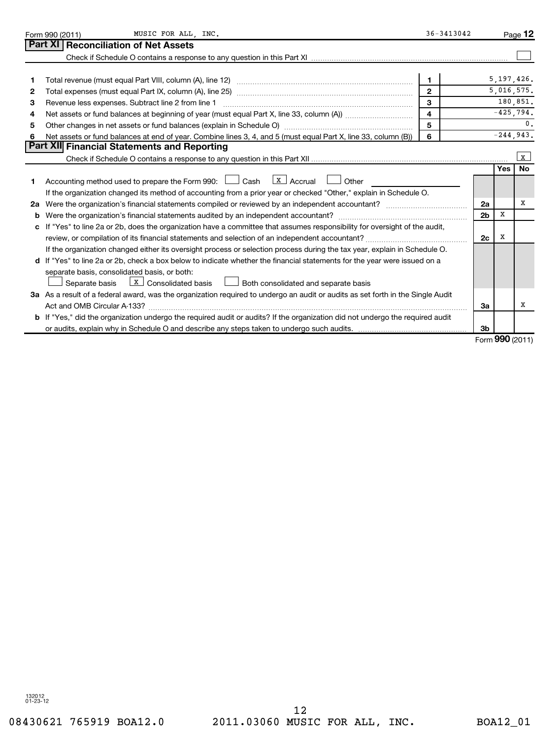|    | MUSIC FOR ALL, INC.<br>Form 990 (2011)                                                                                          |                | $36 - 3413042$ |                |             | Page 12      |
|----|---------------------------------------------------------------------------------------------------------------------------------|----------------|----------------|----------------|-------------|--------------|
|    | Part XI Reconciliation of Net Assets                                                                                            |                |                |                |             |              |
|    |                                                                                                                                 |                |                |                |             |              |
|    |                                                                                                                                 |                |                |                |             |              |
| 1  |                                                                                                                                 | $\mathbf{1}$   |                |                |             | 5,197,426.   |
| 2  |                                                                                                                                 | $\overline{2}$ |                |                |             | 5,016,575.   |
| 3  | Revenue less expenses. Subtract line 2 from line 1                                                                              | 3              |                |                |             | 180,851.     |
| 4  |                                                                                                                                 | $\overline{4}$ |                |                |             | $-425,794.$  |
| 5  |                                                                                                                                 | 5              |                |                |             | 0.           |
| 6  | Net assets or fund balances at end of year. Combine lines 3, 4, and 5 (must equal Part X, line 33, column (B))                  | 6              |                |                |             | $-244,943.$  |
|    | Part XII Financial Statements and Reporting                                                                                     |                |                |                |             |              |
|    |                                                                                                                                 |                |                |                |             | $\mathbf{x}$ |
|    |                                                                                                                                 |                |                |                | <b>Yes</b>  | <b>No</b>    |
| 1  | Accounting method used to prepare the Form 990: $\Box$ Cash $\Box$ Accrual $\Box$<br>Other                                      |                |                |                |             |              |
|    | If the organization changed its method of accounting from a prior year or checked "Other," explain in Schedule O.               |                |                |                |             |              |
| 2a | Were the organization's financial statements compiled or reviewed by an independent accountant?                                 |                |                | 2a             |             | x            |
| b  |                                                                                                                                 |                |                | 2 <sub>b</sub> | $\mathbf x$ |              |
| c  | If "Yes" to line 2a or 2b, does the organization have a committee that assumes responsibility for oversight of the audit,       |                |                |                |             |              |
|    |                                                                                                                                 |                |                | 2c             | х           |              |
|    | If the organization changed either its oversight process or selection process during the tax year, explain in Schedule O.       |                |                |                |             |              |
|    | d If "Yes" to line 2a or 2b, check a box below to indicate whether the financial statements for the year were issued on a       |                |                |                |             |              |
|    | separate basis, consolidated basis, or both:                                                                                    |                |                |                |             |              |
|    | $\boxed{\text{X}}$ Consolidated basis $\boxed{\phantom{a}}$ Both consolidated and separate basis<br>Separate basis              |                |                |                |             |              |
|    | 3a As a result of a federal award, was the organization required to undergo an audit or audits as set forth in the Single Audit |                |                |                |             |              |
|    | Act and OMB Circular A-133?                                                                                                     |                |                | За             |             | х            |
|    | b If "Yes," did the organization undergo the required audit or audits? If the organization did not undergo the required audit   |                |                |                |             |              |
|    |                                                                                                                                 |                |                | 3 <sub>b</sub> |             |              |
|    |                                                                                                                                 |                |                |                |             | $000 \omega$ |

Form (2011) **990**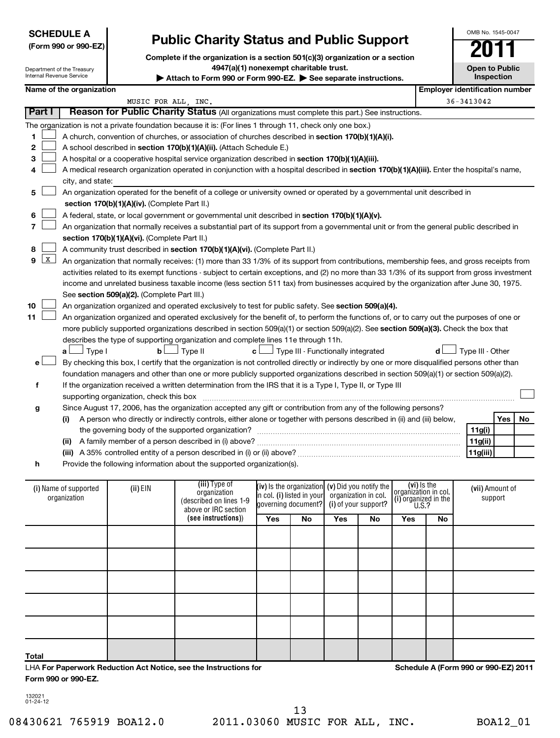| <b>SCHEDULE A</b>    |
|----------------------|
| (Form 990 or 990-EZ) |

Department of the Treasury

## **Public Charity Status and Public Support**

**Complete if the organization is a section 501(c)(3) organization or a section 4947(a)(1) nonexempt charitable trust.**

|            | Internal Revenue Service<br>Inspection<br>Attach to Form 990 or Form 990-EZ. $\triangleright$ See separate instructions.                   |                                               |                                                                                                                                               |                     |                     |                                                                                                                                                          |    |                               |            |                  |     |    |
|------------|--------------------------------------------------------------------------------------------------------------------------------------------|-----------------------------------------------|-----------------------------------------------------------------------------------------------------------------------------------------------|---------------------|---------------------|----------------------------------------------------------------------------------------------------------------------------------------------------------|----|-------------------------------|------------|------------------|-----|----|
|            | Name of the organization                                                                                                                   |                                               | <b>Employer identification number</b>                                                                                                         |                     |                     |                                                                                                                                                          |    |                               |            |                  |     |    |
|            | MUSIC FOR ALL, INC.                                                                                                                        |                                               |                                                                                                                                               |                     |                     |                                                                                                                                                          |    |                               | 36-3413042 |                  |     |    |
| Part I     |                                                                                                                                            |                                               | Reason for Public Charity Status (All organizations must complete this part.) See instructions.                                               |                     |                     |                                                                                                                                                          |    |                               |            |                  |     |    |
|            |                                                                                                                                            |                                               | The organization is not a private foundation because it is: (For lines 1 through 11, check only one box.)                                     |                     |                     |                                                                                                                                                          |    |                               |            |                  |     |    |
| 1          |                                                                                                                                            |                                               | A church, convention of churches, or association of churches described in section 170(b)(1)(A)(i).                                            |                     |                     |                                                                                                                                                          |    |                               |            |                  |     |    |
| 2          |                                                                                                                                            |                                               | A school described in section 170(b)(1)(A)(ii). (Attach Schedule E.)                                                                          |                     |                     |                                                                                                                                                          |    |                               |            |                  |     |    |
| 3          | A hospital or a cooperative hospital service organization described in section 170(b)(1)(A)(iii).                                          |                                               |                                                                                                                                               |                     |                     |                                                                                                                                                          |    |                               |            |                  |     |    |
| 4          | A medical research organization operated in conjunction with a hospital described in section 170(b)(1)(A)(iii). Enter the hospital's name, |                                               |                                                                                                                                               |                     |                     |                                                                                                                                                          |    |                               |            |                  |     |    |
|            | city, and state:                                                                                                                           |                                               |                                                                                                                                               |                     |                     |                                                                                                                                                          |    |                               |            |                  |     |    |
| 5          | An organization operated for the benefit of a college or university owned or operated by a governmental unit described in                  |                                               |                                                                                                                                               |                     |                     |                                                                                                                                                          |    |                               |            |                  |     |    |
|            |                                                                                                                                            | section 170(b)(1)(A)(iv). (Complete Part II.) |                                                                                                                                               |                     |                     |                                                                                                                                                          |    |                               |            |                  |     |    |
| 6          |                                                                                                                                            |                                               | A federal, state, or local government or governmental unit described in section 170(b)(1)(A)(v).                                              |                     |                     |                                                                                                                                                          |    |                               |            |                  |     |    |
| 7          |                                                                                                                                            |                                               | An organization that normally receives a substantial part of its support from a governmental unit or from the general public described in     |                     |                     |                                                                                                                                                          |    |                               |            |                  |     |    |
|            |                                                                                                                                            | section 170(b)(1)(A)(vi). (Complete Part II.) |                                                                                                                                               |                     |                     |                                                                                                                                                          |    |                               |            |                  |     |    |
| 8          |                                                                                                                                            |                                               | A community trust described in section 170(b)(1)(A)(vi). (Complete Part II.)                                                                  |                     |                     |                                                                                                                                                          |    |                               |            |                  |     |    |
| $9 \mid X$ |                                                                                                                                            |                                               | An organization that normally receives: (1) more than 33 1/3% of its support from contributions, membership fees, and gross receipts from     |                     |                     |                                                                                                                                                          |    |                               |            |                  |     |    |
|            |                                                                                                                                            |                                               | activities related to its exempt functions - subject to certain exceptions, and (2) no more than 33 1/3% of its support from gross investment |                     |                     |                                                                                                                                                          |    |                               |            |                  |     |    |
|            |                                                                                                                                            |                                               | income and unrelated business taxable income (less section 511 tax) from businesses acquired by the organization after June 30, 1975.         |                     |                     |                                                                                                                                                          |    |                               |            |                  |     |    |
|            |                                                                                                                                            | See section 509(a)(2). (Complete Part III.)   |                                                                                                                                               |                     |                     |                                                                                                                                                          |    |                               |            |                  |     |    |
| 10         |                                                                                                                                            |                                               | An organization organized and operated exclusively to test for public safety. See section 509(a)(4).                                          |                     |                     |                                                                                                                                                          |    |                               |            |                  |     |    |
| 11         |                                                                                                                                            |                                               | An organization organized and operated exclusively for the benefit of, to perform the functions of, or to carry out the purposes of one or    |                     |                     |                                                                                                                                                          |    |                               |            |                  |     |    |
|            |                                                                                                                                            |                                               |                                                                                                                                               |                     |                     |                                                                                                                                                          |    |                               |            |                  |     |    |
|            |                                                                                                                                            |                                               | more publicly supported organizations described in section 509(a)(1) or section 509(a)(2). See section 509(a)(3). Check the box that          |                     |                     |                                                                                                                                                          |    |                               |            |                  |     |    |
|            |                                                                                                                                            |                                               | describes the type of supporting organization and complete lines 11e through 11h.                                                             |                     |                     | $\perp$ Type III - Functionally integrated                                                                                                               |    |                               |            | Type III - Other |     |    |
|            | $\Box$ Type I<br>a۱                                                                                                                        | $\mathbf{b}$                                  | 」Type II                                                                                                                                      | $\mathsf{c} \sqcup$ |                     |                                                                                                                                                          |    |                               |            |                  |     |    |
| е          |                                                                                                                                            |                                               | By checking this box, I certify that the organization is not controlled directly or indirectly by one or more disqualified persons other than |                     |                     |                                                                                                                                                          |    |                               |            |                  |     |    |
|            |                                                                                                                                            |                                               | foundation managers and other than one or more publicly supported organizations described in section 509(a)(1) or section 509(a)(2).          |                     |                     |                                                                                                                                                          |    |                               |            |                  |     |    |
| f          |                                                                                                                                            |                                               | If the organization received a written determination from the IRS that it is a Type I, Type II, or Type III                                   |                     |                     |                                                                                                                                                          |    |                               |            |                  |     |    |
|            |                                                                                                                                            | supporting organization, check this box       |                                                                                                                                               |                     |                     |                                                                                                                                                          |    |                               |            |                  |     |    |
| g          |                                                                                                                                            |                                               | Since August 17, 2006, has the organization accepted any gift or contribution from any of the following persons?                              |                     |                     |                                                                                                                                                          |    |                               |            |                  |     |    |
|            | (i)                                                                                                                                        |                                               | A person who directly or indirectly controls, either alone or together with persons described in (ii) and (iii) below,                        |                     |                     |                                                                                                                                                          |    |                               |            |                  | Yes | No |
|            |                                                                                                                                            |                                               | 11g(i)                                                                                                                                        |                     |                     |                                                                                                                                                          |    |                               |            |                  |     |    |
|            |                                                                                                                                            |                                               |                                                                                                                                               |                     |                     |                                                                                                                                                          |    |                               |            | 11g(ii)          |     |    |
|            |                                                                                                                                            |                                               |                                                                                                                                               |                     |                     |                                                                                                                                                          |    |                               |            | 11g(iii)         |     |    |
| h          |                                                                                                                                            |                                               | Provide the following information about the supported organization(s).                                                                        |                     |                     |                                                                                                                                                          |    |                               |            |                  |     |    |
|            |                                                                                                                                            |                                               |                                                                                                                                               |                     |                     |                                                                                                                                                          |    |                               |            |                  |     |    |
|            | (i) Name of supported                                                                                                                      | (ii) EIN                                      | (iii) Type of<br>organization                                                                                                                 |                     |                     | (iv) is the organization $(v)$ Did you notify the<br>in col. (i) listed in your organization in col.   organization in col.<br>  (i) organization in the |    | (vi) is the                   |            | (vii) Amount of  |     |    |
|            | organization                                                                                                                               |                                               | (described on lines 1-9                                                                                                                       |                     | governing document? | (i) of your support?                                                                                                                                     |    | (i) organized in the<br>U.S.? |            | support          |     |    |
|            |                                                                                                                                            |                                               | above or IRC section                                                                                                                          |                     |                     |                                                                                                                                                          |    |                               |            |                  |     |    |
|            |                                                                                                                                            |                                               | (see instructions))                                                                                                                           | Yes                 | No                  | <b>Yes</b>                                                                                                                                               | No | Yes                           | No         |                  |     |    |
|            |                                                                                                                                            |                                               |                                                                                                                                               |                     |                     |                                                                                                                                                          |    |                               |            |                  |     |    |
|            |                                                                                                                                            |                                               |                                                                                                                                               |                     |                     |                                                                                                                                                          |    |                               |            |                  |     |    |
|            |                                                                                                                                            |                                               |                                                                                                                                               |                     |                     |                                                                                                                                                          |    |                               |            |                  |     |    |
|            |                                                                                                                                            |                                               |                                                                                                                                               |                     |                     |                                                                                                                                                          |    |                               |            |                  |     |    |
|            |                                                                                                                                            |                                               |                                                                                                                                               |                     |                     |                                                                                                                                                          |    |                               |            |                  |     |    |
|            |                                                                                                                                            |                                               |                                                                                                                                               |                     |                     |                                                                                                                                                          |    |                               |            |                  |     |    |
|            |                                                                                                                                            |                                               |                                                                                                                                               |                     |                     |                                                                                                                                                          |    |                               |            |                  |     |    |
|            |                                                                                                                                            |                                               |                                                                                                                                               |                     |                     |                                                                                                                                                          |    |                               |            |                  |     |    |

LHA **For Paperwork Reduction Act Notice, see the Instructions for** 

132021 01-24-12

**Form 990 or 990-EZ.**

**Total**

**Schedule A (Form 990 or 990-EZ) 2011**

OMB No. 1545-0047

**Open to Public**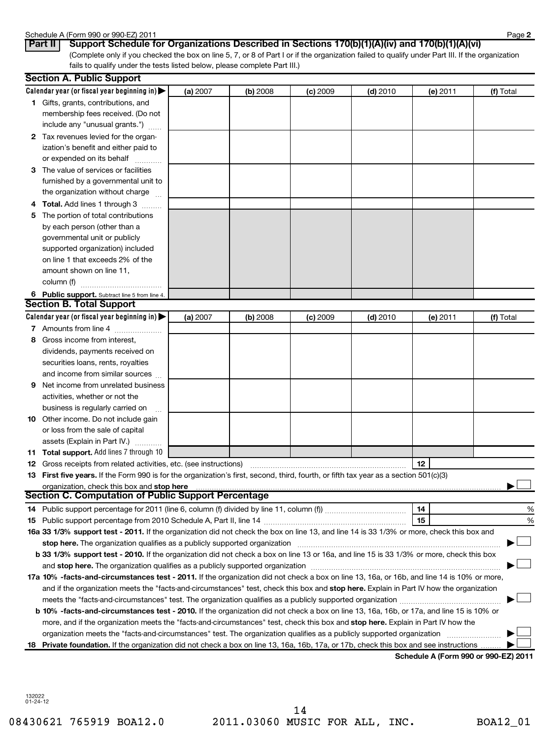### Schedule A (Form 990 or 990-EZ) 2011<br>**Part II | Support Schedule f**

|          | eaule A (Form 990 |
|----------|-------------------|
| $\cdots$ |                   |

(Complete only if you checked the box on line 5, 7, or 8 of Part I or if the organization failed to qualify under Part III. If the organization fails to qualify under the tests listed below, please complete Part III.) **Part II Support Schedule for Organizations Described in Sections 170(b)(1)(A)(iv) and 170(b)(1)(A)(vi)**

|    | <b>Section A. Public Support</b>                                                                                                           |          |          |            |            |          |           |
|----|--------------------------------------------------------------------------------------------------------------------------------------------|----------|----------|------------|------------|----------|-----------|
|    | Calendar year (or fiscal year beginning in) $\blacktriangleright$                                                                          | (a) 2007 | (b) 2008 | $(c)$ 2009 | $(d)$ 2010 | (e) 2011 | (f) Total |
|    | 1 Gifts, grants, contributions, and                                                                                                        |          |          |            |            |          |           |
|    | membership fees received. (Do not                                                                                                          |          |          |            |            |          |           |
|    | include any "unusual grants.")                                                                                                             |          |          |            |            |          |           |
|    | 2 Tax revenues levied for the organ-                                                                                                       |          |          |            |            |          |           |
|    | ization's benefit and either paid to                                                                                                       |          |          |            |            |          |           |
|    | or expended on its behalf                                                                                                                  |          |          |            |            |          |           |
| З  | The value of services or facilities                                                                                                        |          |          |            |            |          |           |
|    | furnished by a governmental unit to                                                                                                        |          |          |            |            |          |           |
|    | the organization without charge                                                                                                            |          |          |            |            |          |           |
|    | Total. Add lines 1 through 3                                                                                                               |          |          |            |            |          |           |
| 5  | The portion of total contributions                                                                                                         |          |          |            |            |          |           |
|    | by each person (other than a                                                                                                               |          |          |            |            |          |           |
|    | governmental unit or publicly                                                                                                              |          |          |            |            |          |           |
|    | supported organization) included                                                                                                           |          |          |            |            |          |           |
|    | on line 1 that exceeds 2% of the                                                                                                           |          |          |            |            |          |           |
|    | amount shown on line 11,                                                                                                                   |          |          |            |            |          |           |
|    | column (f)                                                                                                                                 |          |          |            |            |          |           |
|    | 6 Public support. Subtract line 5 from line 4.                                                                                             |          |          |            |            |          |           |
|    | <b>Section B. Total Support</b>                                                                                                            |          |          |            |            |          |           |
|    | Calendar year (or fiscal year beginning in)                                                                                                | (a) 2007 | (b) 2008 | $(c)$ 2009 | $(d)$ 2010 | (e) 2011 | (f) Total |
|    | 7 Amounts from line 4                                                                                                                      |          |          |            |            |          |           |
| 8  | Gross income from interest,                                                                                                                |          |          |            |            |          |           |
|    | dividends, payments received on                                                                                                            |          |          |            |            |          |           |
|    | securities loans, rents, royalties                                                                                                         |          |          |            |            |          |           |
|    | and income from similar sources                                                                                                            |          |          |            |            |          |           |
| 9  | Net income from unrelated business                                                                                                         |          |          |            |            |          |           |
|    | activities, whether or not the                                                                                                             |          |          |            |            |          |           |
|    | business is regularly carried on                                                                                                           |          |          |            |            |          |           |
| 10 | Other income. Do not include gain                                                                                                          |          |          |            |            |          |           |
|    | or loss from the sale of capital                                                                                                           |          |          |            |            |          |           |
|    | assets (Explain in Part IV.)                                                                                                               |          |          |            |            |          |           |
| 11 | Total support. Add lines 7 through 10                                                                                                      |          |          |            |            |          |           |
| 12 | Gross receipts from related activities, etc. (see instructions)                                                                            |          |          |            |            | 12       |           |
|    | 13 First five years. If the Form 990 is for the organization's first, second, third, fourth, or fifth tax year as a section 501(c)(3)      |          |          |            |            |          |           |
|    | organization, check this box and stop here                                                                                                 |          |          |            |            |          |           |
|    | <b>Section C. Computation of Public Support Percentage</b>                                                                                 |          |          |            |            |          |           |
|    |                                                                                                                                            |          |          |            |            | 14       | %         |
|    |                                                                                                                                            |          |          |            |            | 15       | %         |
|    | 16a 33 1/3% support test - 2011. If the organization did not check the box on line 13, and line 14 is 33 1/3% or more, check this box and  |          |          |            |            |          |           |
|    | stop here. The organization qualifies as a publicly supported organization                                                                 |          |          |            |            |          |           |
|    | b 33 1/3% support test - 2010. If the organization did not check a box on line 13 or 16a, and line 15 is 33 1/3% or more, check this box   |          |          |            |            |          |           |
|    |                                                                                                                                            |          |          |            |            |          |           |
|    | 17a 10% -facts-and-circumstances test - 2011. If the organization did not check a box on line 13, 16a, or 16b, and line 14 is 10% or more, |          |          |            |            |          |           |
|    | and if the organization meets the "facts-and-circumstances" test, check this box and stop here. Explain in Part IV how the organization    |          |          |            |            |          |           |
|    | meets the "facts-and-circumstances" test. The organization qualifies as a publicly supported organization <i>community content</i>         |          |          |            |            |          |           |
|    | b 10% -facts-and-circumstances test - 2010. If the organization did not check a box on line 13, 16a, 16b, or 17a, and line 15 is 10% or    |          |          |            |            |          |           |
|    | more, and if the organization meets the "facts-and-circumstances" test, check this box and stop here. Explain in Part IV how the           |          |          |            |            |          |           |
|    | organization meets the "facts-and-circumstances" test. The organization qualifies as a publicly supported organization                     |          |          |            |            |          |           |
|    | 18 Private foundation. If the organization did not check a box on line 13, 16a, 16b, 17a, or 17b, check this box and see instructions      |          |          |            |            |          |           |
|    |                                                                                                                                            |          |          |            |            |          |           |

**Schedule A (Form 990 or 990-EZ) 2011**

132022 01-24-12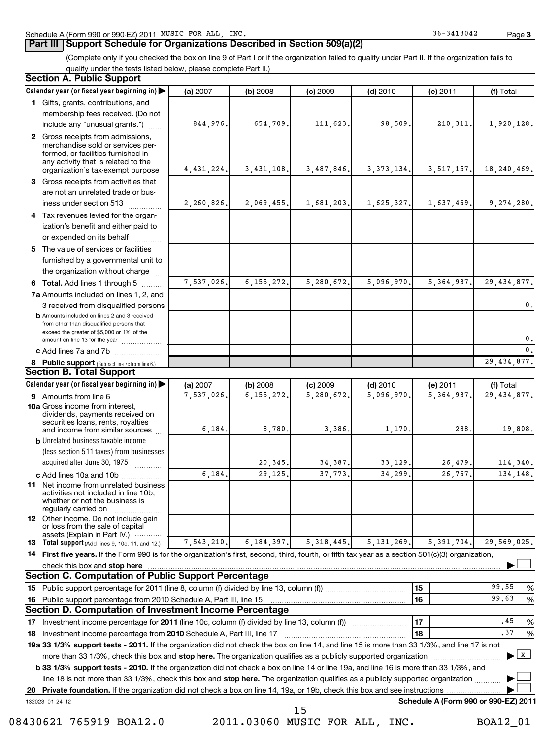### **Part III Support Schedule for Organizations Described in Section 509(a)(2)**

(Complete only if you checked the box on line 9 of Part I or if the organization failed to qualify under Part II. If the organization fails to qualify under the tests listed below, please complete Part II.)

#### 8 Public support (Subtract line 7c from line 6.) **b** Amounts included on lines 2 and 3 received from other than disqualified persons that exceed the greater of \$5,000 or 1% of the amount on line 13 for the year .................. **13 Total support** (Add lines 9, 10c, 11, and 12.) 132023 01-24-12 **Calendar year (or fiscal year beginning in) | Calendar year (or fiscal year beginning in) | (a)** 2007 **| (b)** 2008 **| (c)** 2009 **| (d)** 2010 **| (e)** 2011 **| (f) 1** Gifts, grants, contributions, and **2** Gross receipts from admissions, **3 4** Tax revenues levied for the organ-**5** The value of services or facilities **6** Total. Add lines 1 through 5 ........ **7 a** Amounts included on lines 1, 2, and **c** Add lines 7a and 7b  $\ldots$  .................. **(a)** 2007 **| (b)** 2008 **| (c)** 2009 **| (d)** 2010 **| (e)** 2011 **| (f) 9** Amounts from line 6  $\ldots$  **Amounts** from line 6 **10a** Gross income from interest, **b** Unrelated business taxable income **c** Add lines 10a and 10b ................. **11** Net income from unrelated business **12** Other income. Do not include gain 14 First five years. If the Form 990 is for the organization's first, second, third, fourth, or fifth tax year as a section 501(c)(3) organization, **check this box and stop here with the construction of the construction of the check this box and stop here** with the construction of the construction of the construction of the check this box and stop here with the constr **15 16 15 16 17** 18 Investment income percentage from 2010 Schedule A, Part III, line 17 **2000** COM CONDITION 18 | 18 | 18 | 18 | 19a 33 1/3% support tests - 2011. If the organization did not check the box on line 14, and line 15 is more than 33 1/3%, and line 17 is not **20** Investment income percentage for 2011 (line 10c, column (f) divided by line 13, column (f)) **17 18 b 33 1/3% support tests - 2010.** If the organization did not check a box on line 14 or line 19a, and line 16 is more than 33 1/3%, and more than 33 1/3%, check this box and stop here. The organization qualifies as a publicly supported organization *www.www.www.* line 18 is not more than 33 1/3%, check this box and stop here. The organization qualifies as a publicly supported organization <sub>...........</sub> **Private foundation.**  If the organization did not check a box on line 14, 19a, or 19b, check this box and see instructions | **Schedule A (Form 990 or 990-EZ) 2011** (less section 511 taxes) from businesses acquired after June 30, 1975 2007 **| (b)** 2008 **| (c)** 2009 **| (d)** 2010 **| (e)** 2011 **| (f)** Total membership fees received. (Do not include any "unusual grants.") merchandise sold or services performed, or facilities furnished in any activity that is related to the organization's tax-exempt purpose Gross receipts from activities that are not an unrelated trade or bus $ines$  under section 513  $\ldots$  $\ldots$ ization's benefit and either paid to or expended on its behalf ............ furnished by a governmental unit to the organization without charge 3 received from disqualified persons 2007 **| (b)** 2008 **| (c)** 2009 **| (d)** 2010 **| (e)** 2011 **| (f)** Total dividends, payments received on securities loans, rents, royalties and income from similar sources ~~~~~~~~~~ activities not included in line 10b, whether or not the business is regularly carried on or loss from the sale of capital assets (Explain in Part IV.) ············ Public support percentage for 2011 (line 8, column (f) divided by line 13, column (f))  $\ldots$  $\ldots$  $\ldots$  $\ldots$  $\ldots$   $\ldots$   $\ldots$   $\ldots$   $\mid$  15  $\mid$ Public support percentage from 2010 Schedule A, Part III, line 15 %  $~\blacksquare$   $~\blacksquare$  17  $~\blacksquare$   $~\blacksquare$   $~\blacksquare$   $~\blacksquare$   $~\blacksquare$   $~\blacksquare$   $~\blacksquare$   $~\blacksquare$   $~\blacksquare$   $~\blacksquare$   $~\blacksquare$   $~\blacksquare$   $~\blacksquare$   $~\blacksquare$   $~\blacksquare$   $~\blacksquare$   $~\blacksquare$   $~\blacksquare$   $~\blacksquare$   $~\blacksquare$   $~\blacksquare$   $~\blacksquare$   $~\blacksquare$   $~\blacksquare$   $~\blacksquare$   $~$ **Section A. Public Support Section B. Total Support Section C. Computation of Public Support Percentage Section D. Computation of Investment Income Percentage**  $\overline{\phantom{a}}$  $\overline{X}$  $\overline{\phantom{a}}$  $\overline{\phantom{a}}$ 844,976. 654,709. 111,623. 98,509. 210,311. 1,920,128. 4,431,224. 3,431,108. 3,487,846. 3,373,134. 3,517,157. 18,240,469. 2,260,826. 2,069,455. 1,681,203. 1,625,327. 1,637,469. 9,274,280. 7,537,026. 6,155,272. 5,280,672. 5,096,970. 5,364,937. 29,434,877. 0. 0.  $\overline{\mathfrak{o}}$  . 29,434,877. 7,537,026. 6,155,272. 5,280,672. 5,096,970. 5,364,937. 29,434,877. 6,184. 8,780. 3,386. 1,170. 288. 19,808. 20,345. 34,387. 33,129. 26,479. 114,340. 6,184. 29,125. 37,773. 34,299. 26,767. 134,148. 7,543,210. 6,184,397. 5,318,445. 5,131,269. 5,391,704. 29,569,025. 99.55 99.63 .45 .37 15

08430621 765919 BOA12.0 2011.03060 MUSIC FOR ALL, INC. BOA12\_01

Page 3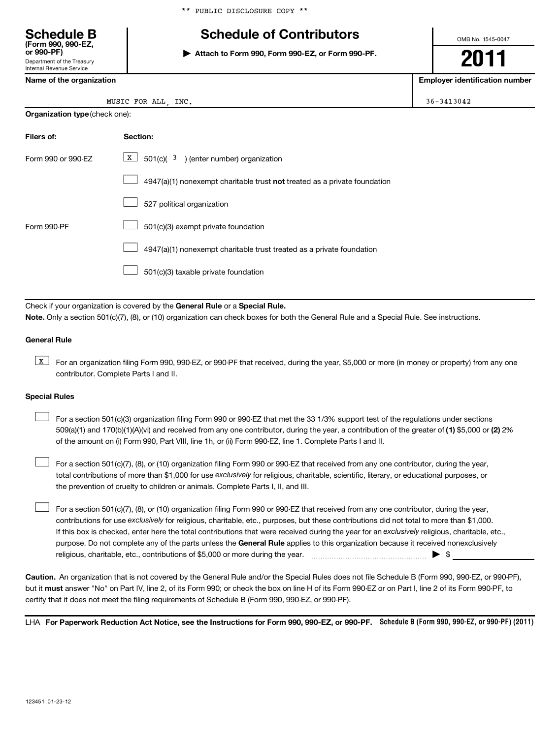### **Schedule B Schedule of Contributors**

**or 990-PF) | Attach to Form 990, Form 990-EZ, or Form 990-PF.**

**2011**

OMB No. 1545-0047

**Name of the organization Employer identification number**

36-3413042

|  | Name of the organization |
|--|--------------------------|
|  |                          |

Department of the Treasury Internal Revenue Service

**(Form 990, 990-EZ,**

| MUSIC FOR ALL |  |  | INC. |
|---------------|--|--|------|
|---------------|--|--|------|

|  | <b>Organization type</b> (check one): |
|--|---------------------------------------|
|--|---------------------------------------|

| Filers of:         | Section:                                                                  |
|--------------------|---------------------------------------------------------------------------|
| Form 990 or 990-EZ | $\boxed{\text{X}}$ 501(c)( <sup>3</sup> ) (enter number) organization     |
|                    | 4947(a)(1) nonexempt charitable trust not treated as a private foundation |
|                    | 527 political organization                                                |
| Form 990-PF        | 501(c)(3) exempt private foundation                                       |
|                    | 4947(a)(1) nonexempt charitable trust treated as a private foundation     |
|                    | 501(c)(3) taxable private foundation                                      |

Check if your organization is covered by the General Rule or a Special Rule. **Note.**  Only a section 501(c)(7), (8), or (10) organization can check boxes for both the General Rule and a Special Rule. See instructions.

### **General Rule**

**K** For an organization filing Form 990, 990-EZ, or 990-PF that received, during the year, \$5,000 or more (in money or property) from any one contributor. Complete Parts I and II.

### **Special Rules**

509(a)(1) and 170(b)(1)(A)(vi) and received from any one contributor, during the year, a contribution of the greater of (1**)** \$5,000 or (**2**) 2% For a section 501(c)(3) organization filing Form 990 or 990-EZ that met the 33 1/3% support test of the regulations under sections of the amount on (i) Form 990, Part VIII, line 1h, or (ii) Form 990-EZ, line 1. Complete Parts I and II.  $\left\vert \cdot\right\vert$ 

total contributions of more than \$1,000 for use exclusively for religious, charitable, scientific, literary, or educational purposes, or For a section 501(c)(7), (8), or (10) organization filing Form 990 or 990-EZ that received from any one contributor, during the year, the prevention of cruelty to children or animals. Complete Parts I, II, and III.  $\left\vert \cdot\right\vert$ 

purpose. Do not complete any of the parts unless the General Rule applies to this organization because it received nonexclusively contributions for use exclusively for religious, charitable, etc., purposes, but these contributions did not total to more than \$1,000. If this box is checked, enter here the total contributions that were received during the year for an exclusively religious, charitable, etc., For a section 501(c)(7), (8), or (10) organization filing Form 990 or 990-EZ that received from any one contributor, during the year, religious, charitable, etc., contributions of \$5,000 or more during the year. ~~~~~~~~~~~~~~~~~ | \$

**Caution.** An organization that is not covered by the General Rule and/or the Special Rules does not file Schedule B (Form 990, 990-EZ, or 990-PF), but it **must** answer "No" on Part IV, line 2, of its Form 990; or check the box on line H of its Form 990-EZ or on Part I, line 2 of its Form 990-PF, to certify that it does not meet the filing requirements of Schedule B (Form 990, 990-EZ, or 990-PF).

LHA For Paperwork Reduction Act Notice, see the Instructions for Form 990, 990-EZ, or 990-PF. Schedule B (Form 990, 990-EZ, or 990-PF) (2011)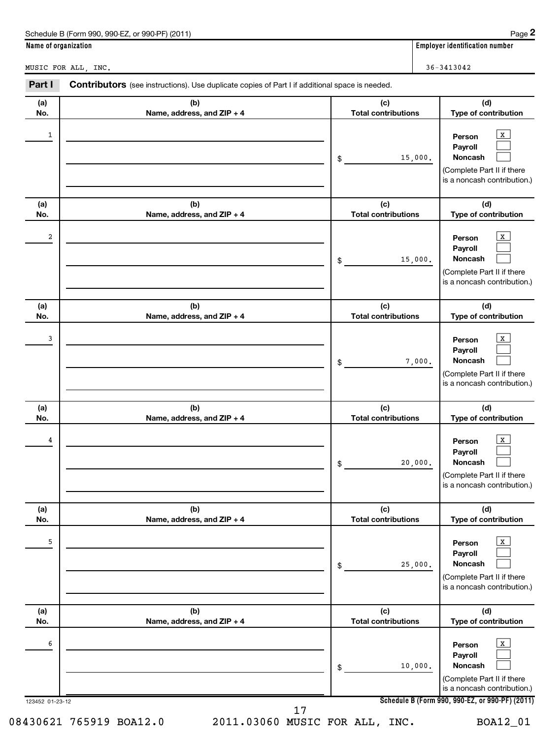| Name of organization |                                                                                                       |                                   | <b>Employer identification number</b> |  |
|----------------------|-------------------------------------------------------------------------------------------------------|-----------------------------------|---------------------------------------|--|
| MUSIC FOR ALL, INC.  |                                                                                                       |                                   | $36 - 3413042$                        |  |
| Part I               | <b>Contributors</b> (see instructions). Use duplicate copies of Part I if additional space is needed. |                                   |                                       |  |
| (a)<br>No.           | (b)<br>Name, address, and $ZIP + 4$                                                                   | (c)<br><b>Total contributions</b> | (d)<br>Type of contribution           |  |

| $1\,$                |                                   | 15,000.<br>\$                     | $\mathbf{x}$<br>Person<br>Payroll<br>Noncash<br>(Complete Part II if there<br>is a noncash contribution.)                                                    |
|----------------------|-----------------------------------|-----------------------------------|--------------------------------------------------------------------------------------------------------------------------------------------------------------|
| (a)<br>No.           | (b)<br>Name, address, and ZIP + 4 | (c)<br><b>Total contributions</b> | (d)<br>Type of contribution                                                                                                                                  |
| 2                    |                                   | 15,000.<br>\$                     | $\mathbf{x}$<br>Person<br>Payroll<br>Noncash<br>(Complete Part II if there<br>is a noncash contribution.)                                                    |
| (a)<br>No.           | (b)<br>Name, address, and ZIP + 4 | (c)<br><b>Total contributions</b> | (d)<br>Type of contribution                                                                                                                                  |
| 3                    |                                   | 7,000.<br>\$                      | X<br>Person<br>Payroll<br><b>Noncash</b><br>(Complete Part II if there<br>is a noncash contribution.)                                                        |
| (a)<br>No.           | (b)<br>Name, address, and ZIP + 4 | (c)<br><b>Total contributions</b> | (d)<br>Type of contribution                                                                                                                                  |
| 4                    |                                   | 20,000.<br>\$                     | $\mathbf x$<br>Person<br>Payroll<br>Noncash<br>(Complete Part II if there<br>is a noncash contribution.)                                                     |
| (a)<br>No.           | (b)<br>Name, address, and ZIP + 4 | (c)<br><b>Total contributions</b> | (d)<br>Type of contribution                                                                                                                                  |
| 5                    |                                   | 25,000.<br>\$                     | $\mathbf{x}$<br>Person<br>Payroll<br>Noncash<br>(Complete Part II if there<br>is a noncash contribution.)                                                    |
| (a)<br>No.           | (b)<br>Name, address, and ZIP + 4 | (c)<br><b>Total contributions</b> | (d)<br>Type of contribution                                                                                                                                  |
| 6<br>123452 01-23-12 |                                   | 10,000.<br>\$                     | $\mathbf{x}$<br>Person<br>Payroll<br>Noncash<br>(Complete Part II if there<br>is a noncash contribution.)<br>Schedule B (Form 990, 990-EZ, or 990-PF) (2011) |
|                      |                                   |                                   |                                                                                                                                                              |

17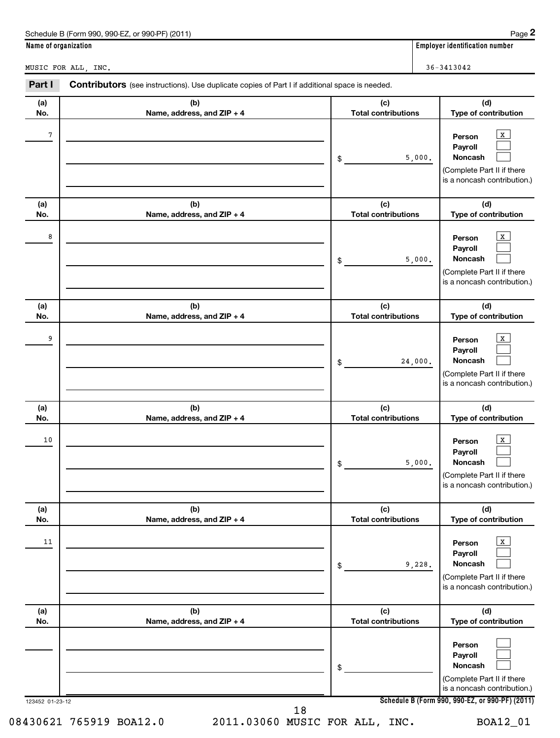| Page 2<br>Schedule B (Form 990, 990-EZ, or 990-PF) (2011)                                                       |                                       |  |  |  |  |  |
|-----------------------------------------------------------------------------------------------------------------|---------------------------------------|--|--|--|--|--|
|                                                                                                                 | <b>Employer identification number</b> |  |  |  |  |  |
|                                                                                                                 | $36 - 3413042$                        |  |  |  |  |  |
| Part I<br><b>Contributors</b> (see instructions). Use duplicate copies of Part I if additional space is needed. |                                       |  |  |  |  |  |
| (b)<br>(c)<br>Name, address, and $ZIP + 4$<br><b>Total contributions</b>                                        |                                       |  |  |  |  |  |
|                                                                                                                 |                                       |  |  |  |  |  |

| No.             | Name, address, and $\angle$ IP + 4 | <b>Total contributions</b>        | Type of contribution                                                                                                                         |
|-----------------|------------------------------------|-----------------------------------|----------------------------------------------------------------------------------------------------------------------------------------------|
| 7               |                                    | 5,000.<br>\$                      | $\mathbf{x}$<br>Person<br>Payroll<br>Noncash<br>(Complete Part II if there<br>is a noncash contribution.)                                    |
| (a)<br>No.      | (b)<br>Name, address, and ZIP + 4  | (c)<br><b>Total contributions</b> | (d)<br>Type of contribution                                                                                                                  |
| 8               |                                    | 5,000.<br>\$                      | $\mathbf{x}$<br>Person<br>Payroll<br>Noncash<br>(Complete Part II if there<br>is a noncash contribution.)                                    |
| (a)<br>No.      | (b)<br>Name, address, and ZIP + 4  | (c)<br><b>Total contributions</b> | (d)<br>Type of contribution                                                                                                                  |
| 9               |                                    | 24,000.<br>\$                     | $\mathbf{x}$<br>Person<br>Payroll<br>Noncash<br>(Complete Part II if there<br>is a noncash contribution.)                                    |
| (a)<br>No.      | (b)<br>Name, address, and ZIP + 4  | (c)<br><b>Total contributions</b> | (d)<br>Type of contribution                                                                                                                  |
| 10              |                                    | 5,000.<br>\$                      | $\mathbf{x}$<br>Person<br>Payroll<br><b>Noncash</b><br>(Complete Part II if there<br>is a noncash contribution.)                             |
| (a)<br>No.      | (b)<br>Name, address, and ZIP + 4  | (c)<br><b>Total contributions</b> | (d)<br>Type of contribution                                                                                                                  |
| 11              |                                    | 9,228.<br>\$                      | $\mathbf{x}$<br>Person<br>Payroll<br>Noncash<br>(Complete Part II if there<br>is a noncash contribution.)                                    |
| (a)<br>No.      | (b)<br>Name, address, and ZIP + 4  | (c)<br><b>Total contributions</b> | (d)<br>Type of contribution                                                                                                                  |
| 123452 01-23-12 |                                    | \$                                | Person<br>Payroll<br>Noncash<br>(Complete Part II if there<br>is a noncash contribution.)<br>Schedule B (Form 990, 990-EZ, or 990-PF) (2011) |
|                 | 18                                 |                                   |                                                                                                                                              |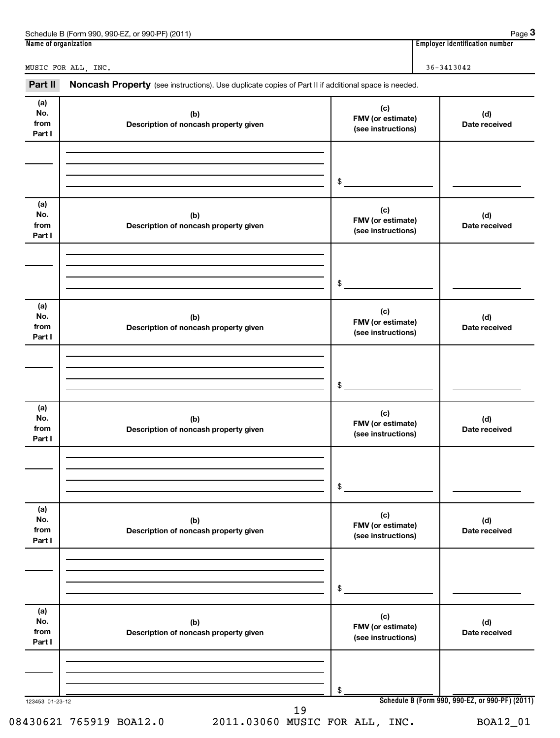| 990-EZ<br>Schedule B<br>(2011)<br>े (Form 990.<br>$QQ0$ . $PF$<br>or<br><b>UU</b> | Page                                    |
|-----------------------------------------------------------------------------------|-----------------------------------------|
| Name of organization                                                              | <br>. identification number<br>Emplovei |

**3**

MUSIC FOR ALL, INC.  $36-3413042$ 

Part II Noncash Property (see instructions). Use duplicate copies of Part II if additional space is needed.

| (a)<br>No.<br>from<br>Part I | (b)<br>Description of noncash property given | (c)<br>FMV (or estimate)<br>(see instructions) | (d)<br>Date received                            |
|------------------------------|----------------------------------------------|------------------------------------------------|-------------------------------------------------|
|                              |                                              |                                                |                                                 |
|                              |                                              | $\frac{1}{2}$                                  |                                                 |
| (a)<br>No.<br>from<br>Part I | (b)<br>Description of noncash property given | (c)<br>FMV (or estimate)<br>(see instructions) | (d)<br>Date received                            |
|                              |                                              |                                                |                                                 |
|                              |                                              | $\frac{1}{2}$                                  |                                                 |
| (a)<br>No.<br>from<br>Part I | (b)<br>Description of noncash property given | (c)<br>FMV (or estimate)<br>(see instructions) | (d)<br>Date received                            |
|                              |                                              |                                                |                                                 |
|                              |                                              | $\sim$                                         |                                                 |
| (a)<br>No.<br>from<br>Part I | (b)<br>Description of noncash property given | (c)<br>FMV (or estimate)<br>(see instructions) | (d)<br>Date received                            |
|                              |                                              |                                                |                                                 |
|                              |                                              | \$                                             |                                                 |
| (a)<br>No.<br>from<br>Part I | (b)<br>Description of noncash property given | (c)<br>FMV (or estimate)<br>(see instructions) | (d)<br>Date received                            |
|                              |                                              |                                                |                                                 |
|                              |                                              | \$                                             |                                                 |
| (a)<br>No.<br>from<br>Part I | (b)<br>Description of noncash property given | (c)<br>FMV (or estimate)<br>(see instructions) | (d)<br>Date received                            |
|                              |                                              |                                                |                                                 |
| 123453 01-23-12              |                                              | \$                                             | Schedule B (Form 990, 990-EZ, or 990-PF) (2011) |
|                              | 19                                           |                                                |                                                 |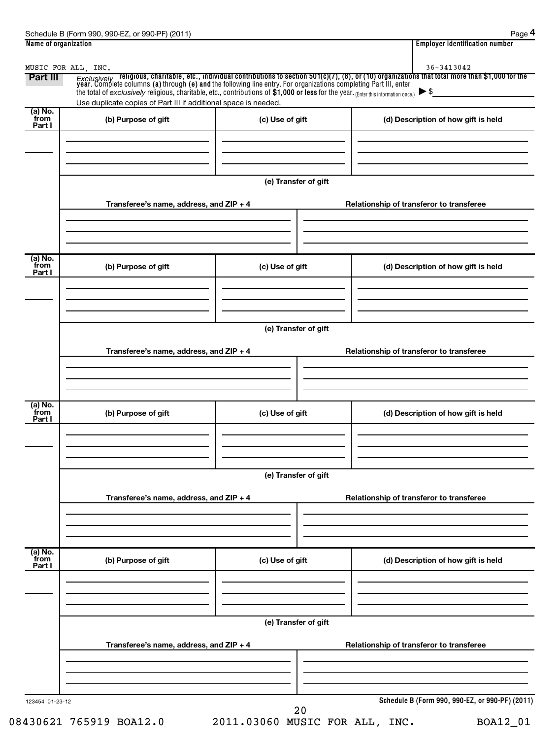| MUSIC FOR ALL, INC.       |                                                                                                                                                                                                        |                      | 36-3413042                                                                                                                                                                                                                                                         |
|---------------------------|--------------------------------------------------------------------------------------------------------------------------------------------------------------------------------------------------------|----------------------|--------------------------------------------------------------------------------------------------------------------------------------------------------------------------------------------------------------------------------------------------------------------|
| Part III                  | the total of exclusively religious, charitable, etc., contributions of \$1,000 or less for the year. (Enter this information once.)<br>Use duplicate copies of Part III if additional space is needed. |                      | $Exclusively$ religious, charitable, etc., individual contributions to section 501(c)(7), (8), or (10) organizations that total more than \$1,000 for the year. Complete columns (a) through (e) and the following line entry. For org<br>$\blacktriangleright$ \$ |
| (a) No.                   |                                                                                                                                                                                                        |                      |                                                                                                                                                                                                                                                                    |
| from<br>Part I            | (b) Purpose of gift                                                                                                                                                                                    | (c) Use of gift      | (d) Description of how gift is held                                                                                                                                                                                                                                |
|                           |                                                                                                                                                                                                        | (e) Transfer of gift |                                                                                                                                                                                                                                                                    |
|                           | Transferee's name, address, and $ZIP + 4$                                                                                                                                                              |                      | Relationship of transferor to transferee                                                                                                                                                                                                                           |
|                           |                                                                                                                                                                                                        |                      |                                                                                                                                                                                                                                                                    |
| (a) No.<br>from<br>Part I | (b) Purpose of gift                                                                                                                                                                                    | (c) Use of gift      | (d) Description of how gift is held                                                                                                                                                                                                                                |
|                           |                                                                                                                                                                                                        |                      |                                                                                                                                                                                                                                                                    |
|                           |                                                                                                                                                                                                        | (e) Transfer of gift |                                                                                                                                                                                                                                                                    |
|                           | Transferee's name, address, and ZIP + 4                                                                                                                                                                |                      | Relationship of transferor to transferee                                                                                                                                                                                                                           |
| (a) No.                   |                                                                                                                                                                                                        |                      |                                                                                                                                                                                                                                                                    |
| from<br>Part I            | (b) Purpose of gift                                                                                                                                                                                    | (c) Use of gift      | (d) Description of how gift is held                                                                                                                                                                                                                                |
|                           |                                                                                                                                                                                                        |                      |                                                                                                                                                                                                                                                                    |
|                           |                                                                                                                                                                                                        | (e) Transfer of gift |                                                                                                                                                                                                                                                                    |
|                           | Transferee's name, address, and ZIP + 4                                                                                                                                                                |                      | Relationship of transferor to transferee                                                                                                                                                                                                                           |
|                           |                                                                                                                                                                                                        |                      |                                                                                                                                                                                                                                                                    |
| (a) No.<br>from<br>Part I | (b) Purpose of gift                                                                                                                                                                                    | (c) Use of gift      | (d) Description of how gift is held                                                                                                                                                                                                                                |
|                           |                                                                                                                                                                                                        |                      |                                                                                                                                                                                                                                                                    |
|                           |                                                                                                                                                                                                        | (e) Transfer of gift |                                                                                                                                                                                                                                                                    |
|                           | Transferee's name, address, and ZIP + 4                                                                                                                                                                |                      | Relationship of transferor to transferee                                                                                                                                                                                                                           |
|                           |                                                                                                                                                                                                        |                      |                                                                                                                                                                                                                                                                    |
| 123454 01-23-12           |                                                                                                                                                                                                        | 20                   | Schedule B (Form 990, 990-EZ, or 990-PF) (2011)                                                                                                                                                                                                                    |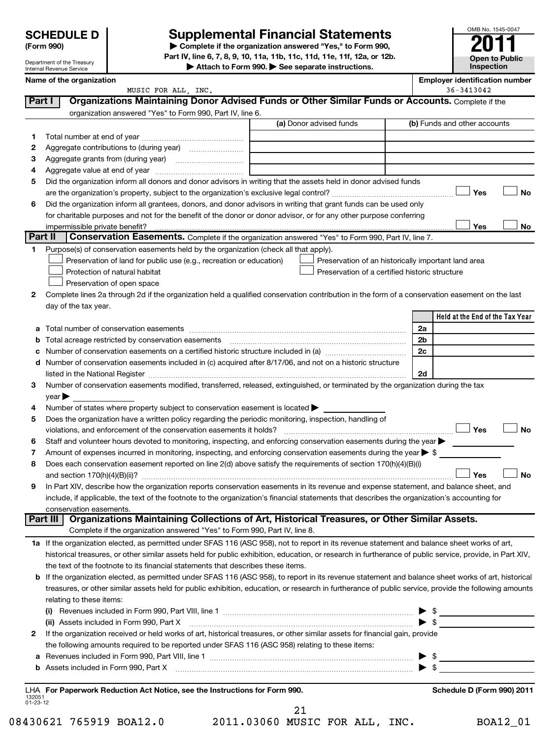| <b>SCHEDULE D</b>         |  |
|---------------------------|--|
| $\mathbf{r}$ $\mathbf{r}$ |  |

Department of the Treasury Internal Revenue Service

### **Supplemental Financial Statements**

**(Form 990) | Complete if the organization answered "Yes," to Form 990, Part IV, line 6, 7, 8, 9, 10, 11a, 11b, 11c, 11d, 11e, 11f, 12a, or 12b.**

**| Attach to Form 990. | See separate instructions.**

|                    | Name of the organization                                                                                                                                                                                                      |    |                                                | <b>Employer identification number</b>               |
|--------------------|-------------------------------------------------------------------------------------------------------------------------------------------------------------------------------------------------------------------------------|----|------------------------------------------------|-----------------------------------------------------|
|                    | MUSIC FOR ALL, INC.                                                                                                                                                                                                           |    |                                                | 36-3413042                                          |
| Part I             | Organizations Maintaining Donor Advised Funds or Other Similar Funds or Accounts. Complete if the                                                                                                                             |    |                                                |                                                     |
|                    | organization answered "Yes" to Form 990, Part IV, line 6.                                                                                                                                                                     |    |                                                |                                                     |
|                    |                                                                                                                                                                                                                               |    | (a) Donor advised funds                        | (b) Funds and other accounts                        |
| 1.                 |                                                                                                                                                                                                                               |    |                                                |                                                     |
| 2                  |                                                                                                                                                                                                                               |    |                                                |                                                     |
| 3                  |                                                                                                                                                                                                                               |    |                                                |                                                     |
| 4                  |                                                                                                                                                                                                                               |    |                                                |                                                     |
| 5                  | Did the organization inform all donors and donor advisors in writing that the assets held in donor advised funds                                                                                                              |    |                                                |                                                     |
|                    |                                                                                                                                                                                                                               |    |                                                | Yes<br><b>No</b>                                    |
| 6                  | Did the organization inform all grantees, donors, and donor advisors in writing that grant funds can be used only                                                                                                             |    |                                                |                                                     |
|                    | for charitable purposes and not for the benefit of the donor or donor advisor, or for any other purpose conferring                                                                                                            |    |                                                |                                                     |
|                    | impermissible private benefit?                                                                                                                                                                                                |    |                                                | Yes<br>No                                           |
| <b>Part II</b>     | Conservation Easements. Complete if the organization answered "Yes" to Form 990, Part IV, line 7.                                                                                                                             |    |                                                |                                                     |
| 1                  | Purpose(s) of conservation easements held by the organization (check all that apply).                                                                                                                                         |    |                                                |                                                     |
|                    | Preservation of land for public use (e.g., recreation or education)                                                                                                                                                           |    |                                                | Preservation of an historically important land area |
|                    | Protection of natural habitat                                                                                                                                                                                                 |    | Preservation of a certified historic structure |                                                     |
|                    | Preservation of open space                                                                                                                                                                                                    |    |                                                |                                                     |
| 2                  | Complete lines 2a through 2d if the organization held a qualified conservation contribution in the form of a conservation easement on the last                                                                                |    |                                                |                                                     |
|                    | day of the tax year.                                                                                                                                                                                                          |    |                                                |                                                     |
|                    |                                                                                                                                                                                                                               |    |                                                | Held at the End of the Tax Year                     |
| а                  |                                                                                                                                                                                                                               |    |                                                | 2a                                                  |
| b                  |                                                                                                                                                                                                                               |    |                                                | 2b                                                  |
| c                  |                                                                                                                                                                                                                               |    |                                                | 2c                                                  |
| d                  | Number of conservation easements included in (c) acquired after 8/17/06, and not on a historic structure                                                                                                                      |    |                                                |                                                     |
|                    | listed in the National Register [1111] [12] https://www.marrows.com/marrows.com/marrows.com/marrows.                                                                                                                          |    |                                                | 2d                                                  |
| 3                  | Number of conservation easements modified, transferred, released, extinguished, or terminated by the organization during the tax                                                                                              |    |                                                |                                                     |
|                    | year                                                                                                                                                                                                                          |    |                                                |                                                     |
| 4                  | Number of states where property subject to conservation easement is located >                                                                                                                                                 |    |                                                |                                                     |
| 5                  | Does the organization have a written policy regarding the periodic monitoring, inspection, handling of                                                                                                                        |    |                                                |                                                     |
|                    | violations, and enforcement of the conservation easements it holds?                                                                                                                                                           |    |                                                | Yes<br><b>No</b>                                    |
| 6                  | Staff and volunteer hours devoted to monitoring, inspecting, and enforcing conservation easements during the year                                                                                                             |    |                                                |                                                     |
| 7                  | Amount of expenses incurred in monitoring, inspecting, and enforcing conservation easements during the year $\triangleright$ \$                                                                                               |    |                                                |                                                     |
| 8                  | Does each conservation easement reported on line 2(d) above satisfy the requirements of section 170(h)(4)(B)(i)                                                                                                               |    |                                                |                                                     |
|                    |                                                                                                                                                                                                                               |    |                                                | Yes<br><b>No</b>                                    |
| 9                  | In Part XIV, describe how the organization reports conservation easements in its revenue and expense statement, and balance sheet, and                                                                                        |    |                                                |                                                     |
|                    | include, if applicable, the text of the footnote to the organization's financial statements that describes the organization's accounting for                                                                                  |    |                                                |                                                     |
|                    | conservation easements.<br>Organizations Maintaining Collections of Art, Historical Treasures, or Other Similar Assets.<br><b>Part III</b>                                                                                    |    |                                                |                                                     |
|                    | Complete if the organization answered "Yes" to Form 990, Part IV, line 8.                                                                                                                                                     |    |                                                |                                                     |
|                    | 1a If the organization elected, as permitted under SFAS 116 (ASC 958), not to report in its revenue statement and balance sheet works of art,                                                                                 |    |                                                |                                                     |
|                    | historical treasures, or other similar assets held for public exhibition, education, or research in furtherance of public service, provide, in Part XIV,                                                                      |    |                                                |                                                     |
|                    | the text of the footnote to its financial statements that describes these items.                                                                                                                                              |    |                                                |                                                     |
|                    | b If the organization elected, as permitted under SFAS 116 (ASC 958), to report in its revenue statement and balance sheet works of art, historical                                                                           |    |                                                |                                                     |
|                    | treasures, or other similar assets held for public exhibition, education, or research in furtherance of public service, provide the following amounts                                                                         |    |                                                |                                                     |
|                    | relating to these items:                                                                                                                                                                                                      |    |                                                |                                                     |
|                    | (i) Revenues included in Form 990, Part VIII, line 1 $\ldots$ $\ldots$ $\ldots$ $\ldots$ $\ldots$ $\ldots$ $\ldots$ $\ldots$ $\ldots$ $\ldots$ $\ldots$                                                                       |    |                                                |                                                     |
|                    | (ii) Assets included in Form 990, Part X                                                                                                                                                                                      |    |                                                | $\blacktriangleright$ \$                            |
| 2                  | If the organization received or held works of art, historical treasures, or other similar assets for financial gain, provide                                                                                                  |    |                                                |                                                     |
|                    | the following amounts required to be reported under SFAS 116 (ASC 958) relating to these items:                                                                                                                               |    |                                                |                                                     |
| а                  |                                                                                                                                                                                                                               |    |                                                | $\triangleright$ \$                                 |
| b                  | Assets included in Form 990, Part X [11] manufactured in Form 990, Part X [12] manufactured in Form 990, Part X [12] manufactured in Form 1990, Part X [12] manufactured in Form 1990, Part X [12] manufactured in Form 1990, |    |                                                |                                                     |
|                    |                                                                                                                                                                                                                               |    |                                                |                                                     |
|                    | LHA For Paperwork Reduction Act Notice, see the Instructions for Form 990.                                                                                                                                                    |    |                                                | Schedule D (Form 990) 2011                          |
| 132051<br>01-23-12 |                                                                                                                                                                                                                               |    |                                                |                                                     |
|                    |                                                                                                                                                                                                                               | 21 |                                                |                                                     |

08430621 765919 BOA12.0 2011.03060 MUSIC FOR ALL, INC. BOA12\_01

OMB No. 1545-0047

**Open to Public Inspection**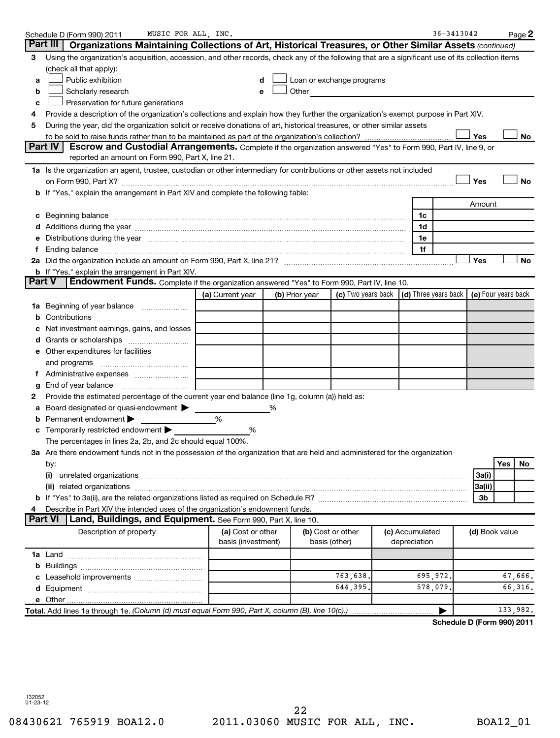|    | MUSIC FOR ALL, INC.<br>Schedule D (Form 990) 2011                                                                                                                              |                    |   |                |                                                                                                                                                                                                                                |                 | $36 - 3413042$             |                     |     | $Page$ 2  |
|----|--------------------------------------------------------------------------------------------------------------------------------------------------------------------------------|--------------------|---|----------------|--------------------------------------------------------------------------------------------------------------------------------------------------------------------------------------------------------------------------------|-----------------|----------------------------|---------------------|-----|-----------|
|    | Part III<br>Organizations Maintaining Collections of Art, Historical Treasures, or Other Similar Assets (continued)                                                            |                    |   |                |                                                                                                                                                                                                                                |                 |                            |                     |     |           |
| 3  | Using the organization's acquisition, accession, and other records, check any of the following that are a significant use of its collection items                              |                    |   |                |                                                                                                                                                                                                                                |                 |                            |                     |     |           |
|    | (check all that apply):                                                                                                                                                        |                    |   |                |                                                                                                                                                                                                                                |                 |                            |                     |     |           |
| а  | Public exhibition                                                                                                                                                              |                    | d |                | Loan or exchange programs                                                                                                                                                                                                      |                 |                            |                     |     |           |
| b  | Scholarly research                                                                                                                                                             |                    |   |                | Other and the control of the control of the control of the control of the control of the control of the control of the control of the control of the control of the control of the control of the control of the control of th |                 |                            |                     |     |           |
| c  | Preservation for future generations                                                                                                                                            |                    |   |                |                                                                                                                                                                                                                                |                 |                            |                     |     |           |
| 4  | Provide a description of the organization's collections and explain how they further the organization's exempt purpose in Part XIV.                                            |                    |   |                |                                                                                                                                                                                                                                |                 |                            |                     |     |           |
| 5  | During the year, did the organization solicit or receive donations of art, historical treasures, or other similar assets                                                       |                    |   |                |                                                                                                                                                                                                                                |                 |                            |                     |     |           |
|    |                                                                                                                                                                                |                    |   |                |                                                                                                                                                                                                                                |                 |                            | Yes                 |     | No        |
|    | Part IV<br>Escrow and Custodial Arrangements. Complete if the organization answered "Yes" to Form 990, Part IV, line 9, or                                                     |                    |   |                |                                                                                                                                                                                                                                |                 |                            |                     |     |           |
|    | reported an amount on Form 990, Part X, line 21.                                                                                                                               |                    |   |                |                                                                                                                                                                                                                                |                 |                            |                     |     |           |
|    | 1a Is the organization an agent, trustee, custodian or other intermediary for contributions or other assets not included                                                       |                    |   |                |                                                                                                                                                                                                                                |                 |                            |                     |     |           |
|    |                                                                                                                                                                                |                    |   |                |                                                                                                                                                                                                                                |                 |                            | Yes                 |     | <b>No</b> |
|    | b If "Yes," explain the arrangement in Part XIV and complete the following table:                                                                                              |                    |   |                |                                                                                                                                                                                                                                |                 |                            |                     |     |           |
|    |                                                                                                                                                                                |                    |   |                |                                                                                                                                                                                                                                |                 |                            | Amount              |     |           |
|    |                                                                                                                                                                                |                    |   |                |                                                                                                                                                                                                                                | 1c              |                            |                     |     |           |
|    |                                                                                                                                                                                |                    |   |                |                                                                                                                                                                                                                                | 1d              |                            |                     |     |           |
| е  | Distributions during the year manufactured and an account of the state of the state of the state of the state o                                                                |                    |   |                |                                                                                                                                                                                                                                | 1e              |                            |                     |     |           |
| 1. |                                                                                                                                                                                |                    |   |                |                                                                                                                                                                                                                                | 1f              |                            |                     |     |           |
|    |                                                                                                                                                                                |                    |   |                |                                                                                                                                                                                                                                |                 |                            | Yes                 |     | No        |
|    | <b>b</b> If "Yes," explain the arrangement in Part XIV.<br><b>Part V</b><br><b>Endowment Funds.</b> Complete if the organization answered "Yes" to Form 990, Part IV, line 10. |                    |   |                |                                                                                                                                                                                                                                |                 |                            |                     |     |           |
|    |                                                                                                                                                                                |                    |   | (b) Prior year | (c) Two years back $\vert$ (d) Three years back $\vert$                                                                                                                                                                        |                 |                            | (e) Four years back |     |           |
|    |                                                                                                                                                                                | (a) Current year   |   |                |                                                                                                                                                                                                                                |                 |                            |                     |     |           |
|    | 1a Beginning of year balance                                                                                                                                                   |                    |   |                |                                                                                                                                                                                                                                |                 |                            |                     |     |           |
| b  | Net investment earnings, gains, and losses                                                                                                                                     |                    |   |                |                                                                                                                                                                                                                                |                 |                            |                     |     |           |
|    |                                                                                                                                                                                |                    |   |                |                                                                                                                                                                                                                                |                 |                            |                     |     |           |
|    | e Other expenditures for facilities                                                                                                                                            |                    |   |                |                                                                                                                                                                                                                                |                 |                            |                     |     |           |
|    | and programs                                                                                                                                                                   |                    |   |                |                                                                                                                                                                                                                                |                 |                            |                     |     |           |
|    |                                                                                                                                                                                |                    |   |                |                                                                                                                                                                                                                                |                 |                            |                     |     |           |
| g  |                                                                                                                                                                                |                    |   |                |                                                                                                                                                                                                                                |                 |                            |                     |     |           |
| 2  | Provide the estimated percentage of the current year end balance (line 1g, column (a)) held as:                                                                                |                    |   |                |                                                                                                                                                                                                                                |                 |                            |                     |     |           |
| а  | Board designated or quasi-endowment >                                                                                                                                          |                    | % |                |                                                                                                                                                                                                                                |                 |                            |                     |     |           |
| b  | Permanent endowment                                                                                                                                                            | %                  |   |                |                                                                                                                                                                                                                                |                 |                            |                     |     |           |
|    | <b>c</b> Temporarily restricted endowment $\blacktriangleright$                                                                                                                | %                  |   |                |                                                                                                                                                                                                                                |                 |                            |                     |     |           |
|    | The percentages in lines 2a, 2b, and 2c should equal 100%.                                                                                                                     |                    |   |                |                                                                                                                                                                                                                                |                 |                            |                     |     |           |
|    | 3a Are there endowment funds not in the possession of the organization that are held and administered for the organization                                                     |                    |   |                |                                                                                                                                                                                                                                |                 |                            |                     |     |           |
|    | by:                                                                                                                                                                            |                    |   |                |                                                                                                                                                                                                                                |                 |                            |                     | Yes | No        |
|    |                                                                                                                                                                                |                    |   |                |                                                                                                                                                                                                                                |                 |                            | 3a(i)               |     |           |
|    |                                                                                                                                                                                |                    |   |                |                                                                                                                                                                                                                                |                 |                            | 3a(ii)              |     |           |
|    |                                                                                                                                                                                |                    |   |                |                                                                                                                                                                                                                                |                 |                            | 3b                  |     |           |
|    | Describe in Part XIV the intended uses of the organization's endowment funds.                                                                                                  |                    |   |                |                                                                                                                                                                                                                                |                 |                            |                     |     |           |
|    | <b>Part VI</b><br>Land, Buildings, and Equipment. See Form 990, Part X, line 10.                                                                                               |                    |   |                |                                                                                                                                                                                                                                |                 |                            |                     |     |           |
|    | Description of property                                                                                                                                                        | (a) Cost or other  |   |                | (b) Cost or other                                                                                                                                                                                                              | (c) Accumulated |                            | (d) Book value      |     |           |
|    |                                                                                                                                                                                | basis (investment) |   |                | basis (other)                                                                                                                                                                                                                  | depreciation    |                            |                     |     |           |
|    |                                                                                                                                                                                |                    |   |                |                                                                                                                                                                                                                                |                 |                            |                     |     |           |
|    |                                                                                                                                                                                |                    |   |                |                                                                                                                                                                                                                                |                 |                            |                     |     |           |
|    |                                                                                                                                                                                |                    |   |                | 763,638.                                                                                                                                                                                                                       |                 | 695,972.                   |                     |     | 67,666.   |
|    |                                                                                                                                                                                |                    |   |                | 644,395.                                                                                                                                                                                                                       |                 | 578,079.                   |                     |     | 66,316.   |
|    |                                                                                                                                                                                |                    |   |                |                                                                                                                                                                                                                                |                 |                            |                     |     |           |
|    | Total. Add lines 1a through 1e. (Column (d) must equal Form 990, Part X, column (B), line 10(c).)                                                                              |                    |   |                |                                                                                                                                                                                                                                |                 | ▶                          |                     |     | 133,982.  |
|    |                                                                                                                                                                                |                    |   |                |                                                                                                                                                                                                                                |                 | Schedule D (Form 990) 2011 |                     |     |           |

132052 01-23-12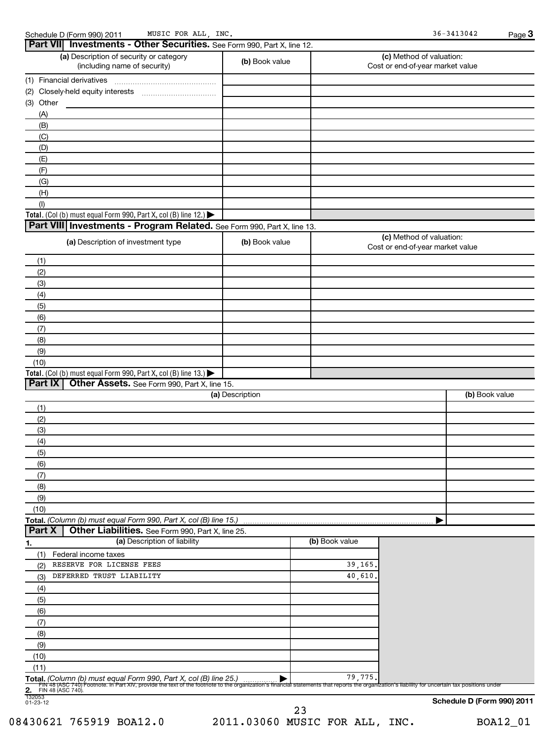| Part VII Investments - Other Securities. See Form 990, Part X, line 12.                     |                 |                |                                                              |
|---------------------------------------------------------------------------------------------|-----------------|----------------|--------------------------------------------------------------|
| (a) Description of security or category<br>(including name of security)                     | (b) Book value  |                | (c) Method of valuation:<br>Cost or end-of-year market value |
| (1) Financial derivatives                                                                   |                 |                |                                                              |
|                                                                                             |                 |                |                                                              |
| (3) Other                                                                                   |                 |                |                                                              |
| (A)                                                                                         |                 |                |                                                              |
| (B)                                                                                         |                 |                |                                                              |
| (C)                                                                                         |                 |                |                                                              |
| (D)                                                                                         |                 |                |                                                              |
| (E)                                                                                         |                 |                |                                                              |
| (F)                                                                                         |                 |                |                                                              |
| (G)                                                                                         |                 |                |                                                              |
| (H)                                                                                         |                 |                |                                                              |
| (1)<br>Total. (Col (b) must equal Form 990, Part X, col (B) line 12.) $\blacktriangleright$ |                 |                |                                                              |
| Part VIII Investments - Program Related. See Form 990, Part X, line 13.                     |                 |                |                                                              |
|                                                                                             |                 |                | (c) Method of valuation:                                     |
| (a) Description of investment type                                                          | (b) Book value  |                | Cost or end-of-year market value                             |
| (1)                                                                                         |                 |                |                                                              |
| (2)                                                                                         |                 |                |                                                              |
| (3)                                                                                         |                 |                |                                                              |
| (4)                                                                                         |                 |                |                                                              |
| (5)                                                                                         |                 |                |                                                              |
| (6)                                                                                         |                 |                |                                                              |
| (7)                                                                                         |                 |                |                                                              |
| (8)                                                                                         |                 |                |                                                              |
| (9)                                                                                         |                 |                |                                                              |
| (10)                                                                                        |                 |                |                                                              |
| Total. (Col (b) must equal Form 990, Part X, col (B) line 13.)                              |                 |                |                                                              |
| Part IX<br>Other Assets. See Form 990, Part X, line 15.                                     |                 |                |                                                              |
|                                                                                             | (a) Description |                | (b) Book value                                               |
| (1)                                                                                         |                 |                |                                                              |
| (2)                                                                                         |                 |                |                                                              |
| (3)                                                                                         |                 |                |                                                              |
| (4)                                                                                         |                 |                |                                                              |
| (5)                                                                                         |                 |                |                                                              |
| (6)                                                                                         |                 |                |                                                              |
| (7)                                                                                         |                 |                |                                                              |
|                                                                                             |                 |                |                                                              |
| (8)                                                                                         |                 |                |                                                              |
| (9)                                                                                         |                 |                |                                                              |
|                                                                                             |                 |                |                                                              |
|                                                                                             |                 |                |                                                              |
| Other Liabilities. See Form 990, Part X, line 25.                                           |                 |                |                                                              |
| (a) Description of liability                                                                |                 | (b) Book value |                                                              |
| (1)<br>Federal income taxes                                                                 |                 |                |                                                              |
| RESERVE FOR LICENSE FEES<br>(2)                                                             |                 | 39,165         |                                                              |
| DEFERRED TRUST LIABILITY<br>(3)                                                             |                 | 40,610         |                                                              |
| (4)                                                                                         |                 |                |                                                              |
| (5)                                                                                         |                 |                |                                                              |
| (6)                                                                                         |                 |                |                                                              |
| (7)                                                                                         |                 |                |                                                              |
| (8)                                                                                         |                 |                |                                                              |
| (10)<br>Total. (Column (b) must equal Form 990, Part X, col (B) line 15.)<br>Part X<br>(9)  |                 |                |                                                              |
| (10)                                                                                        |                 |                |                                                              |
| (11)<br>Total. (Column (b) must equal Form 990, Part X, col (B) line 25.                    |                 | 79,775         |                                                              |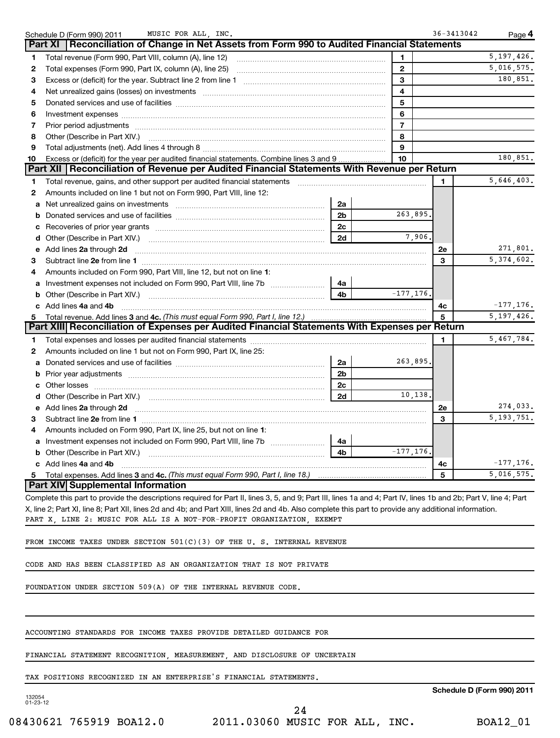|    | MUSIC FOR ALL, INC.<br>Schedule D (Form 990) 2011                                                                                                                |                |                | $36 - 3413042$ | Page 4                     |
|----|------------------------------------------------------------------------------------------------------------------------------------------------------------------|----------------|----------------|----------------|----------------------------|
|    | Reconciliation of Change in Net Assets from Form 990 to Audited Financial Statements<br>Part XI                                                                  |                |                |                |                            |
| 1  | Total revenue (Form 990, Part VIII, column (A), line 12)                                                                                                         |                | 1              |                | 5, 197, 426.               |
| 2  |                                                                                                                                                                  |                | $\overline{2}$ |                | 5,016,575.                 |
| з  |                                                                                                                                                                  |                | 3              |                | 180,851.                   |
| 4  |                                                                                                                                                                  |                | 4              |                |                            |
| 5  |                                                                                                                                                                  |                | 5              |                |                            |
| 6  |                                                                                                                                                                  |                | 6              |                |                            |
| 7  |                                                                                                                                                                  |                | $\overline{7}$ |                |                            |
| 8  | Other (Describe in Part XIV.)                                                                                                                                    |                | 8              |                |                            |
| 9  |                                                                                                                                                                  |                | 9              |                |                            |
| 10 | Excess or (deficit) for the year per audited financial statements. Combine lines 3 and 9                                                                         |                | 10             |                | 180,851.                   |
|    | Part XII   Reconciliation of Revenue per Audited Financial Statements With Revenue per Return                                                                    |                |                |                |                            |
| 1  | Total revenue, gains, and other support per audited financial statements                                                                                         |                |                | 1.             | 5,646,403.                 |
| 2  | Amounts included on line 1 but not on Form 990, Part VIII, line 12:                                                                                              |                |                |                |                            |
| a  | Net unrealized gains on investments                                                                                                                              | 2a             |                |                |                            |
| b  |                                                                                                                                                                  | 2 <sub>b</sub> | 263,895.       |                |                            |
| с  |                                                                                                                                                                  | 2c             |                |                |                            |
| d  |                                                                                                                                                                  | 2d             | 7,906.         |                |                            |
| е  | Add lines 2a through 2d                                                                                                                                          |                |                | 2e             | 271,801.                   |
| 3  |                                                                                                                                                                  |                |                | 3              | $\overline{5,374},602.$    |
| 4  | Amounts included on Form 990, Part VIII, line 12, but not on line 1:                                                                                             |                |                |                |                            |
| a  |                                                                                                                                                                  | 4a             |                |                |                            |
| b  | Other (Describe in Part XIV.) <b>Construction Contract Construction</b> Chemistry Chemistry Chemistry Chemistry Chemistry                                        | 4 <sub>b</sub> | $-177, 176.$   |                |                            |
| c  | Add lines 4a and 4b                                                                                                                                              |                |                | 4c             | $-177, 176.$               |
| 5  | Total revenue. Add lines 3 and 4c. (This must equal Form 990, Part I, line 12.)                                                                                  |                |                | 5              | 5, 197, 426.               |
|    | Part XIII  Reconciliation of Expenses per Audited Financial Statements With Expenses per Return                                                                  |                |                |                |                            |
| 1  |                                                                                                                                                                  |                |                | 1              | $\overline{5}$ , 467, 784. |
| 2  | Amounts included on line 1 but not on Form 990, Part IX, line 25:                                                                                                |                |                |                |                            |
| a  |                                                                                                                                                                  | 2a             | 263,895.       |                |                            |
| b  |                                                                                                                                                                  | 2 <sub>b</sub> |                |                |                            |
| с  |                                                                                                                                                                  | 2c             |                |                |                            |
|    |                                                                                                                                                                  | 2d             | 10,138.        |                |                            |
| e  | Add lines 2a through 2d                                                                                                                                          |                |                | 2e             | 274,033.                   |
| 3  |                                                                                                                                                                  |                |                | 3              | $\overline{5,193,751}$ .   |
| 4  | Amounts included on Form 990, Part IX, line 25, but not on line 1:                                                                                               |                |                |                |                            |
| a  | Investment expenses not included on Form 990, Part VIII, line 7b [11,111]                                                                                        | 4a             |                |                |                            |
| b  |                                                                                                                                                                  | 4b             | $-177, 176.$   |                |                            |
|    | c Add lines 4a and 4b                                                                                                                                            |                |                | 4c             | $-177, 176.$               |
| 5  |                                                                                                                                                                  |                |                | 5              | 5,016,575.                 |
|    | Part XIV Supplemental Information                                                                                                                                |                |                |                |                            |
|    | Complete this part to provide the descriptions required for Part II, lines 3, 5, and 9; Part III, lines 1a and 4; Part IV, lines 1b and 2b; Part V, line 4; Part |                |                |                |                            |
|    | V line 2: Part VI line 8: Part VII lines 2d and 4b; and Part VIII lines 2d and 4b. Also complete this part to provide any additional information.                |                |                |                |                            |

X, line 2; Part XI, line 8; Part XII, lines 2d and 4b; and Part XIII, lines 2d and 4b. Also complete this part to provide any additional information. PART X, LINE 2: MUSIC FOR ALL IS A NOT-FOR-PROFIT ORGANIZATION, EXEMPT

FROM INCOME TAXES UNDER SECTION 501(C)(3) OF THE U. S. INTERNAL REVENUE

CODE AND HAS BEEN CLASSIFIED AS AN ORGANIZATION THAT IS NOT PRIVATE

FOUNDATION UNDER SECTION 509(A) OF THE INTERNAL REVENUE CODE.

ACCOUNTING STANDARDS FOR INCOME TAXES PROVIDE DETAILED GUIDANCE FOR

FINANCIAL STATEMENT RECOGNITION, MEASUREMENT, AND DISCLOSURE OF UNCERTAIN

TAX POSITIONS RECOGNIZED IN AN ENTERPRISE'S FINANCIAL STATEMENTS.

**Schedule D (Form 990) 2011**

132054 01-23-12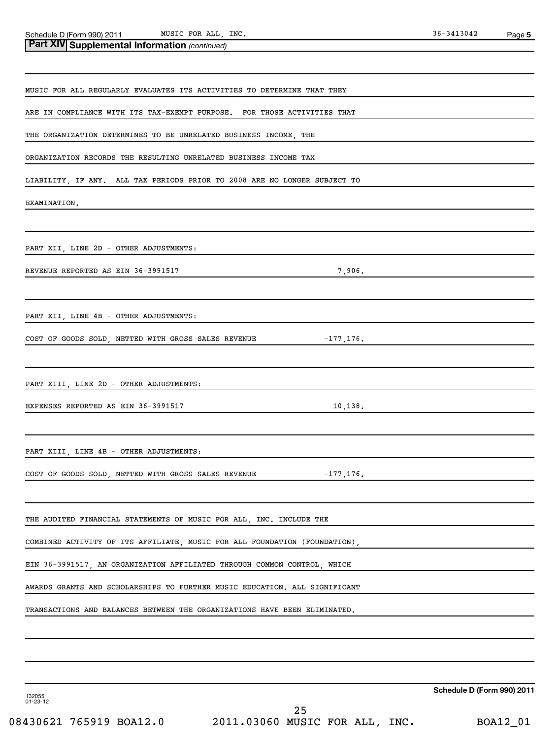MUSIC FOR ALL, INC. 36-3413042

| Part XIV Supplemental Information (continued)                              |
|----------------------------------------------------------------------------|
|                                                                            |
| MUSIC FOR ALL REGULARLY EVALUATES ITS ACTIVITIES TO DETERMINE THAT THEY    |
| ARE IN COMPLIANCE WITH ITS TAX-EXEMPT PURPOSE. FOR THOSE ACTIVITIES THAT   |
| THE ORGANIZATION DETERMINES TO BE UNRELATED BUSINESS INCOME, THE           |
| ORGANIZATION RECORDS THE RESULTING UNRELATED BUSINESS INCOME TAX           |
| LIABILITY, IF ANY. ALL TAX PERIODS PRIOR TO 2008 ARE NO LONGER SUBJECT TO  |
| EXAMINATION.                                                               |
|                                                                            |
| PART XII, LINE 2D - OTHER ADJUSTMENTS:                                     |
| REVENUE REPORTED AS EIN 36-3991517<br>7,906.                               |
|                                                                            |
| PART XII, LINE 4B - OTHER ADJUSTMENTS:                                     |
| COST OF GOODS SOLD, NETTED WITH GROSS SALES REVENUE<br>$-177,176$ .        |
|                                                                            |
| PART XIII, LINE 2D - OTHER ADJUSTMENTS:                                    |
| EXPENSES REPORTED AS EIN 36-3991517<br>10,138.                             |
|                                                                            |
| PART XIII, LINE 4B - OTHER ADJUSTMENTS:                                    |
| COST OF GOODS SOLD, NETTED WITH GROSS SALES REVENUE $-177, 176$ .          |
|                                                                            |
| THE AUDITED FINANCIAL STATEMENTS OF MUSIC FOR ALL, INC. INCLUDE THE        |
| COMBINED ACTIVITY OF ITS AFFILIATE, MUSIC FOR ALL FOUNDATION (FOUNDATION), |
| EIN 36-3991517, AN ORGANIZATION AFFILIATED THROUGH COMMON CONTROL, WHICH   |
| AWARDS GRANTS AND SCHOLARSHIPS TO FURTHER MUSIC EDUCATION. ALL SIGNIFICANT |
| TRANSACTIONS AND BALANCES BETWEEN THE ORGANIZATIONS HAVE BEEN ELIMINATED.  |
|                                                                            |
|                                                                            |

**Schedule D (Form 990) 2011**

132055 01-23-12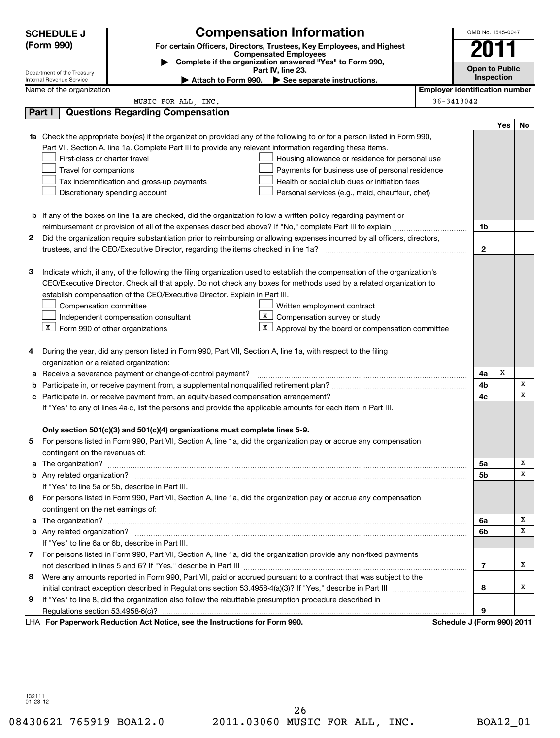| <b>SCHEDULE J</b>              | <b>Compensation Information</b>                                                                                                                                        | OMB No. 1545-0047                     |            |    |
|--------------------------------|------------------------------------------------------------------------------------------------------------------------------------------------------------------------|---------------------------------------|------------|----|
| (Form 990)                     | For certain Officers, Directors, Trustees, Key Employees, and Highest                                                                                                  |                                       |            |    |
|                                | <b>Compensated Employees</b><br>Complete if the organization answered "Yes" to Form 990,                                                                               |                                       |            |    |
| Department of the Treasury     | Part IV, line 23.                                                                                                                                                      | <b>Open to Public</b>                 |            |    |
| Internal Revenue Service       | Attach to Form 990. See separate instructions.                                                                                                                         |                                       | Inspection |    |
| Name of the organization       |                                                                                                                                                                        | <b>Employer identification number</b> |            |    |
|                                | MUSIC FOR ALL, INC.                                                                                                                                                    | $36 - 3413042$                        |            |    |
| Part I                         | <b>Questions Regarding Compensation</b>                                                                                                                                |                                       |            |    |
|                                |                                                                                                                                                                        |                                       | Yes        | No |
|                                | <b>1a</b> Check the appropriate box(es) if the organization provided any of the following to or for a person listed in Form 990,                                       |                                       |            |    |
|                                | Part VII, Section A, line 1a. Complete Part III to provide any relevant information regarding these items.                                                             |                                       |            |    |
|                                | First-class or charter travel<br>Housing allowance or residence for personal use                                                                                       |                                       |            |    |
|                                | Travel for companions<br>Payments for business use of personal residence<br>Tax indemnification and gross-up payments<br>Health or social club dues or initiation fees |                                       |            |    |
|                                | Discretionary spending account<br>Personal services (e.g., maid, chauffeur, chef)                                                                                      |                                       |            |    |
|                                |                                                                                                                                                                        |                                       |            |    |
|                                | <b>b</b> If any of the boxes on line 1a are checked, did the organization follow a written policy regarding payment or                                                 |                                       |            |    |
|                                | reimbursement or provision of all of the expenses described above? If "No," complete Part III to explain                                                               | 1b                                    |            |    |
| 2                              | Did the organization require substantiation prior to reimbursing or allowing expenses incurred by all officers, directors,                                             |                                       |            |    |
|                                |                                                                                                                                                                        | $\mathbf{2}$                          |            |    |
|                                |                                                                                                                                                                        |                                       |            |    |
| З                              | Indicate which, if any, of the following the filing organization used to establish the compensation of the organization's                                              |                                       |            |    |
|                                | CEO/Executive Director. Check all that apply. Do not check any boxes for methods used by a related organization to                                                     |                                       |            |    |
|                                | establish compensation of the CEO/Executive Director. Explain in Part III.                                                                                             |                                       |            |    |
|                                | Written employment contract<br>Compensation committee                                                                                                                  |                                       |            |    |
|                                | X<br>Compensation survey or study<br>Independent compensation consultant                                                                                               |                                       |            |    |
| X                              | X<br>Form 990 of other organizations<br>Approval by the board or compensation committee                                                                                |                                       |            |    |
|                                |                                                                                                                                                                        |                                       |            |    |
| 4                              | During the year, did any person listed in Form 990, Part VII, Section A, line 1a, with respect to the filing                                                           |                                       |            |    |
|                                | organization or a related organization:                                                                                                                                |                                       |            |    |
| а                              | Receive a severance payment or change-of-control payment?                                                                                                              | 4a                                    | х          |    |
| b                              |                                                                                                                                                                        | 4b                                    |            | x  |
| c                              |                                                                                                                                                                        | 4c                                    |            | x  |
|                                | If "Yes" to any of lines 4a-c, list the persons and provide the applicable amounts for each item in Part III.                                                          |                                       |            |    |
|                                |                                                                                                                                                                        |                                       |            |    |
|                                | Only section 501(c)(3) and 501(c)(4) organizations must complete lines 5-9.                                                                                            |                                       |            |    |
| 5                              | For persons listed in Form 990, Part VII, Section A, line 1a, did the organization pay or accrue any compensation                                                      |                                       |            |    |
| contingent on the revenues of: |                                                                                                                                                                        |                                       |            |    |
| a The organization?            |                                                                                                                                                                        | 5a                                    |            | х  |
|                                |                                                                                                                                                                        | 5b                                    |            | x  |
|                                | If "Yes" to line 5a or 5b, describe in Part III.                                                                                                                       |                                       |            |    |
| 6                              | For persons listed in Form 990, Part VII, Section A, line 1a, did the organization pay or accrue any compensation                                                      |                                       |            |    |
|                                | contingent on the net earnings of:                                                                                                                                     |                                       |            |    |
|                                |                                                                                                                                                                        | 6a                                    |            | х  |
|                                |                                                                                                                                                                        | 6b                                    |            | x  |
|                                | If "Yes" to line 6a or 6b, describe in Part III.                                                                                                                       |                                       |            |    |
| 7                              | For persons listed in Form 990, Part VII, Section A, line 1a, did the organization provide any non-fixed payments                                                      |                                       |            |    |
|                                |                                                                                                                                                                        | 7                                     |            | х  |
| 8                              | Were any amounts reported in Form 990, Part VII, paid or accrued pursuant to a contract that was subject to the                                                        |                                       |            |    |
|                                |                                                                                                                                                                        | 8                                     |            | х  |
| 9                              | If "Yes" to line 8, did the organization also follow the rebuttable presumption procedure described in                                                                 |                                       |            |    |
|                                |                                                                                                                                                                        | 9                                     |            |    |
|                                | LHA For Paperwork Reduction Act Notice, see the Instructions for Form 990.                                                                                             | Schedule J (Form 990) 2011            |            |    |

132111 01-23-12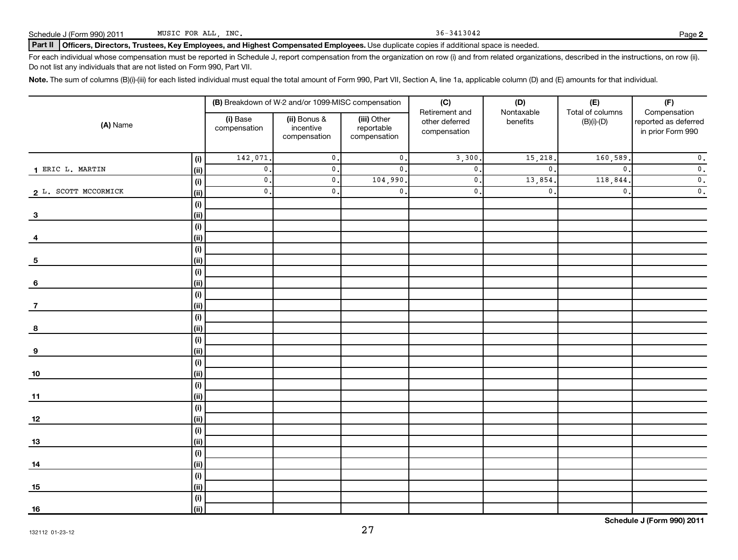Schedule J (Form 990) 2011 MUSIC FOR ALL, INC. Schedule J (Form 990) 2011 MUSIC FOR ALL, INC.

#### Part II | Officers, Directors, Trustees, Key Employees, and Highest Compensated Employees. Use duplicate copies if additional space is needed.

For each individual whose compensation must be reported in Schedule J, report compensation from the organization on row (i) and from related organizations, described in the instructions, on row (ii). Do not list any individuals that are not listed on Form 990, Part VII.

Note. The sum of columns (B)(i)-(iii) for each listed individual must equal the total amount of Form 990, Part VII, Section A, line 1a, applicable column (D) and (E) amounts for that individual.

|                         |             |                           | (B) Breakdown of W-2 and/or 1099-MISC compensation |                                           | (C)                                              | (D)                    | (E)<br>(F)                       |                                                           |  |
|-------------------------|-------------|---------------------------|----------------------------------------------------|-------------------------------------------|--------------------------------------------------|------------------------|----------------------------------|-----------------------------------------------------------|--|
| (A) Name                |             | (i) Base<br>compensation  | (ii) Bonus &<br>incentive<br>compensation          | (iii) Other<br>reportable<br>compensation | Retirement and<br>other deferred<br>compensation | Nontaxable<br>benefits | Total of columns<br>$(B)(i)-(D)$ | Compensation<br>reported as deferred<br>in prior Form 990 |  |
|                         | (i)         | 142,071.                  | $\mathfrak o$ .                                    | $\mathbf 0$ .                             | 3,300                                            | 15,218.                | 160, 589                         | $\overline{\mathbf{0}}$ .                                 |  |
| 1 ERIC L. MARTIN        | (ii)        | $\overline{\mathbf{0}}$ . | $\mathbf{0}$ .                                     | $\mathbf{0}$ .                            | $\mathbf{0}$                                     | $\mathbf{0}$ .         | $\mathbf{0}$ .                   | $\overline{\mathbf{0}}$ .                                 |  |
|                         | (i)         | $\overline{\mathbf{0}}$ . | $\mathbf{0}$ .                                     | 104,990.                                  | $\mathbf{0}$                                     | 13,854.                | 118,844                          | $\overline{\mathbf{0}}$ .                                 |  |
| 2 L. SCOTT MCCORMICK    | (i)         | $\overline{\mathbf{0}}$ . | $\mathbf{0}$ .                                     | $\mathbf{0}$ .                            | $\mathbf{0}$                                     | $\mathbf{0}$ .         | $\mathbf{0}$ .                   | $\overline{\mathbf{0}}$ .                                 |  |
|                         | (i)         |                           |                                                    |                                           |                                                  |                        |                                  |                                                           |  |
| $\overline{\mathbf{3}}$ | (ii)        |                           |                                                    |                                           |                                                  |                        |                                  |                                                           |  |
|                         | (i)         |                           |                                                    |                                           |                                                  |                        |                                  |                                                           |  |
| 4                       | (ii)        |                           |                                                    |                                           |                                                  |                        |                                  |                                                           |  |
|                         | (i)         |                           |                                                    |                                           |                                                  |                        |                                  |                                                           |  |
| 5                       | (ii)        |                           |                                                    |                                           |                                                  |                        |                                  |                                                           |  |
|                         | (i)         |                           |                                                    |                                           |                                                  |                        |                                  |                                                           |  |
| 6                       | (ii)        |                           |                                                    |                                           |                                                  |                        |                                  |                                                           |  |
|                         | (i)         |                           |                                                    |                                           |                                                  |                        |                                  |                                                           |  |
| $\overline{7}$          | (ii)        |                           |                                                    |                                           |                                                  |                        |                                  |                                                           |  |
|                         | (i)         |                           |                                                    |                                           |                                                  |                        |                                  |                                                           |  |
| 8                       | (ii)        |                           |                                                    |                                           |                                                  |                        |                                  |                                                           |  |
|                         | (i)         |                           |                                                    |                                           |                                                  |                        |                                  |                                                           |  |
| 9                       | (ii)        |                           |                                                    |                                           |                                                  |                        |                                  |                                                           |  |
|                         | (i)         |                           |                                                    |                                           |                                                  |                        |                                  |                                                           |  |
| $10\,$                  | (ii)        |                           |                                                    |                                           |                                                  |                        |                                  |                                                           |  |
|                         | (i)<br>(ii) |                           |                                                    |                                           |                                                  |                        |                                  |                                                           |  |
| 11                      | (i)         |                           |                                                    |                                           |                                                  |                        |                                  |                                                           |  |
| <u>12</u>               | (ii)        |                           |                                                    |                                           |                                                  |                        |                                  |                                                           |  |
|                         | (i)         |                           |                                                    |                                           |                                                  |                        |                                  |                                                           |  |
| 13                      | (ii)        |                           |                                                    |                                           |                                                  |                        |                                  |                                                           |  |
|                         | (i)         |                           |                                                    |                                           |                                                  |                        |                                  |                                                           |  |
| 14                      | (i)         |                           |                                                    |                                           |                                                  |                        |                                  |                                                           |  |
|                         | (i)         |                           |                                                    |                                           |                                                  |                        |                                  |                                                           |  |
| 15                      | (ii)        |                           |                                                    |                                           |                                                  |                        |                                  |                                                           |  |
|                         | (i)         |                           |                                                    |                                           |                                                  |                        |                                  |                                                           |  |
| 16                      | (ii)        |                           |                                                    |                                           |                                                  |                        |                                  |                                                           |  |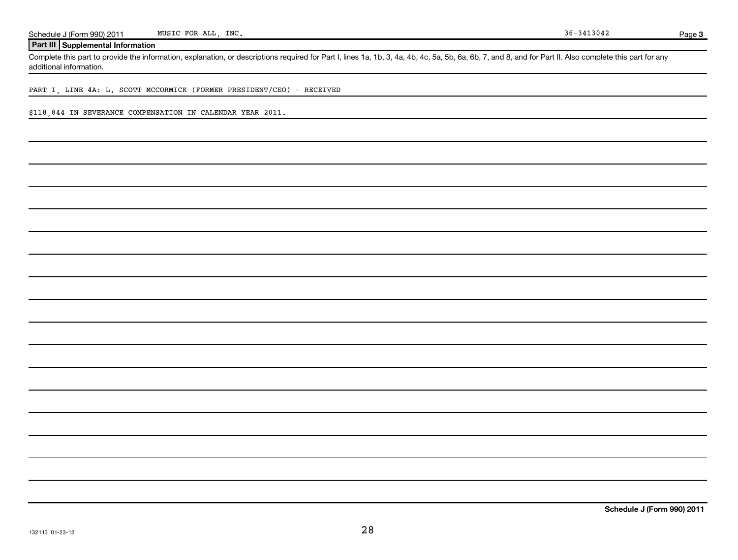**Page 3** 

### **Part III Supplemental Information**

Complete this part to provide the information, explanation, or descriptions required for Part I, lines 1a, 1b, 3, 4a, 4b, 4c, 5a, 5b, 6a, 6b, 7, and 8, and for Part II. Also complete this part for any additional information.

PART I, LINE 4A: L. SCOTT MCCORMICK (FORMER PRESIDENT/CEO) - RECEIVED

\$118,844 IN SEVERANCE COMPENSATION IN CALENDAR YEAR 2011.

**Schedule J (Form 990) 2011**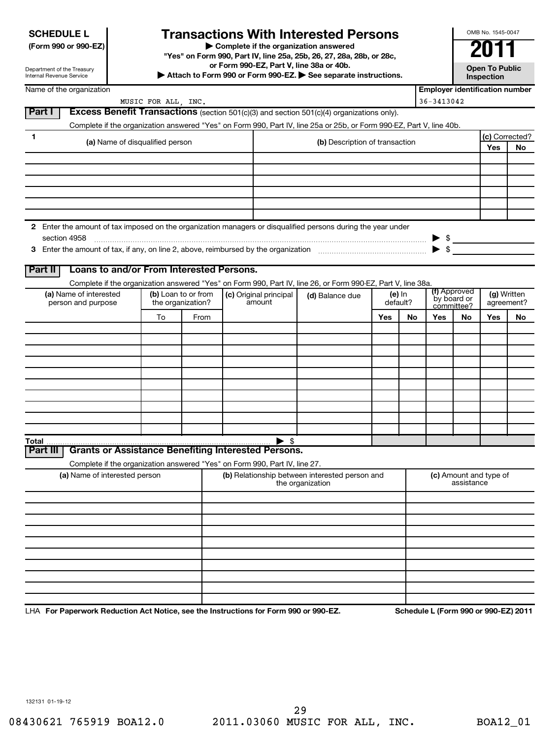# **Transactions With Interested Persons**

**(Form 990 or 990-EZ) | Complete if the organization answered**

**"Yes" on Form 990, Part IV, line 25a, 25b, 26, 27, 28a, 28b, or 28c, or Form 990-EZ, Part V, line 38a or 40b.**

**| Attach to Form 990 or Form 990-EZ. | See separate instructions. Open To Public**

**Inspection**

OMB No. 1545-0047

Name of the organization

Department of the Treasury Internal Revenue Service

| Name of the organization                                                                                                     |                     |                     |  |                        |                                                |     |          | <b>Employer identification number</b> |                           |                        |            |
|------------------------------------------------------------------------------------------------------------------------------|---------------------|---------------------|--|------------------------|------------------------------------------------|-----|----------|---------------------------------------|---------------------------|------------------------|------------|
|                                                                                                                              | MUSIC FOR ALL, INC. |                     |  |                        |                                                |     |          | 36-3413042                            |                           |                        |            |
| <b>Excess Benefit Transactions</b> (section 501(c)(3) and section 501(c)(4) organizations only).<br><b>Part I</b>            |                     |                     |  |                        |                                                |     |          |                                       |                           |                        |            |
| Complete if the organization answered "Yes" on Form 990, Part IV, line 25a or 25b, or Form 990-EZ, Part V, line 40b.         |                     |                     |  |                        |                                                |     |          |                                       |                           |                        |            |
| 1<br>(a) Name of disqualified person                                                                                         |                     |                     |  |                        | (b) Description of transaction                 |     |          |                                       | (c) Corrected?            |                        |            |
|                                                                                                                              |                     |                     |  |                        |                                                |     |          |                                       |                           | Yes                    | No         |
|                                                                                                                              |                     |                     |  |                        |                                                |     |          |                                       |                           |                        |            |
|                                                                                                                              |                     |                     |  |                        |                                                |     |          |                                       |                           |                        |            |
|                                                                                                                              |                     |                     |  |                        |                                                |     |          |                                       |                           |                        |            |
|                                                                                                                              |                     |                     |  |                        |                                                |     |          |                                       |                           |                        |            |
|                                                                                                                              |                     |                     |  |                        |                                                |     |          |                                       |                           |                        |            |
|                                                                                                                              |                     |                     |  |                        |                                                |     |          |                                       |                           |                        |            |
| 2 Enter the amount of tax imposed on the organization managers or disqualified persons during the year under<br>section 4958 |                     |                     |  |                        |                                                |     |          | $\blacktriangleright$ \$              |                           |                        |            |
|                                                                                                                              |                     |                     |  |                        |                                                |     |          | $\blacktriangleright$ \$              |                           |                        |            |
|                                                                                                                              |                     |                     |  |                        |                                                |     |          |                                       |                           |                        |            |
| Loans to and/or From Interested Persons.<br><b>Part II</b>                                                                   |                     |                     |  |                        |                                                |     |          |                                       |                           |                        |            |
| Complete if the organization answered "Yes" on Form 990, Part IV, line 26, or Form 990-EZ, Part V, line 38a.                 |                     |                     |  |                        |                                                |     |          |                                       |                           |                        |            |
| (a) Name of interested                                                                                                       |                     | (b) Loan to or from |  | (c) Original principal | (d) Balance due                                |     | (e) In   |                                       | (f) Approved              | (g) Written            |            |
| person and purpose                                                                                                           | the organization?   |                     |  | amount                 |                                                |     | default? |                                       | by board or<br>committee? |                        | agreement? |
|                                                                                                                              | To                  | From                |  |                        |                                                | Yes | No       | Yes                                   | No                        | Yes                    | No         |
|                                                                                                                              |                     |                     |  |                        |                                                |     |          |                                       |                           |                        |            |
|                                                                                                                              |                     |                     |  |                        |                                                |     |          |                                       |                           |                        |            |
|                                                                                                                              |                     |                     |  |                        |                                                |     |          |                                       |                           |                        |            |
|                                                                                                                              |                     |                     |  |                        |                                                |     |          |                                       |                           |                        |            |
|                                                                                                                              |                     |                     |  |                        |                                                |     |          |                                       |                           |                        |            |
|                                                                                                                              |                     |                     |  |                        |                                                |     |          |                                       |                           |                        |            |
|                                                                                                                              |                     |                     |  |                        |                                                |     |          |                                       |                           |                        |            |
|                                                                                                                              |                     |                     |  |                        |                                                |     |          |                                       |                           |                        |            |
|                                                                                                                              |                     |                     |  |                        |                                                |     |          |                                       |                           |                        |            |
|                                                                                                                              |                     |                     |  |                        |                                                |     |          |                                       |                           |                        |            |
| Total<br><b>Grants or Assistance Benefiting Interested Persons.</b><br><b>Part III</b>                                       |                     |                     |  | ► \$                   |                                                |     |          |                                       |                           |                        |            |
| Complete if the organization answered "Yes" on Form 990, Part IV, line 27.                                                   |                     |                     |  |                        |                                                |     |          |                                       |                           |                        |            |
| (a) Name of interested person                                                                                                |                     |                     |  |                        | (b) Relationship between interested person and |     |          |                                       |                           | (c) Amount and type of |            |
|                                                                                                                              |                     |                     |  |                        | the organization                               |     |          |                                       | assistance                |                        |            |
|                                                                                                                              |                     |                     |  |                        |                                                |     |          |                                       |                           |                        |            |
|                                                                                                                              |                     |                     |  |                        |                                                |     |          |                                       |                           |                        |            |
|                                                                                                                              |                     |                     |  |                        |                                                |     |          |                                       |                           |                        |            |
|                                                                                                                              |                     |                     |  |                        |                                                |     |          |                                       |                           |                        |            |
|                                                                                                                              |                     |                     |  |                        |                                                |     |          |                                       |                           |                        |            |
|                                                                                                                              |                     |                     |  |                        |                                                |     |          |                                       |                           |                        |            |
|                                                                                                                              |                     |                     |  |                        |                                                |     |          |                                       |                           |                        |            |
|                                                                                                                              |                     |                     |  |                        |                                                |     |          |                                       |                           |                        |            |
|                                                                                                                              |                     |                     |  |                        |                                                |     |          |                                       |                           |                        |            |
|                                                                                                                              |                     |                     |  |                        |                                                |     |          |                                       |                           |                        |            |

LHA For Paperwork Reduction Act Notice, see the Instructions for Form 990 or 990-EZ. Schedule L (Form 990 or 990-EZ) 2011 -

132131 01-19-12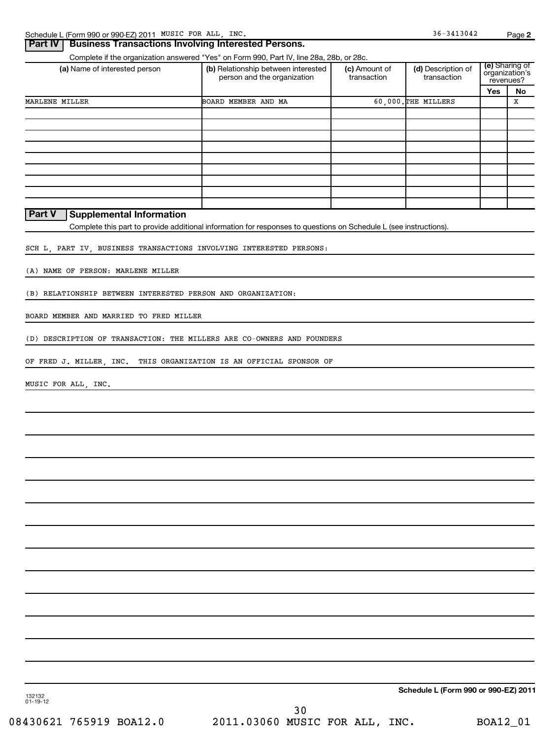| Schedule L (Form 990 or 990-EZ) 2011 MUSIC FOR ALL, INC.               |                                                                                                                   |                              | $36 - 3413042$                       |     | Page 2                                        |
|------------------------------------------------------------------------|-------------------------------------------------------------------------------------------------------------------|------------------------------|--------------------------------------|-----|-----------------------------------------------|
| <b>Business Transactions Involving Interested Persons.</b><br>Part IV  |                                                                                                                   |                              |                                      |     |                                               |
|                                                                        | Complete if the organization answered "Yes" on Form 990, Part IV, line 28a, 28b, or 28c.                          |                              |                                      |     |                                               |
| (a) Name of interested person                                          | (b) Relationship between interested<br>person and the organization                                                | (c) Amount of<br>transaction | (d) Description of<br>transaction    |     | (e) Sharing of<br>organization's<br>revenues? |
|                                                                        |                                                                                                                   |                              |                                      | Yes | No                                            |
| MARLENE MILLER                                                         | BOARD MEMBER AND MA                                                                                               |                              | 60,000. THE MILLERS                  |     | X                                             |
|                                                                        |                                                                                                                   |                              |                                      |     |                                               |
|                                                                        |                                                                                                                   |                              |                                      |     |                                               |
|                                                                        |                                                                                                                   |                              |                                      |     |                                               |
|                                                                        |                                                                                                                   |                              |                                      |     |                                               |
|                                                                        |                                                                                                                   |                              |                                      |     |                                               |
|                                                                        |                                                                                                                   |                              |                                      |     |                                               |
|                                                                        |                                                                                                                   |                              |                                      |     |                                               |
|                                                                        |                                                                                                                   |                              |                                      |     |                                               |
|                                                                        |                                                                                                                   |                              |                                      |     |                                               |
| Part V<br><b>Supplemental Information</b>                              | Complete this part to provide additional information for responses to questions on Schedule L (see instructions). |                              |                                      |     |                                               |
|                                                                        |                                                                                                                   |                              |                                      |     |                                               |
| SCH L, PART IV, BUSINESS TRANSACTIONS INVOLVING INTERESTED PERSONS:    |                                                                                                                   |                              |                                      |     |                                               |
| (A) NAME OF PERSON: MARLENE MILLER                                     |                                                                                                                   |                              |                                      |     |                                               |
| (B) RELATIONSHIP BETWEEN INTERESTED PERSON AND ORGANIZATION:           |                                                                                                                   |                              |                                      |     |                                               |
| BOARD MEMBER AND MARRIED TO FRED MILLER                                |                                                                                                                   |                              |                                      |     |                                               |
| (D) DESCRIPTION OF TRANSACTION: THE MILLERS ARE CO-OWNERS AND FOUNDERS |                                                                                                                   |                              |                                      |     |                                               |
|                                                                        |                                                                                                                   |                              |                                      |     |                                               |
| OF FRED J. MILLER, INC. THIS ORGANIZATION IS AN OFFICIAL SPONSOR OF    |                                                                                                                   |                              |                                      |     |                                               |
| MUSIC FOR ALL, INC.                                                    |                                                                                                                   |                              |                                      |     |                                               |
|                                                                        |                                                                                                                   |                              |                                      |     |                                               |
|                                                                        |                                                                                                                   |                              |                                      |     |                                               |
|                                                                        |                                                                                                                   |                              |                                      |     |                                               |
|                                                                        |                                                                                                                   |                              |                                      |     |                                               |
|                                                                        |                                                                                                                   |                              |                                      |     |                                               |
|                                                                        |                                                                                                                   |                              |                                      |     |                                               |
|                                                                        |                                                                                                                   |                              |                                      |     |                                               |
|                                                                        |                                                                                                                   |                              |                                      |     |                                               |
|                                                                        |                                                                                                                   |                              |                                      |     |                                               |
|                                                                        |                                                                                                                   |                              |                                      |     |                                               |
|                                                                        |                                                                                                                   |                              |                                      |     |                                               |
|                                                                        |                                                                                                                   |                              |                                      |     |                                               |
|                                                                        |                                                                                                                   |                              |                                      |     |                                               |
|                                                                        |                                                                                                                   |                              |                                      |     |                                               |
|                                                                        |                                                                                                                   |                              | Schedule L (Form 990 or 990-EZ) 2011 |     |                                               |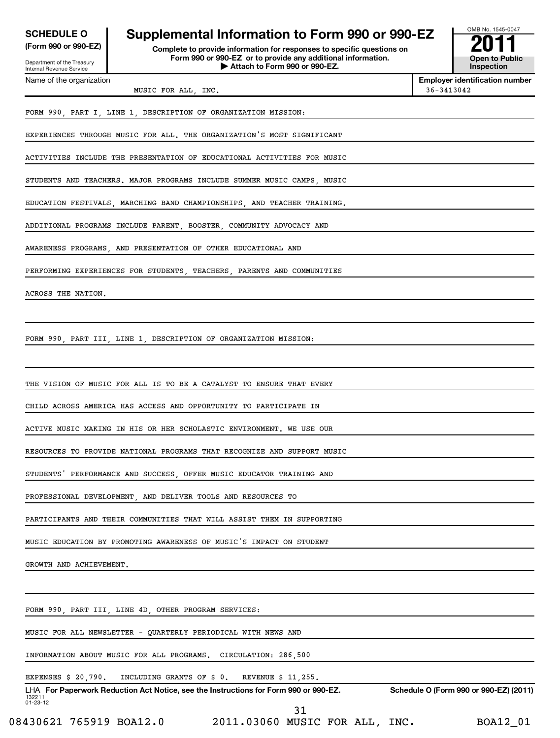| <b>SCHEDULE O</b><br>(Form 990 or 990-EZ)<br>Department of the Treasury<br><b>Internal Revenue Service</b> | OMB No. 1545-0047<br>2011<br><b>Open to Public</b><br>Inspection       |                |                                     |
|------------------------------------------------------------------------------------------------------------|------------------------------------------------------------------------|----------------|-------------------------------------|
| Name of the organization                                                                                   | MUSIC FOR ALL, INC.                                                    | $36 - 3413042$ | <b>Employer identification numb</b> |
|                                                                                                            | FORM 990 PART I LINE 1 DESCRIPTION OF ORGANIZATION MISSION:            |                |                                     |
|                                                                                                            | EXPERIENCES THROUGH MUSIC FOR ALL. THE ORGANIZATION'S MOST SIGNIFICANT |                |                                     |

ACTIVITIES INCLUDE THE PRESENTATION OF EDUCATIONAL ACTIVITIES FOR MUSIC

STUDENTS AND TEACHERS. MAJOR PROGRAMS INCLUDE SUMMER MUSIC CAMPS, MUSIC

EDUCATION FESTIVALS, MARCHING BAND CHAMPIONSHIPS, AND TEACHER TRAINING.

ADDITIONAL PROGRAMS INCLUDE PARENT, BOOSTER, COMMUNITY ADVOCACY AND

AWARENESS PROGRAMS, AND PRESENTATION OF OTHER EDUCATIONAL AND

PERFORMING EXPERIENCES FOR STUDENTS, TEACHERS, PARENTS AND COMMUNITIES

ACROSS THE NATION.

FORM 990, PART III, LINE 1, DESCRIPTION OF ORGANIZATION MISSION:

THE VISION OF MUSIC FOR ALL IS TO BE A CATALYST TO ENSURE THAT EVERY

CHILD ACROSS AMERICA HAS ACCESS AND OPPORTUNITY TO PARTICIPATE IN

ACTIVE MUSIC MAKING IN HIS OR HER SCHOLASTIC ENVIRONMENT. WE USE OUR

RESOURCES TO PROVIDE NATIONAL PROGRAMS THAT RECOGNIZE AND SUPPORT MUSIC

STUDENTS' PERFORMANCE AND SUCCESS, OFFER MUSIC EDUCATOR TRAINING AND

PROFESSIONAL DEVELOPMENT, AND DELIVER TOOLS AND RESOURCES TO

PARTICIPANTS AND THEIR COMMUNITIES THAT WILL ASSIST THEM IN SUPPORTING

MUSIC EDUCATION BY PROMOTING AWARENESS OF MUSIC'S IMPACT ON STUDENT

GROWTH AND ACHIEVEMENT.

FORM 990, PART III, LINE 4D, OTHER PROGRAM SERVICES:

MUSIC FOR ALL NEWSLETTER - QUARTERLY PERIODICAL WITH NEWS AND

INFORMATION ABOUT MUSIC FOR ALL PROGRAMS. CIRCULATION: 286,500

#### EXPENSES \$ 20,790. INCLUDING GRANTS OF \$ 0. REVENUE \$ 11,255.

132211 01-23-12 LHA For Paperwork Reduction Act Notice, see the Instructions for Form 990 or 990-EZ. Schedule O (Form 990 or 990-EZ) (2011) 31

08430621 765919 BOA12.0 2011.03060 MUSIC FOR ALL, INC. BOA12\_01

**Employer identification number**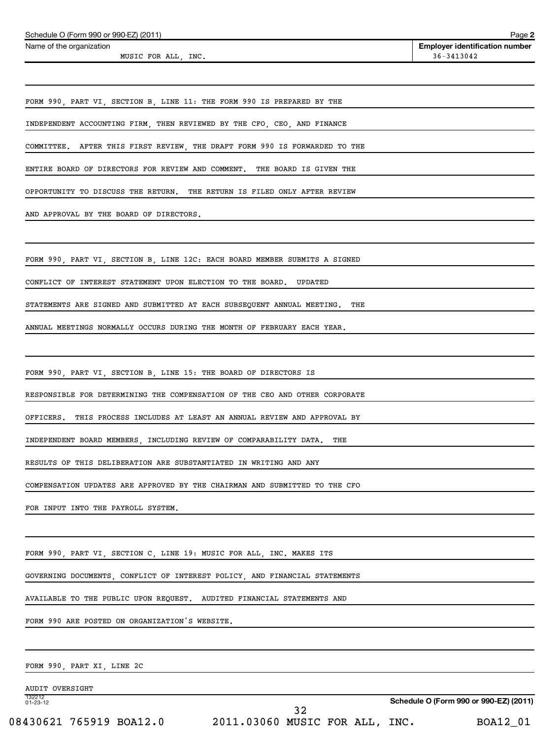| Schedule O (Form 990 or 990-EZ) (2011)                                      |                                | Page 2                                              |
|-----------------------------------------------------------------------------|--------------------------------|-----------------------------------------------------|
| Name of the organization<br>MUSIC FOR ALL, INC.                             |                                | <b>Employer identification number</b><br>36-3413042 |
|                                                                             |                                |                                                     |
| FORM 990, PART VI, SECTION B, LINE 11: THE FORM 990 IS PREPARED BY THE      |                                |                                                     |
| INDEPENDENT ACCOUNTING FIRM, THEN REVIEWED BY THE CFO, CEO, AND FINANCE     |                                |                                                     |
| COMMITTEE. AFTER THIS FIRST REVIEW, THE DRAFT FORM 990 IS FORWARDED TO THE  |                                |                                                     |
| ENTIRE BOARD OF DIRECTORS FOR REVIEW AND COMMENT. THE BOARD IS GIVEN THE    |                                |                                                     |
| OPPORTUNITY TO DISCUSS THE RETURN. THE RETURN IS FILED ONLY AFTER REVIEW    |                                |                                                     |
| AND APPROVAL BY THE BOARD OF DIRECTORS.                                     |                                |                                                     |
| FORM 990, PART VI, SECTION B, LINE 12C: EACH BOARD MEMBER SUBMITS A SIGNED  |                                |                                                     |
| CONFLICT OF INTEREST STATEMENT UPON ELECTION TO THE BOARD. UPDATED          |                                |                                                     |
| STATEMENTS ARE SIGNED AND SUBMITTED AT EACH SUBSEQUENT ANNUAL MEETING.      | THE                            |                                                     |
| ANNUAL MEETINGS NORMALLY OCCURS DURING THE MONTH OF FEBRUARY EACH YEAR.     |                                |                                                     |
|                                                                             |                                |                                                     |
| FORM 990, PART VI, SECTION B, LINE 15: THE BOARD OF DIRECTORS IS            |                                |                                                     |
| RESPONSIBLE FOR DETERMINING THE COMPENSATION OF THE CEO AND OTHER CORPORATE |                                |                                                     |
| OFFICERS. THIS PROCESS INCLUDES AT LEAST AN ANNUAL REVIEW AND APPROVAL BY   |                                |                                                     |
| INDEPENDENT BOARD MEMBERS, INCLUDING REVIEW OF COMPARABILITY DATA. THE      |                                |                                                     |
| RESULTS OF THIS DELIBERATION ARE SUBSTANTIATED IN WRITING AND ANY           |                                |                                                     |
| COMPENSATION UPDATES ARE APPROVED BY THE CHAIRMAN AND SUBMITTED TO THE CFO  |                                |                                                     |
| FOR INPUT INTO THE PAYROLL SYSTEM.                                          |                                |                                                     |
|                                                                             |                                |                                                     |
| FORM 990, PART VI, SECTION C, LINE 19: MUSIC FOR ALL, INC. MAKES ITS        |                                |                                                     |
| GOVERNING DOCUMENTS, CONFLICT OF INTEREST POLICY, AND FINANCIAL STATEMENTS  |                                |                                                     |
| AVAILABLE TO THE PUBLIC UPON REQUEST. AUDITED FINANCIAL STATEMENTS AND      |                                |                                                     |
| FORM 990 ARE POSTED ON ORGANIZATION'S WEBSITE.                              |                                |                                                     |
| FORM 990, PART XI, LINE 2C                                                  |                                |                                                     |
| <b>AUDIT OVERSIGHT</b>                                                      |                                |                                                     |
| 132212<br>$01 - 23 - 12$                                                    | 32                             | Schedule O (Form 990 or 990-EZ) (2011)              |
| 08430621 765919 BOA12.0                                                     | 2011.03060 MUSIC FOR ALL, INC. | BOA12_01                                            |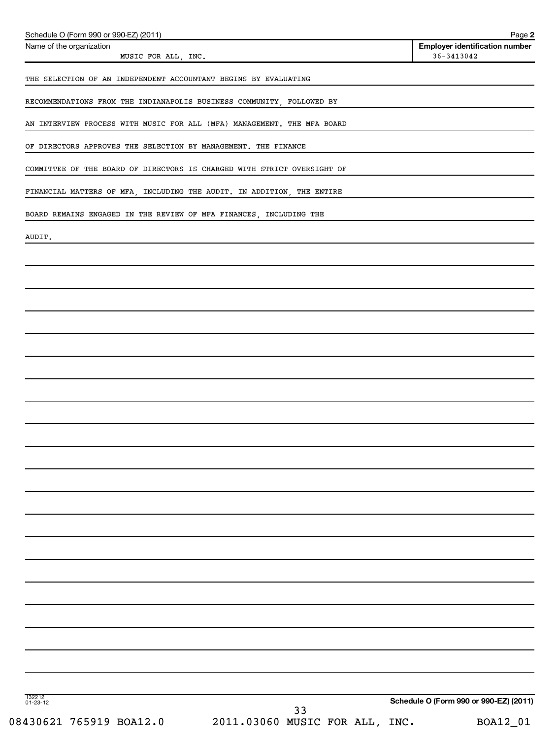| Schedule O (Form 990 or 990-EZ) (2011)<br>Name of the organization      | Page 2<br><b>Employer identification number</b> |
|-------------------------------------------------------------------------|-------------------------------------------------|
| MUSIC FOR ALL, INC.                                                     | $36 - 3413042$                                  |
| THE SELECTION OF AN INDEPENDENT ACCOUNTANT BEGINS BY EVALUATING         |                                                 |
| RECOMMENDATIONS FROM THE INDIANAPOLIS BUSINESS COMMUNITY, FOLLOWED BY   |                                                 |
| AN INTERVIEW PROCESS WITH MUSIC FOR ALL (MFA) MANAGEMENT. THE MFA BOARD |                                                 |
| OF DIRECTORS APPROVES THE SELECTION BY MANAGEMENT. THE FINANCE          |                                                 |
| COMMITTEE OF THE BOARD OF DIRECTORS IS CHARGED WITH STRICT OVERSIGHT OF |                                                 |
| FINANCIAL MATTERS OF MFA, INCLUDING THE AUDIT. IN ADDITION, THE ENTIRE  |                                                 |
| BOARD REMAINS ENGAGED IN THE REVIEW OF MFA FINANCES, INCLUDING THE      |                                                 |
| AUDIT.                                                                  |                                                 |
|                                                                         |                                                 |
|                                                                         |                                                 |
|                                                                         |                                                 |
|                                                                         |                                                 |
|                                                                         |                                                 |
|                                                                         |                                                 |
|                                                                         |                                                 |
|                                                                         |                                                 |
|                                                                         |                                                 |
|                                                                         |                                                 |
|                                                                         |                                                 |
|                                                                         |                                                 |
|                                                                         |                                                 |
|                                                                         |                                                 |
|                                                                         |                                                 |
|                                                                         |                                                 |
|                                                                         |                                                 |
|                                                                         |                                                 |
|                                                                         |                                                 |
|                                                                         |                                                 |
| 132212<br>01-23-12                                                      | Schedule O (Form 990 or 990-EZ) (2011)          |
| 33<br>2011.03060 MUSIC FOR ALL, INC.<br>08430621 765919 BOA12.0         | BOA12_01                                        |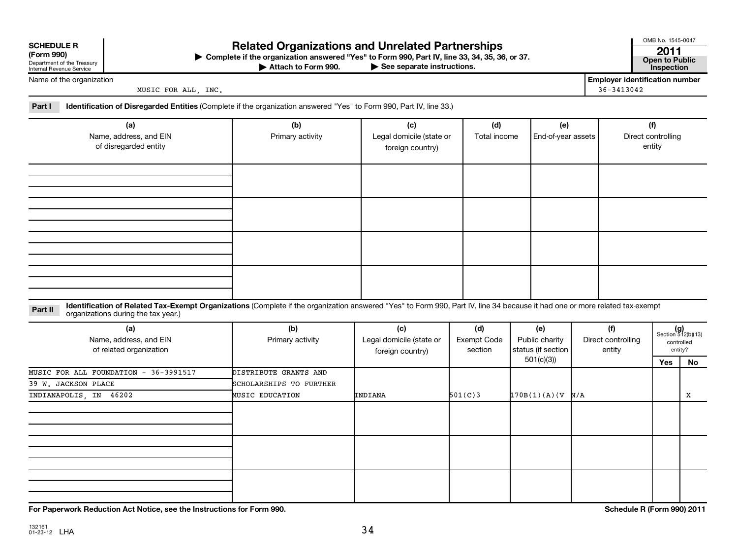| <b>SCHEDULE R</b> |  |
|-------------------|--|
|                   |  |

132161 01-23-12 LHA

| (LOLIII SAN)               |
|----------------------------|
| Department of the Treasury |
| Internal Revenue Service   |

### **Related Organizations and Unrelated Partnerships <sup>2011</sup>**

**(Form 990) Complete if the organization answered "Yes" to Form 990, Part IV, line 33, 34, 35, 36, or 37. Open to Public** | **At to Form 990. Part IV, line 33, 34, 35, 36, or 37.**<br>
<del>• See</del> separate instructions. Inspection

Attach to Form 990.

OMB No. 1545-0047

Name of the organization

MUSIC FOR ALL, INC. 36-3413042

**Employer identification number**

**Part I Identification of Disregarded Entities**  (Complete if the organization answered "Yes" to Form 990, Part IV, line 33.)

| (a)<br>Name, address, and EIN<br>of disregarded entity | (b)<br>Primary activity | (c)<br>Legal domicile (state or<br>foreign country) | (d)<br>Total income | (e)<br>End-of-year assets | (f)<br>Direct controlling<br>entity |
|--------------------------------------------------------|-------------------------|-----------------------------------------------------|---------------------|---------------------------|-------------------------------------|
|                                                        |                         |                                                     |                     |                           |                                     |
|                                                        |                         |                                                     |                     |                           |                                     |
|                                                        |                         |                                                     |                     |                           |                                     |
|                                                        |                         |                                                     |                     |                           |                                     |

Part II ldentification of Related Tax-Exempt Organizations (Complete if the organization answered "Yes" to Form 990, Part IV, line 34 because it had one or more related tax-exempt<br>example: croanizations during the tax veas organizations during the tax year.)

| (a)<br>Name, address, and EIN<br>of related organization | (b)<br>Primary activity | (c)<br>Legal domicile (state or<br>foreign country) | (d)<br>Exempt Code<br>section | (e)<br>Public charity<br>status (if section | (f)<br>Direct controlling<br>entity |     | $(g)$<br>Section 512(b)(13)<br>controlled<br>entity? |
|----------------------------------------------------------|-------------------------|-----------------------------------------------------|-------------------------------|---------------------------------------------|-------------------------------------|-----|------------------------------------------------------|
|                                                          |                         |                                                     |                               | 501(c)(3))                                  |                                     | Yes | No                                                   |
| MUSIC FOR ALL FOUNDATION - 36-3991517                    | DISTRIBUTE GRANTS AND   |                                                     |                               |                                             |                                     |     |                                                      |
| 39 W. JACKSON PLACE                                      | SCHOLARSHIPS TO FURTHER |                                                     |                               |                                             |                                     |     |                                                      |
| INDIANAPOLIS, IN 46202                                   | <b>MUSIC EDUCATION</b>  | INDIANA                                             | 501(C)3                       | 170B(1)(A)(V)NA                             |                                     |     | X                                                    |
|                                                          |                         |                                                     |                               |                                             |                                     |     |                                                      |
|                                                          |                         |                                                     |                               |                                             |                                     |     |                                                      |
|                                                          |                         |                                                     |                               |                                             |                                     |     |                                                      |

**For Paperwork Reduction Act Notice, see the Instructions for Form 990. Schedule R (Form 990) 2011**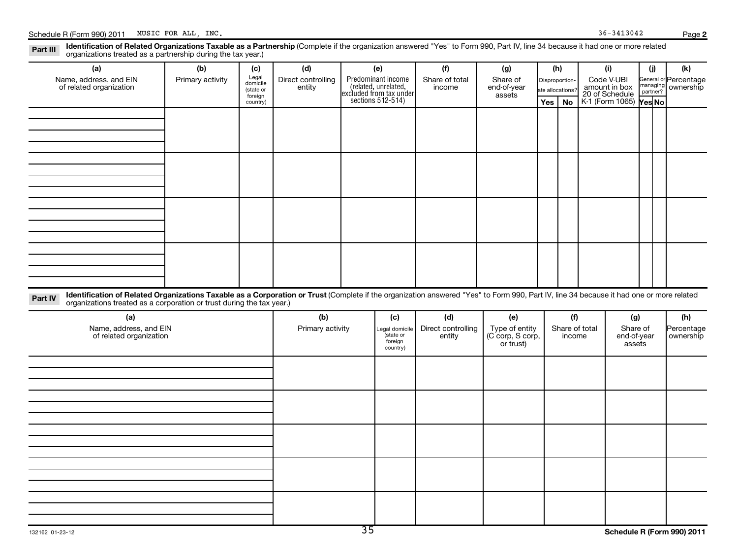**2** Part III Identification of Related Organizations Taxable as a Partnership (Complete if the organization answered "Yes" to Form 990, Part IV, line 34 because it had one or more related<br>Read to reconizations tracted as a par

organizations treated as a partnership during the tax year.)

| (a)                                                                                                                                                                                                                                                                         | (b)              | (c)                                                   | (d)                          | (e)                                                                                        | (f)                          | (g)                                             | (h)                                       |           |                | (i)                                                                     | (i)                  | (k)                                |
|-----------------------------------------------------------------------------------------------------------------------------------------------------------------------------------------------------------------------------------------------------------------------------|------------------|-------------------------------------------------------|------------------------------|--------------------------------------------------------------------------------------------|------------------------------|-------------------------------------------------|-------------------------------------------|-----------|----------------|-------------------------------------------------------------------------|----------------------|------------------------------------|
| Name, address, and EIN<br>of related organization                                                                                                                                                                                                                           | Primary activity | Legal<br>domicile<br>(state or<br>foreign<br>country) | Direct controlling<br>entity | Predominant income<br>(related, unrelated,<br>excluded from tax under<br>sections 512-514) | Share of total<br>income     | Share of<br>end-of-year<br>assets               | Disproportion-<br>ate allocations'<br>Yes | <b>No</b> |                | Code V-UBI<br>amount in box<br>20 of Schedule<br>K-1 (Form 1065) Yes No | managing<br>partner? | General or Percentage<br>ownership |
|                                                                                                                                                                                                                                                                             |                  |                                                       |                              |                                                                                            |                              |                                                 |                                           |           |                |                                                                         |                      |                                    |
|                                                                                                                                                                                                                                                                             |                  |                                                       |                              |                                                                                            |                              |                                                 |                                           |           |                |                                                                         |                      |                                    |
|                                                                                                                                                                                                                                                                             |                  |                                                       |                              |                                                                                            |                              |                                                 |                                           |           |                |                                                                         |                      |                                    |
|                                                                                                                                                                                                                                                                             |                  |                                                       |                              |                                                                                            |                              |                                                 |                                           |           |                |                                                                         |                      |                                    |
|                                                                                                                                                                                                                                                                             |                  |                                                       |                              |                                                                                            |                              |                                                 |                                           |           |                |                                                                         |                      |                                    |
|                                                                                                                                                                                                                                                                             |                  |                                                       |                              |                                                                                            |                              |                                                 |                                           |           |                |                                                                         |                      |                                    |
|                                                                                                                                                                                                                                                                             |                  |                                                       |                              |                                                                                            |                              |                                                 |                                           |           |                |                                                                         |                      |                                    |
| Identification of Related Organizations Taxable as a Corporation or Trust (Complete if the organization answered "Yes" to Form 990, Part IV, line 34 because it had one or more related<br>Part IV<br>organizations treated as a corporation or trust during the tax year.) |                  |                                                       |                              |                                                                                            |                              |                                                 |                                           |           |                |                                                                         |                      |                                    |
| (a)                                                                                                                                                                                                                                                                         |                  |                                                       | (b)                          | (c)                                                                                        | (d)                          | (e)                                             |                                           | (f)       |                | (g)                                                                     |                      | (h)                                |
| Name, address, and EIN<br>of related organization                                                                                                                                                                                                                           |                  |                                                       | Primary activity             | Legal domicile<br>state or<br>foreign<br>country)                                          | Direct controlling<br>entity | Type of entity<br>(C corp, S corp,<br>or trust) |                                           | income    | Share of total | Share of<br>end-of-year<br>assets                                       |                      | Percentage<br>ownership            |
|                                                                                                                                                                                                                                                                             |                  |                                                       |                              |                                                                                            |                              |                                                 |                                           |           |                |                                                                         |                      |                                    |
|                                                                                                                                                                                                                                                                             |                  |                                                       |                              |                                                                                            |                              |                                                 |                                           |           |                |                                                                         |                      |                                    |
|                                                                                                                                                                                                                                                                             |                  |                                                       |                              |                                                                                            |                              |                                                 |                                           |           |                |                                                                         |                      |                                    |
|                                                                                                                                                                                                                                                                             |                  |                                                       |                              |                                                                                            |                              |                                                 |                                           |           |                |                                                                         |                      |                                    |
|                                                                                                                                                                                                                                                                             |                  |                                                       |                              |                                                                                            |                              |                                                 |                                           |           |                |                                                                         |                      |                                    |
|                                                                                                                                                                                                                                                                             |                  |                                                       |                              |                                                                                            |                              |                                                 |                                           |           |                |                                                                         |                      |                                    |
|                                                                                                                                                                                                                                                                             |                  |                                                       |                              |                                                                                            |                              |                                                 |                                           |           |                |                                                                         |                      |                                    |
|                                                                                                                                                                                                                                                                             |                  |                                                       |                              |                                                                                            |                              |                                                 |                                           |           |                |                                                                         |                      |                                    |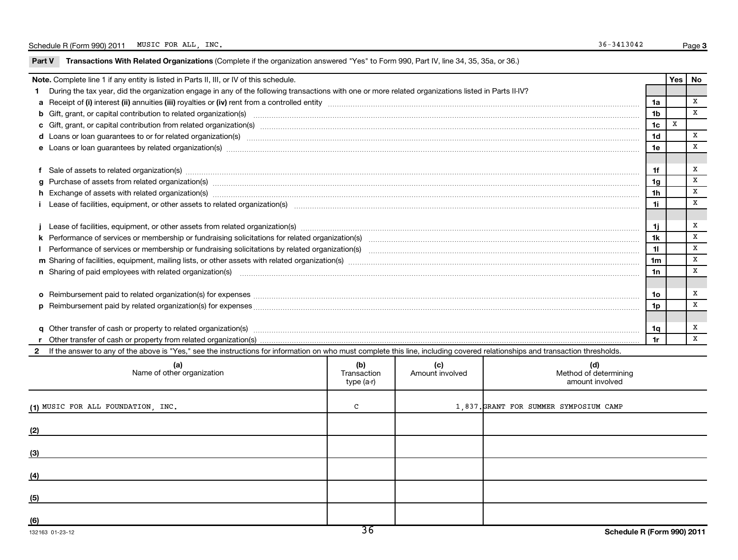| Part V | Transactions With Related Organizations (Complete if the organization answered "Yes" to Form 990, Part IV, line 34, 35, 35a, or 36.)                                                                                           |                                  |                        |                                                 |                |             |              |  |  |
|--------|--------------------------------------------------------------------------------------------------------------------------------------------------------------------------------------------------------------------------------|----------------------------------|------------------------|-------------------------------------------------|----------------|-------------|--------------|--|--|
|        | Note. Complete line 1 if any entity is listed in Parts II, III, or IV of this schedule.                                                                                                                                        |                                  |                        |                                                 |                |             | Yes   No     |  |  |
|        | During the tax year, did the organization engage in any of the following transactions with one or more related organizations listed in Parts II-IV?                                                                            |                                  |                        |                                                 |                |             |              |  |  |
|        |                                                                                                                                                                                                                                |                                  |                        |                                                 | 1a             |             | X            |  |  |
|        |                                                                                                                                                                                                                                |                                  |                        |                                                 | 1 <sub>b</sub> |             | X            |  |  |
|        |                                                                                                                                                                                                                                |                                  |                        |                                                 | 1 <sub>c</sub> | $\mathbf X$ |              |  |  |
|        | d Loans or loan guarantees to or for related organization(s) www.communities.com/www.communities.com/www.communities.com/www.communities.com/www.communities.com/www.communities.com/www.communities.com/www.communities.com/w |                                  |                        |                                                 | 1d             |             | X            |  |  |
|        |                                                                                                                                                                                                                                |                                  |                        |                                                 | 1e             |             | $\, {\bf X}$ |  |  |
|        | f Sale of assets to related organization(s) www.assettion.com/www.assettion.com/www.assettion.com/www.assettion.com/www.assettion.com/www.assettion.com/www.assettion.com/www.assettion.com/www.assettion.com/www.assettion.co |                                  |                        |                                                 | 1f             |             | x            |  |  |
|        |                                                                                                                                                                                                                                |                                  |                        |                                                 | 1g             |             | x            |  |  |
|        | 1h                                                                                                                                                                                                                             |                                  |                        |                                                 |                |             |              |  |  |
|        | i Lease of facilities, equipment, or other assets to related organization(s) manufaction content and content to the assets to related organization(s) manufaction content and content and content and content and content and  |                                  |                        |                                                 |                |             |              |  |  |
|        |                                                                                                                                                                                                                                |                                  |                        |                                                 | 1j.            |             | x            |  |  |
|        | 1k                                                                                                                                                                                                                             |                                  |                        |                                                 |                |             |              |  |  |
|        |                                                                                                                                                                                                                                |                                  |                        |                                                 |                |             |              |  |  |
|        | m Sharing of facilities, equipment, mailing lists, or other assets with related organization(s) marror material content and content and content of facilities, equipment, mailing lists, or other assets with related organiza |                                  |                        |                                                 |                |             |              |  |  |
|        | n Sharing of paid employees with related organization(s) manufaction(s) and contain an examination of the state or state or support of the state or state or state or state or state or state or state or state or state or st |                                  |                        |                                                 |                |             |              |  |  |
|        |                                                                                                                                                                                                                                |                                  |                        |                                                 | 1о             |             | x            |  |  |
|        |                                                                                                                                                                                                                                |                                  |                        |                                                 | 1p             |             | $\mathbf x$  |  |  |
|        |                                                                                                                                                                                                                                |                                  |                        |                                                 |                |             | x            |  |  |
|        |                                                                                                                                                                                                                                |                                  |                        |                                                 | 1q<br>1r       |             | X            |  |  |
|        | If the answer to any of the above is "Yes," see the instructions for information on who must complete this line, including covered relationships and transaction thresholds.                                                   |                                  |                        |                                                 |                |             |              |  |  |
|        |                                                                                                                                                                                                                                |                                  |                        |                                                 |                |             |              |  |  |
|        | (a)<br>Name of other organization                                                                                                                                                                                              | (b)<br>Transaction<br>type (a-r) | (c)<br>Amount involved | (d)<br>Method of determining<br>amount involved |                |             |              |  |  |
|        | (1) MUSIC FOR ALL FOUNDATION, INC.                                                                                                                                                                                             | С                                |                        | 1,837. GRANT FOR SUMMER SYMPOSIUM CAMP          |                |             |              |  |  |
| (2)    |                                                                                                                                                                                                                                |                                  |                        |                                                 |                |             |              |  |  |
|        |                                                                                                                                                                                                                                |                                  |                        |                                                 |                |             |              |  |  |
| (3)    |                                                                                                                                                                                                                                |                                  |                        |                                                 |                |             |              |  |  |
| (4)    |                                                                                                                                                                                                                                |                                  |                        |                                                 |                |             |              |  |  |
| (5)    |                                                                                                                                                                                                                                |                                  |                        |                                                 |                |             |              |  |  |
|        |                                                                                                                                                                                                                                |                                  |                        |                                                 |                |             |              |  |  |
| (6)    |                                                                                                                                                                                                                                |                                  |                        |                                                 |                |             |              |  |  |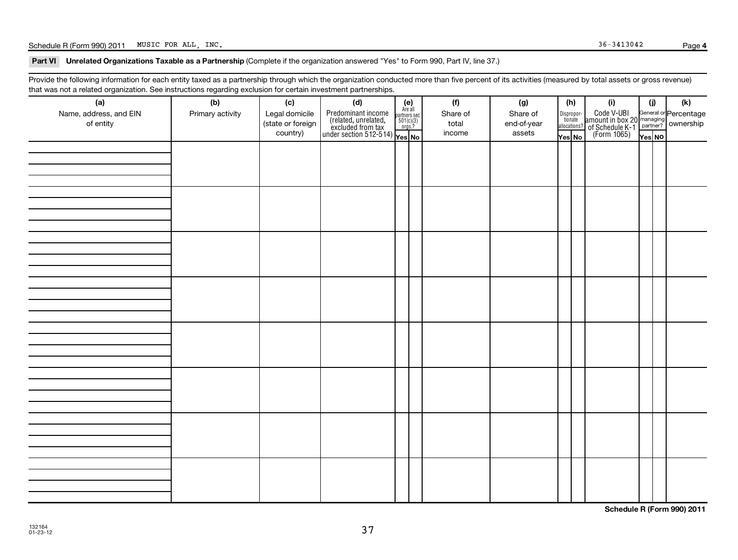### Schedule R (Form 990) 2011 MUSIC FOR ALL, INC. Page Page 36-3413042

#### Part VI Unrelated Organizations Taxable as a Partnership (Complete if the organization answered "Yes" to Form 990, Part IV, line 37.)

Provide the following information for each entity taxed as a partnership through which the organization conducted more than five percent of its activities (measured by total assets or gross revenue) that was not a related organization. See instructions regarding exclusion for certain investment partnerships.

| ັ<br>(a)<br>Name, address, and EIN<br>of entity | ັ<br>$\overline{\phantom{a}}$<br>(b)<br>Primary activity | (c)<br>Legal domicile<br>(state or foreign<br>country) | (d)<br>$\begin{array}{ l l } \hline \text{Predominant income} & \text{Area} \\ \hline \text{(related, unrelated,} & \text{501(c)(3)} \\ \text{excluded from tax} & \text{501(c)(3)} \\ \text{under section 512-514)} & \text{Yes. No} \\\hline \end{array}$ | (e)<br>Are all<br>partners sec.<br>$501(c)(3)$<br>orgs.? | (f)<br>Share of<br>total<br>income | (g)<br>Share of<br>end-of-year<br>assets | Dispropor-<br>tionate | (h)<br>allocations? | (i)<br>Code V-UBI<br>amount in box 20<br>of Schedule K-1<br>(Form 1065)<br>$\frac{1}{\sqrt{1+\frac{1}{2}}}\sqrt{\frac{1}{2}}$<br>(Form 1065)<br>These No | (j)    | (k) |
|-------------------------------------------------|----------------------------------------------------------|--------------------------------------------------------|-------------------------------------------------------------------------------------------------------------------------------------------------------------------------------------------------------------------------------------------------------------|----------------------------------------------------------|------------------------------------|------------------------------------------|-----------------------|---------------------|----------------------------------------------------------------------------------------------------------------------------------------------------------|--------|-----|
|                                                 |                                                          |                                                        |                                                                                                                                                                                                                                                             |                                                          |                                    |                                          |                       | Yes No              |                                                                                                                                                          | Yes NO |     |
|                                                 |                                                          |                                                        |                                                                                                                                                                                                                                                             |                                                          |                                    |                                          |                       |                     |                                                                                                                                                          |        |     |
|                                                 |                                                          |                                                        |                                                                                                                                                                                                                                                             |                                                          |                                    |                                          |                       |                     |                                                                                                                                                          |        |     |
|                                                 |                                                          |                                                        |                                                                                                                                                                                                                                                             |                                                          |                                    |                                          |                       |                     |                                                                                                                                                          |        |     |
|                                                 |                                                          |                                                        |                                                                                                                                                                                                                                                             |                                                          |                                    |                                          |                       |                     |                                                                                                                                                          |        |     |
|                                                 |                                                          |                                                        |                                                                                                                                                                                                                                                             |                                                          |                                    |                                          |                       |                     |                                                                                                                                                          |        |     |
|                                                 |                                                          |                                                        |                                                                                                                                                                                                                                                             |                                                          |                                    |                                          |                       |                     |                                                                                                                                                          |        |     |
|                                                 |                                                          |                                                        |                                                                                                                                                                                                                                                             |                                                          |                                    |                                          |                       |                     |                                                                                                                                                          |        |     |
|                                                 |                                                          |                                                        |                                                                                                                                                                                                                                                             |                                                          |                                    |                                          |                       |                     |                                                                                                                                                          |        |     |

**Schedule R (Form 990) 2011**